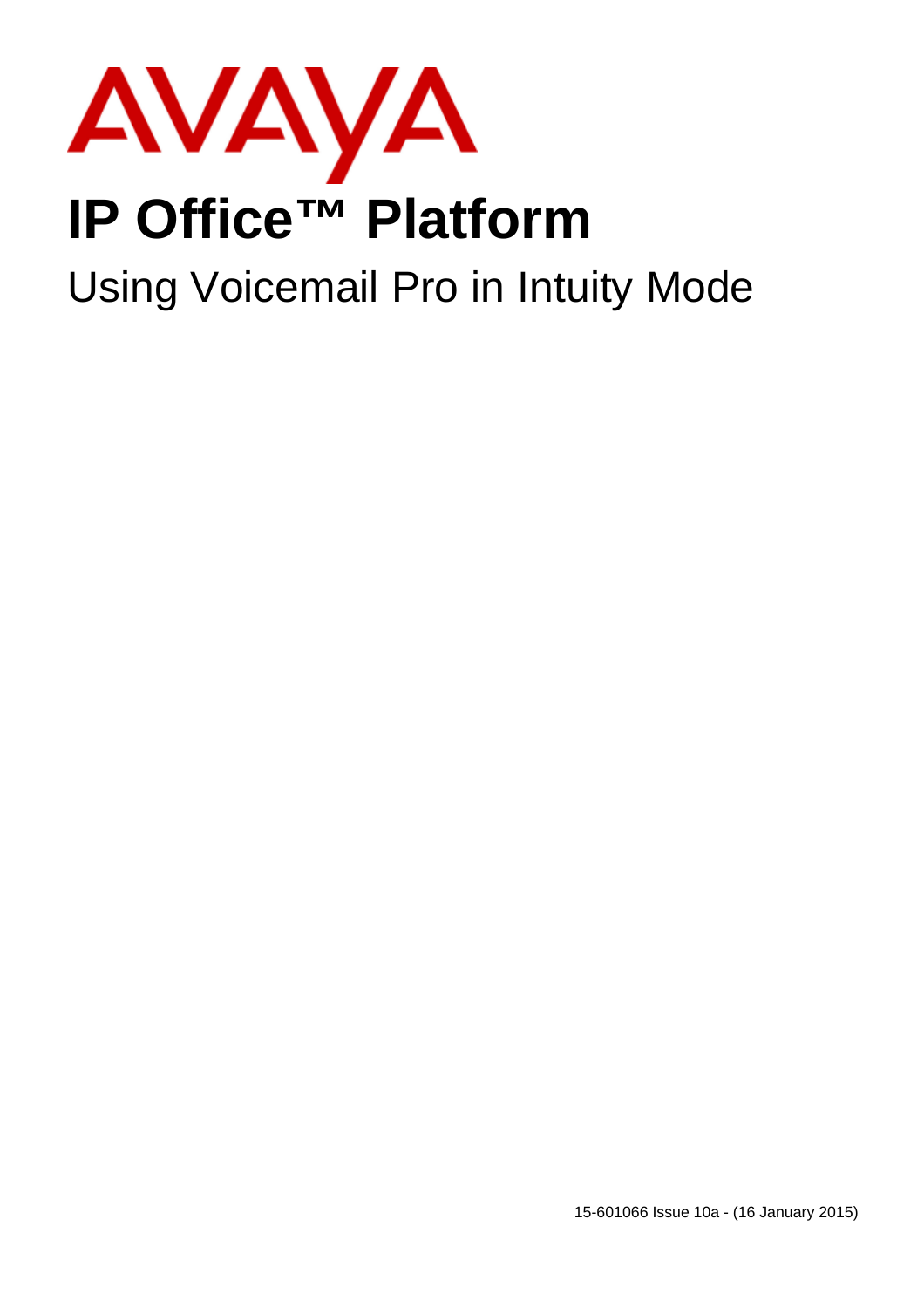

# **IP Office™ Platform**

# Using Voicemail Pro in Intuity Mode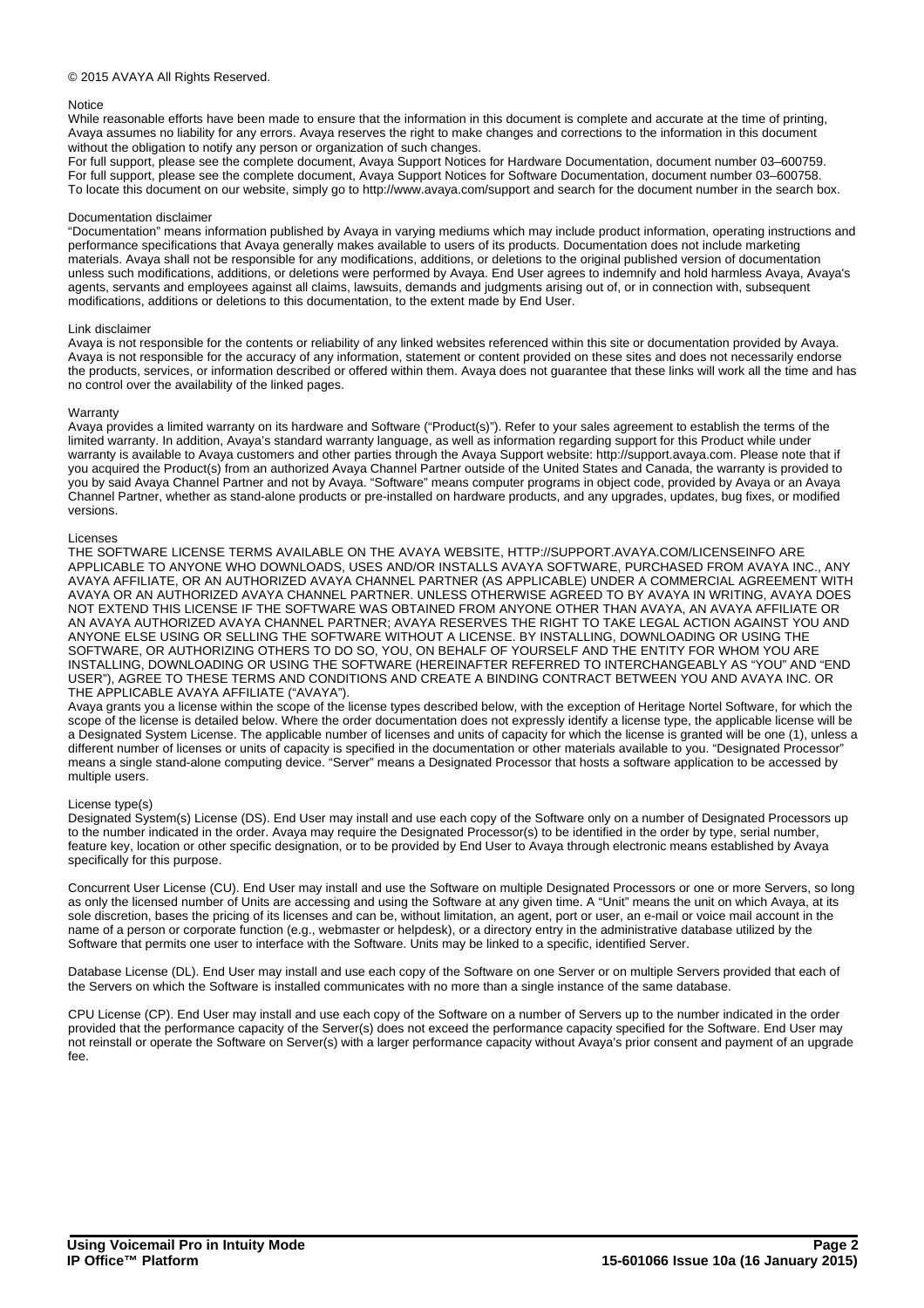### © 2015 AVAYA All Rights Reserved.

### **Notice**

While reasonable efforts have been made to ensure that the information in this document is complete and accurate at the time of printing. Avaya assumes no liability for any errors. Avaya reserves the right to make changes and corrections to the information in this document without the obligation to notify any person or organization of such changes.

For full support, please see the complete document, Avaya Support Notices for Hardware Documentation, document number 03–600759. For full support, please see the complete document, Avaya Support Notices for Software Documentation, document number 03–600758. To locate this document on our website, simply go to http://www.avaya.com/support and search for the document number in the search box.

### Documentation disclaimer

"Documentation" means information published by Avaya in varying mediums which may include product information, operating instructions and performance specifications that Avaya generally makes available to users of its products. Documentation does not include marketing materials. Avaya shall not be responsible for any modifications, additions, or deletions to the original published version of documentation unless such modifications, additions, or deletions were performed by Avaya. End User agrees to indemnify and hold harmless Avaya, Avaya's agents, servants and employees against all claims, lawsuits, demands and judgments arising out of, or in connection with, subsequent modifications, additions or deletions to this documentation, to the extent made by End User.

#### Link disclaimer

Avaya is not responsible for the contents or reliability of any linked websites referenced within this site or documentation provided by Avaya. Avaya is not responsible for the accuracy of any information, statement or content provided on these sites and does not necessarily endorse the products, services, or information described or offered within them. Avaya does not guarantee that these links will work all the time and has no control over the availability of the linked pages.

#### Warranty

Avaya provides a limited warranty on its hardware and Software ("Product(s)"). Refer to your sales agreement to establish the terms of the limited warranty. In addition, Avaya's standard warranty language, as well as information regarding support for this Product while under warranty is available to Avaya customers and other parties through the Avaya Support website: http://support.avaya.com. Please note that if you acquired the Product(s) from an authorized Avaya Channel Partner outside of the United States and Canada, the warranty is provided to you by said Avaya Channel Partner and not by Avaya. "Software" means computer programs in object code, provided by Avaya or an Avaya Channel Partner, whether as stand-alone products or pre-installed on hardware products, and any upgrades, updates, bug fixes, or modified versions.

#### Licenses

THE SOFTWARE LICENSE TERMS AVAILABLE ON THE AVAYA WEBSITE, HTTP://SUPPORT.AVAYA.COM/LICENSEINFO ARE APPLICABLE TO ANYONE WHO DOWNLOADS, USES AND/OR INSTALLS AVAYA SOFTWARE, PURCHASED FROM AVAYA INC., ANY AVAYA AFFILIATE, OR AN AUTHORIZED AVAYA CHANNEL PARTNER (AS APPLICABLE) UNDER A COMMERCIAL AGREEMENT WITH AVAYA OR AN AUTHORIZED AVAYA CHANNEL PARTNER. UNLESS OTHERWISE AGREED TO BY AVAYA IN WRITING, AVAYA DOES NOT EXTEND THIS LICENSE IF THE SOFTWARE WAS OBTAINED FROM ANYONE OTHER THAN AVAYA, AN AVAYA AFFILIATE OR AN AVAYA AUTHORIZED AVAYA CHANNEL PARTNER; AVAYA RESERVES THE RIGHT TO TAKE LEGAL ACTION AGAINST YOU AND ANYONE ELSE USING OR SELLING THE SOFTWARE WITHOUT A LICENSE. BY INSTALLING, DOWNLOADING OR USING THE SOFTWARE, OR AUTHORIZING OTHERS TO DO SO, YOU, ON BEHALF OF YOURSELF AND THE ENTITY FOR WHOM YOU ARE INSTALLING, DOWNLOADING OR USING THE SOFTWARE (HEREINAFTER REFERRED TO INTERCHANGEABLY AS "YOU" AND "END USER"), AGREE TO THESE TERMS AND CONDITIONS AND CREATE A BINDING CONTRACT BETWEEN YOU AND AVAYA INC. OR THE APPLICABLE AVAYA AFFILIATE ("AVAYA").

Avaya grants you a license within the scope of the license types described below, with the exception of Heritage Nortel Software, for which the scope of the license is detailed below. Where the order documentation does not expressly identify a license type, the applicable license will be a Designated System License. The applicable number of licenses and units of capacity for which the license is granted will be one (1), unless a different number of licenses or units of capacity is specified in the documentation or other materials available to you. "Designated Processor" means a single stand-alone computing device. "Server" means a Designated Processor that hosts a software application to be accessed by multiple users.

### License type(s)

Designated System(s) License (DS). End User may install and use each copy of the Software only on a number of Designated Processors up to the number indicated in the order. Avaya may require the Designated Processor(s) to be identified in the order by type, serial number, feature key, location or other specific designation, or to be provided by End User to Avaya through electronic means established by Avaya specifically for this purpose.

Concurrent User License (CU). End User may install and use the Software on multiple Designated Processors or one or more Servers, so long as only the licensed number of Units are accessing and using the Software at any given time. A "Unit" means the unit on which Avaya, at its sole discretion, bases the pricing of its licenses and can be, without limitation, an agent, port or user, an e-mail or voice mail account in the name of a person or corporate function (e.g., webmaster or helpdesk), or a directory entry in the administrative database utilized by the Software that permits one user to interface with the Software. Units may be linked to a specific, identified Server.

Database License (DL). End User may install and use each copy of the Software on one Server or on multiple Servers provided that each of the Servers on which the Software is installed communicates with no more than a single instance of the same database.

CPU License (CP). End User may install and use each copy of the Software on a number of Servers up to the number indicated in the order provided that the performance capacity of the Server(s) does not exceed the performance capacity specified for the Software. End User may not reinstall or operate the Software on Server(s) with a larger performance capacity without Avaya's prior consent and payment of an upgrade fee.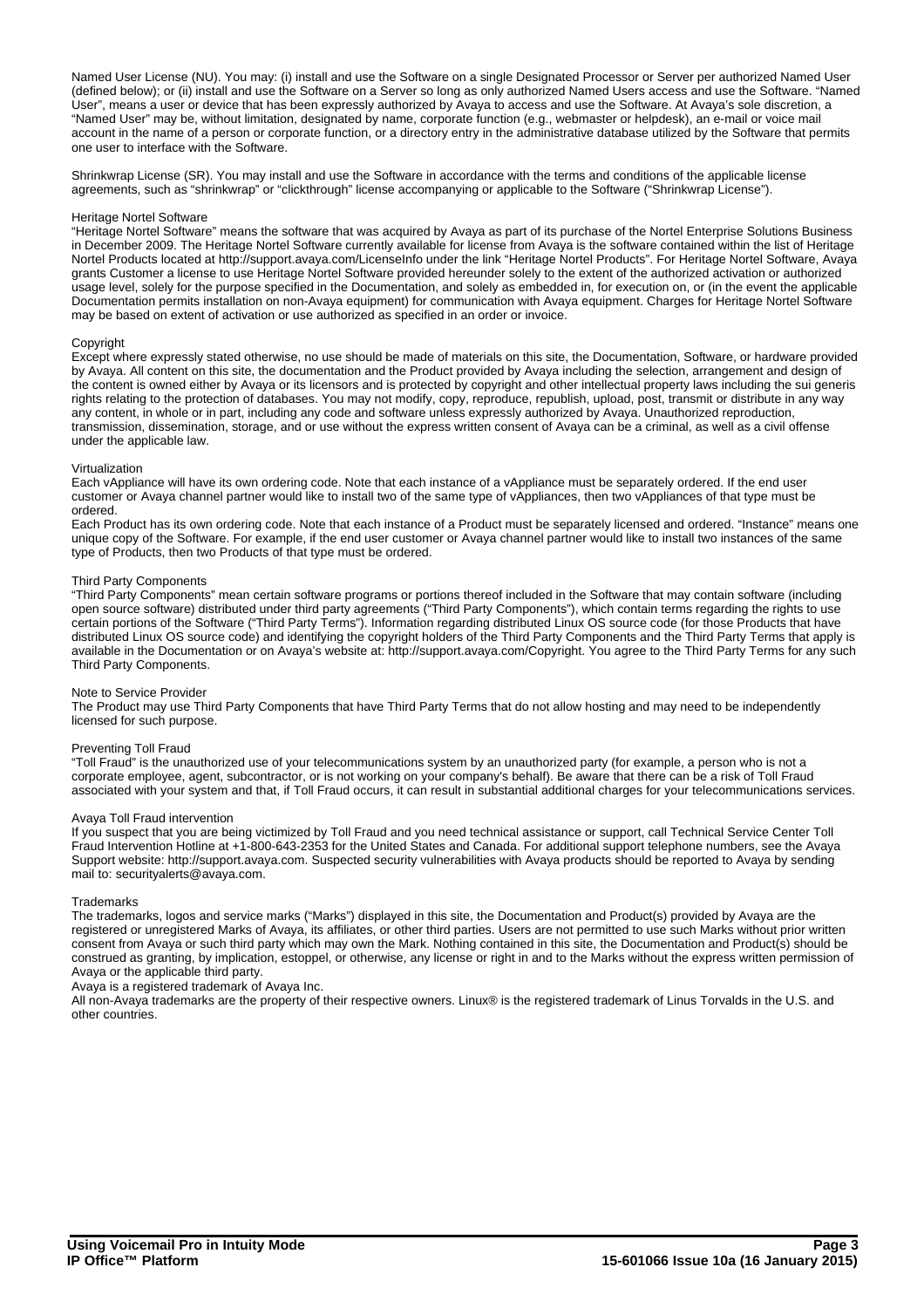Named User License (NU). You may: (i) install and use the Software on a single Designated Processor or Server per authorized Named User (defined below); or (ii) install and use the Software on a Server so long as only authorized Named Users access and use the Software. "Named User", means a user or device that has been expressly authorized by Avaya to access and use the Software. At Avaya's sole discretion, a "Named User" may be, without limitation, designated by name, corporate function (e.g., webmaster or helpdesk), an e-mail or voice mail account in the name of a person or corporate function, or a directory entry in the administrative database utilized by the Software that permits one user to interface with the Software.

Shrinkwrap License (SR). You may install and use the Software in accordance with the terms and conditions of the applicable license agreements, such as "shrinkwrap" or "clickthrough" license accompanying or applicable to the Software ("Shrinkwrap License").

### Heritage Nortel Software

"Heritage Nortel Software" means the software that was acquired by Avaya as part of its purchase of the Nortel Enterprise Solutions Business in December 2009. The Heritage Nortel Software currently available for license from Avaya is the software contained within the list of Heritage Nortel Products located at http://support.avaya.com/LicenseInfo under the link "Heritage Nortel Products". For Heritage Nortel Software, Avaya grants Customer a license to use Heritage Nortel Software provided hereunder solely to the extent of the authorized activation or authorized usage level, solely for the purpose specified in the Documentation, and solely as embedded in, for execution on, or (in the event the applicable Documentation permits installation on non-Avaya equipment) for communication with Avaya equipment. Charges for Heritage Nortel Software may be based on extent of activation or use authorized as specified in an order or invoice.

### Copyright

Except where expressly stated otherwise, no use should be made of materials on this site, the Documentation, Software, or hardware provided by Avaya. All content on this site, the documentation and the Product provided by Avaya including the selection, arrangement and design of the content is owned either by Avaya or its licensors and is protected by copyright and other intellectual property laws including the sui generis rights relating to the protection of databases. You may not modify, copy, reproduce, republish, upload, post, transmit or distribute in any way any content, in whole or in part, including any code and software unless expressly authorized by Avaya. Unauthorized reproduction, transmission, dissemination, storage, and or use without the express written consent of Avaya can be a criminal, as well as a civil offense under the applicable law.

### Virtualization

Each vAppliance will have its own ordering code. Note that each instance of a vAppliance must be separately ordered. If the end user customer or Avaya channel partner would like to install two of the same type of vAppliances, then two vAppliances of that type must be ordered.

Each Product has its own ordering code. Note that each instance of a Product must be separately licensed and ordered. "Instance" means one unique copy of the Software. For example, if the end user customer or Avaya channel partner would like to install two instances of the same type of Products, then two Products of that type must be ordered.

### Third Party Components

"Third Party Components" mean certain software programs or portions thereof included in the Software that may contain software (including open source software) distributed under third party agreements ("Third Party Components"), which contain terms regarding the rights to use certain portions of the Software ("Third Party Terms"). Information regarding distributed Linux OS source code (for those Products that have distributed Linux OS source code) and identifying the copyright holders of the Third Party Components and the Third Party Terms that apply is available in the Documentation or on Avaya's website at: http://support.avaya.com/Copyright. You agree to the Third Party Terms for any such Third Party Components.

#### Note to Service Provider

The Product may use Third Party Components that have Third Party Terms that do not allow hosting and may need to be independently licensed for such purpose.

#### Preventing Toll Fraud

"Toll Fraud" is the unauthorized use of your telecommunications system by an unauthorized party (for example, a person who is not a corporate employee, agent, subcontractor, or is not working on your company's behalf). Be aware that there can be a risk of Toll Fraud associated with your system and that, if Toll Fraud occurs, it can result in substantial additional charges for your telecommunications services.

### Avaya Toll Fraud intervention

If you suspect that you are being victimized by Toll Fraud and you need technical assistance or support, call Technical Service Center Toll Fraud Intervention Hotline at +1-800-643-2353 for the United States and Canada. For additional support telephone numbers, see the Avaya Support website: http://support.avaya.com. Suspected security vulnerabilities with Avaya products should be reported to Avaya by sending mail to: securityalerts@avaya.com.

#### **Trademarks**

The trademarks, logos and service marks ("Marks") displayed in this site, the Documentation and Product(s) provided by Avaya are the registered or unregistered Marks of Avaya, its affiliates, or other third parties. Users are not permitted to use such Marks without prior written consent from Avaya or such third party which may own the Mark. Nothing contained in this site, the Documentation and Product(s) should be construed as granting, by implication, estoppel, or otherwise, any license or right in and to the Marks without the express written permission of Avaya or the applicable third party.

Avaya is a registered trademark of Avaya Inc.

All non-Avaya trademarks are the property of their respective owners. Linux® is the registered trademark of Linus Torvalds in the U.S. and other countries.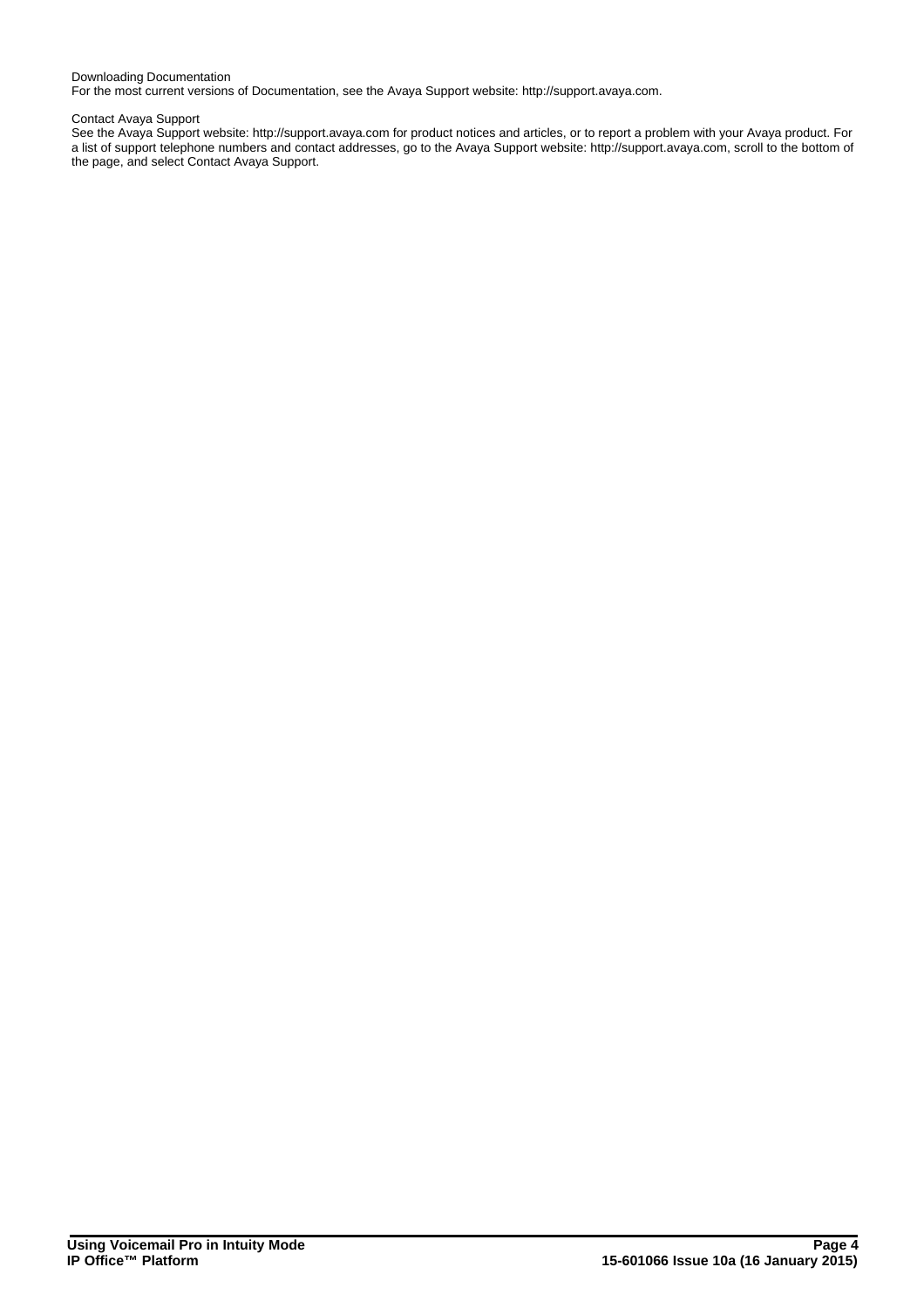### Downloading Documentation

For the most current versions of Documentation, see the Avaya Support website: http://support.avaya.com.

#### Contact Avaya Support

See the Avaya Support website: http://support.avaya.com for product notices and articles, or to report a problem with your Avaya product. For a list of support telephone numbers and contact addresses, go to the Avaya Support website: http://support.avaya.com, scroll to the bottom of the page, and select Contact Avaya Support.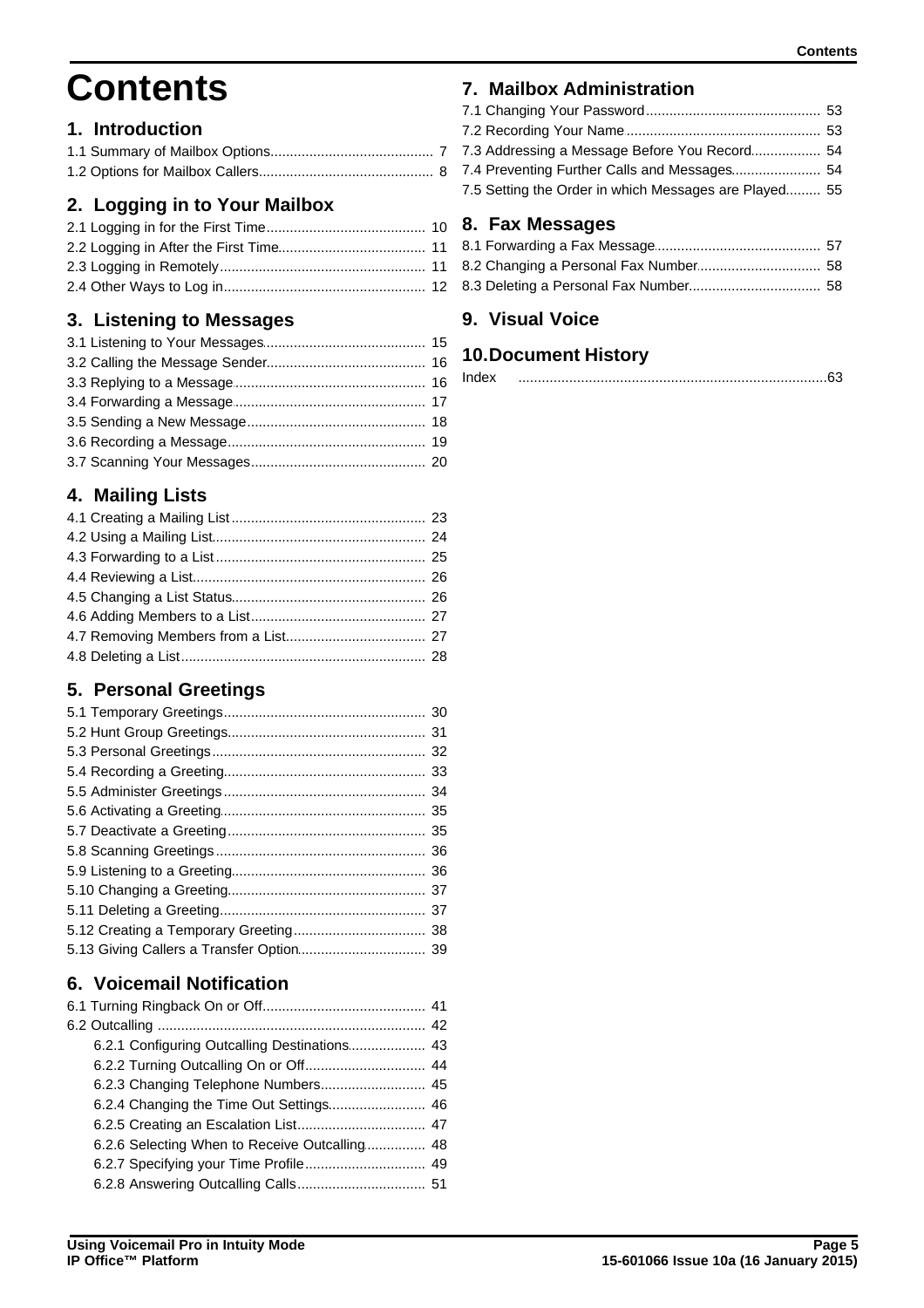# **Contents**

## 1. Introduction

# 2. Logging in to Your Mailbox

# 3. Listening to Messages

# 4. Mailing Lists

# 5. Personal Greetings

# 6. Voicemail Notification

| 6.2.3 Changing Telephone Numbers 45           |  |
|-----------------------------------------------|--|
| 6.2.4 Changing the Time Out Settings 46       |  |
|                                               |  |
| 6.2.6 Selecting When to Receive Outcalling 48 |  |
| 6.2.7 Specifying your Time Profile 49         |  |
|                                               |  |

# 7. Mailbox Administration

| 7.3 Addressing a Message Before You Record 54         |  |
|-------------------------------------------------------|--|
|                                                       |  |
| 7.5 Setting the Order in which Messages are Played 55 |  |
|                                                       |  |

# 8. Fax Messages

## 9. Visual Voice

## **10.Document History**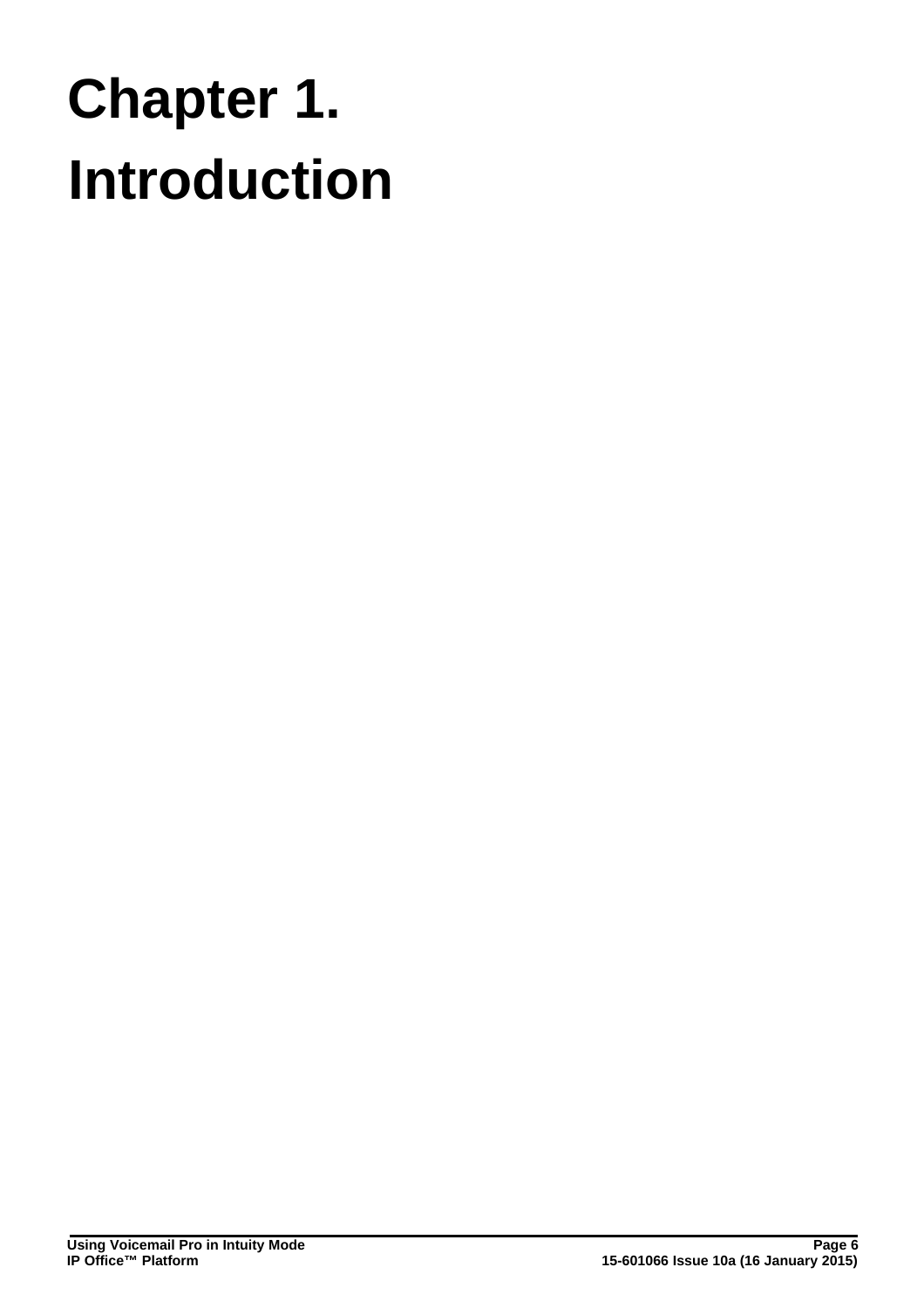# **Introduction Chapter 1.**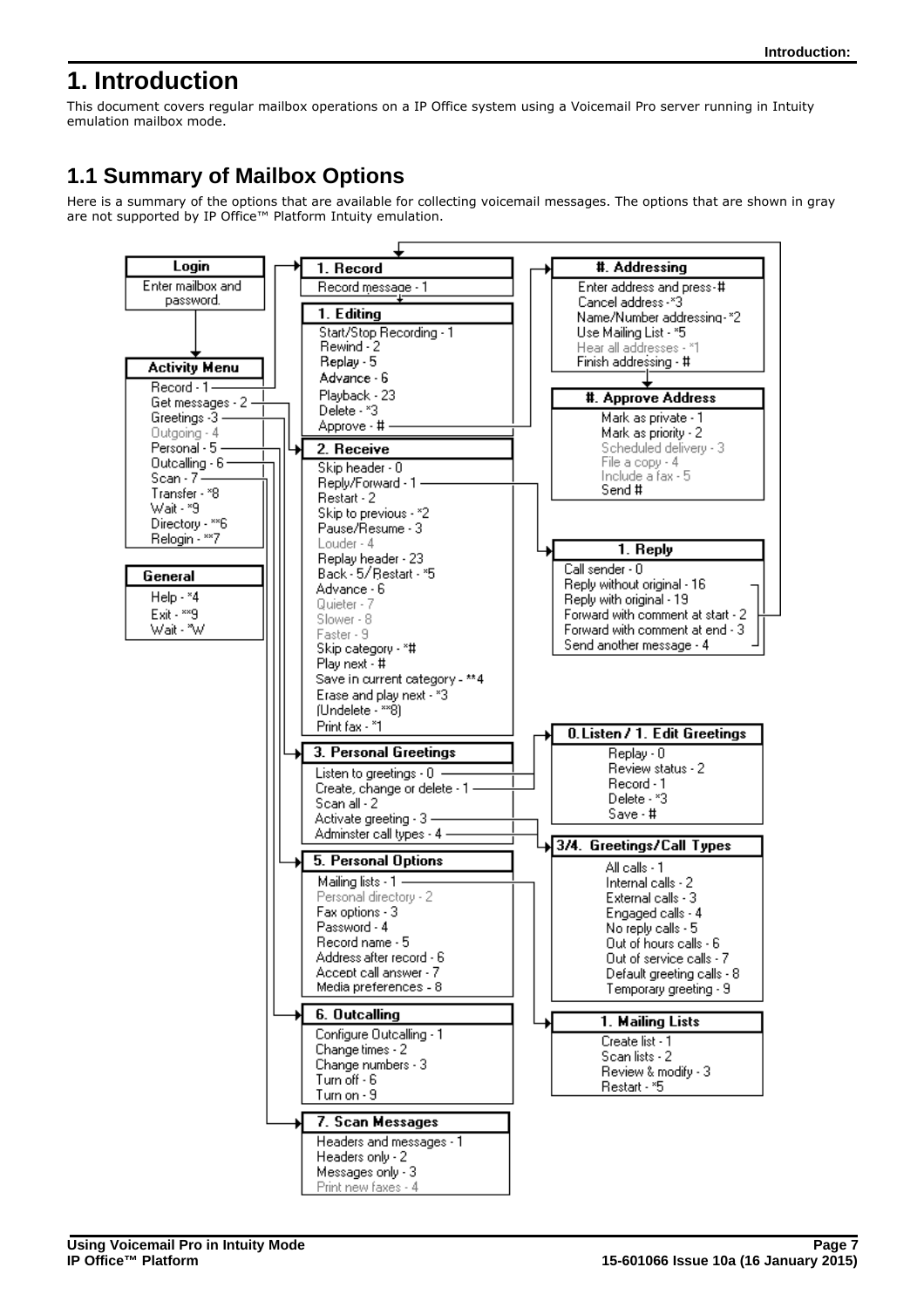# <span id="page-6-0"></span>**1. Introduction**

This document covers regular mailbox operations on a IP Office system using a Voicemail Pro server running in Intuity emulation mailbox mode.

# <span id="page-6-1"></span>**1.1 Summary of Mailbox Options**

Here is a summary of the options that are available for collecting voicemail messages. The options that are shown in gray are not supported by IP Office™ Platform Intuity emulation.

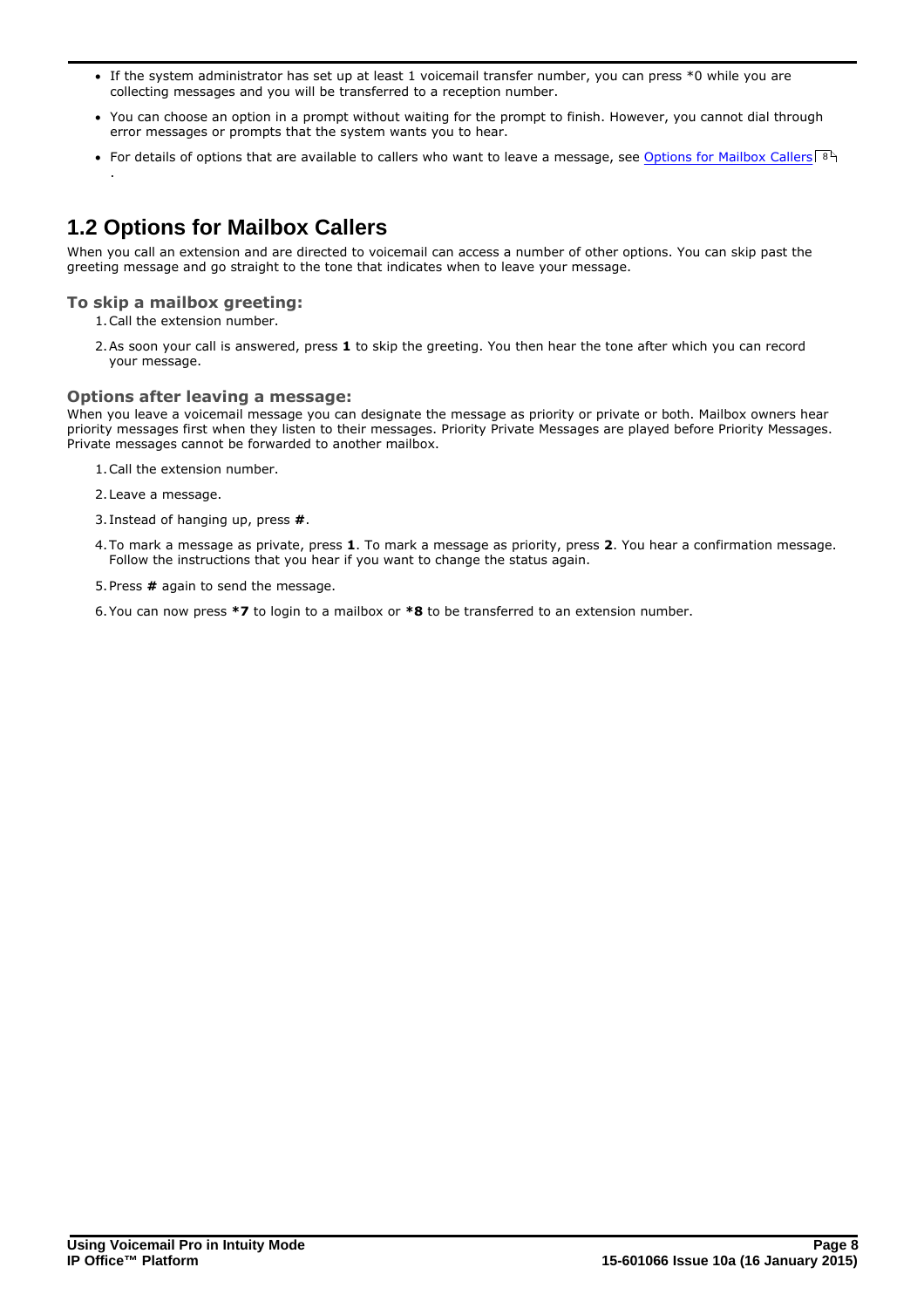- · If the system administrator has set up at least 1 voicemail transfer number, you can press \*0 while you are collecting messages and you will be transferred to a reception number.
- · You can choose an option in a prompt without waiting for the prompt to finish. However, you cannot dial through error messages or prompts that the system wants you to hear.
- For details of options that are available to callers who want to leave a message, see [Options for Mailbox Callers](#page-7-0)!  $8^{\circ}$

# <span id="page-7-0"></span>**1.2 Options for Mailbox Callers**

When you call an extension and are directed to voicemail can access a number of other options. You can skip past the greeting message and go straight to the tone that indicates when to leave your message.

### **To skip a mailbox greeting:**

.

1.Call the extension number.

2.As soon your call is answered, press **1** to skip the greeting. You then hear the tone after which you can record your message.

### **Options after leaving a message:**

When you leave a voicemail message you can designate the message as priority or private or both. Mailbox owners hear priority messages first when they listen to their messages. Priority Private Messages are played before Priority Messages. Private messages cannot be forwarded to another mailbox.

- 1.Call the extension number.
- 2.Leave a message.
- 3. Instead of hanging up, press **#**.
- 4.To mark a message as private, press **1**. To mark a message as priority, press **2**. You hear a confirmation message. Follow the instructions that you hear if you want to change the status again.
- 5.Press **#** again to send the message.
- 6.You can now press **\*7** to login to a mailbox or **\*8** to be transferred to an extension number.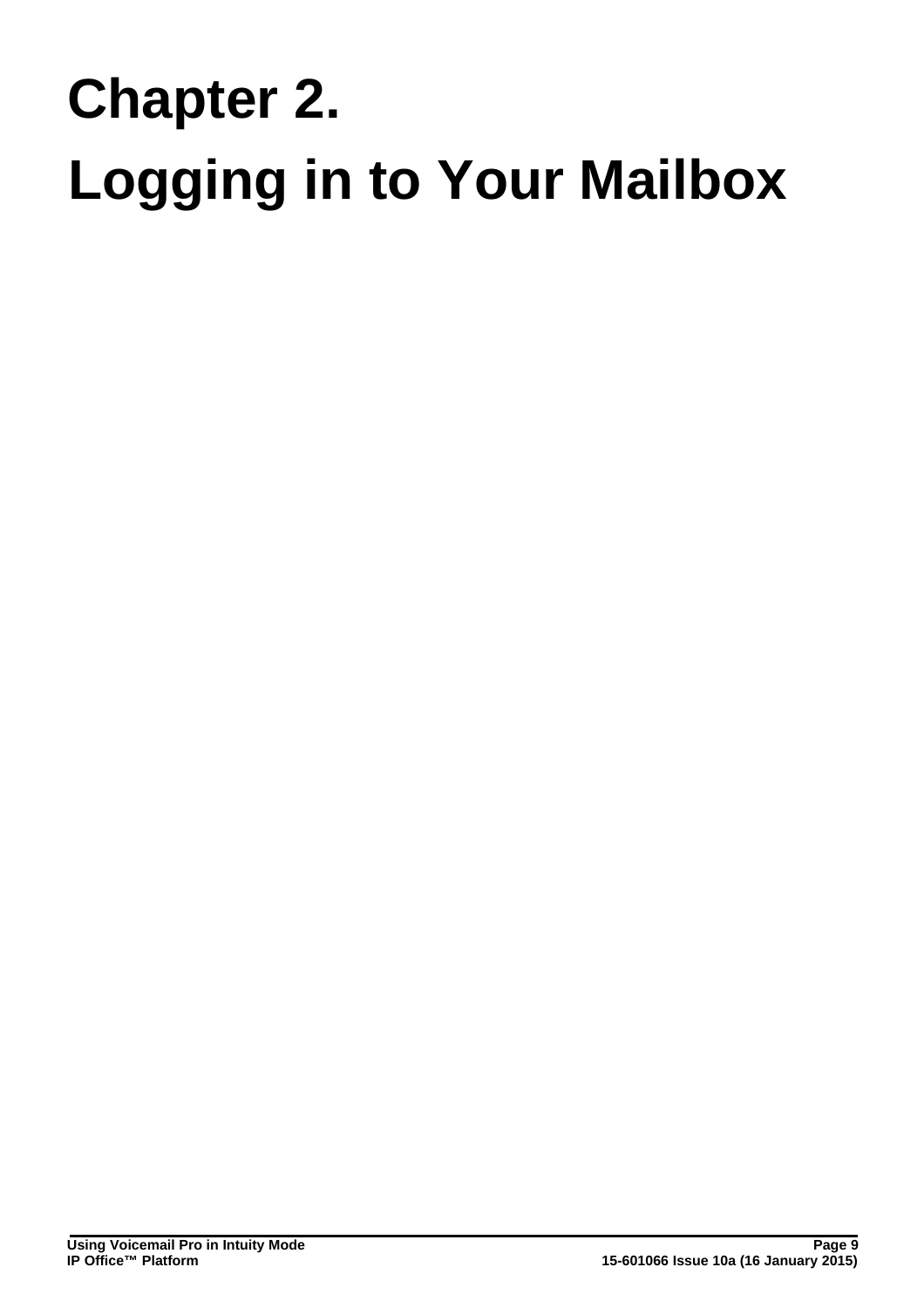# **Logging in to Your Mailbox Chapter 2.**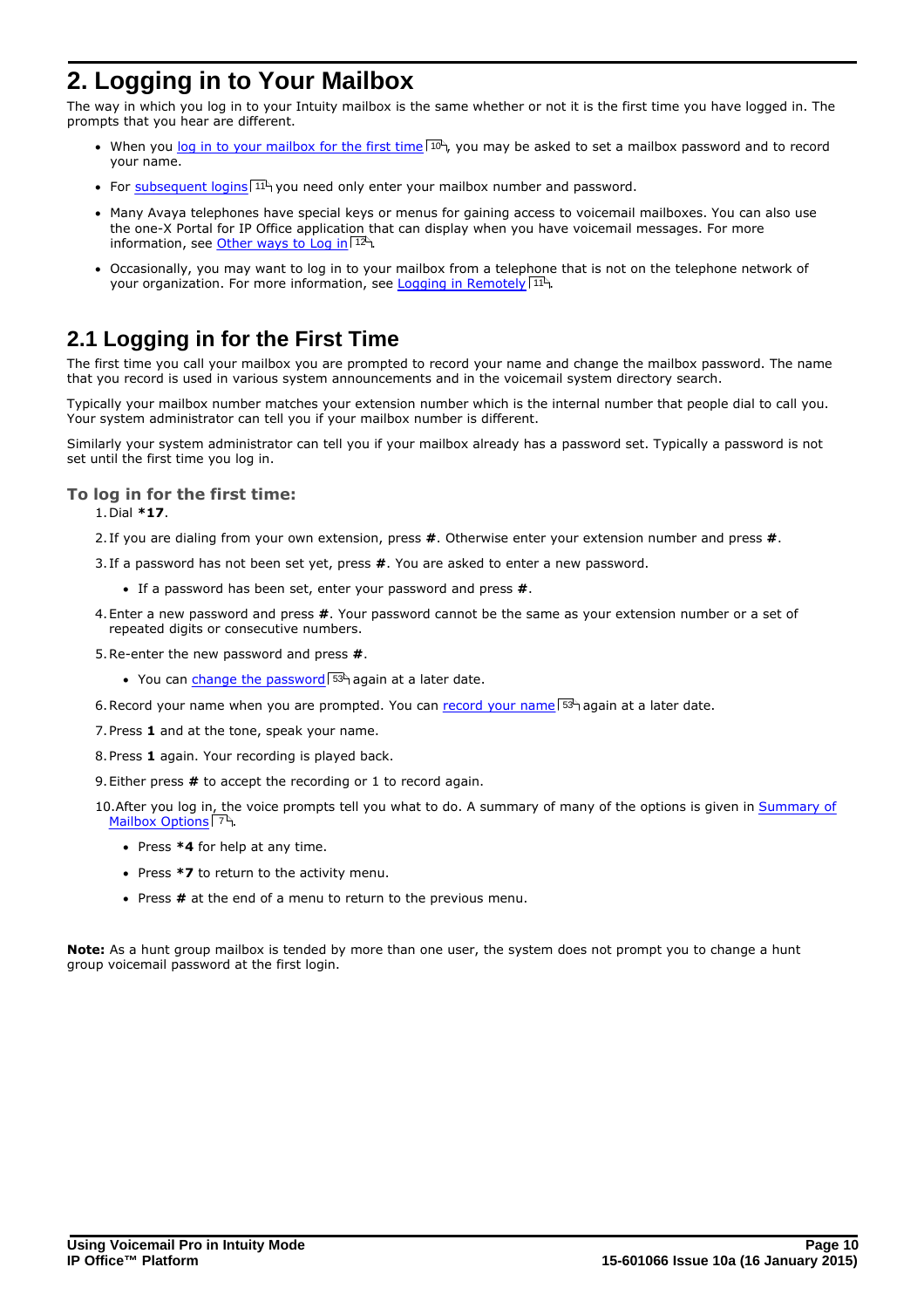# <span id="page-9-0"></span>**2. Logging in to Your Mailbox**

The way in which you log in to your Intuity mailbox is the same whether or not it is the first time you have logged in. The prompts that you hear are different.

- When you [log in to your mailbox for the first time](#page-9-1)  $10^{\text{h}}$ , you may be asked to set a mailbox password and to record your name.
- For [subsequent logins](#page-10-0) 1<sup>1</sup> you need only enter your mailbox number and password.
- · Many Avaya telephones have special keys or menus for gaining access to voicemail mailboxes. You can also use the one-X Portal for IP Office application that can display when you have voicemail messages. For more information, see [Other ways to Log in](#page-11-0) 12<sup>5</sup>.
- · Occasionally, you may want to log in to your mailbox from a telephone that is not on the telephone network of your organization. For more information, see <u>Logging in Remotely</u> 11<sup>4</sup>.

# <span id="page-9-1"></span>**2.1 Logging in for the First Time**

The first time you call your mailbox you are prompted to record your name and change the mailbox password. The name that you record is used in various system announcements and in the voicemail system directory search.

Typically your mailbox number matches your extension number which is the internal number that people dial to call you. Your system administrator can tell you if your mailbox number is different.

Similarly your system administrator can tell you if your mailbox already has a password set. Typically a password is not set until the first time you log in.

### **To log in for the first time:** 1.Dial **\*17**.

2. If you are dialing from your own extension, press **#**. Otherwise enter your extension number and press **#**.

- 3. If a password has not been set yet, press **#**. You are asked to enter a new password.
	- · If a password has been set, enter your password and press **#**.
- 4.Enter a new password and press **#**. Your password cannot be the same as your extension number or a set of repeated digits or consecutive numbers.
- 5.Re-enter the new password and press **#**.
	- You can [change the password](#page-52-0) 53<sup>4</sup> again at a later date.
- 6. Record your name when you are prompted. You can *record your name* 53<sup>4</sup> again at a later date.
- 7.Press **1** and at the tone, speak your name.
- 8.Press **1** again. Your recording is played back.
- 9.Either press **#** to accept the recording or 1 to record again.
- 10.After you log in, the voice prompts tell you what to do. A summary of many of the options is given in [Summary of](#page-6-1) **[Mailbox Options](#page-6-1)** 7 ግ.
	- · Press **\*4** for help at any time.
	- · Press **\*7** to return to the activity menu.
	- · Press **#** at the end of a menu to return to the previous menu.

**Note:** As a hunt group mailbox is tended by more than one user, the system does not prompt you to change a hunt group voicemail password at the first login.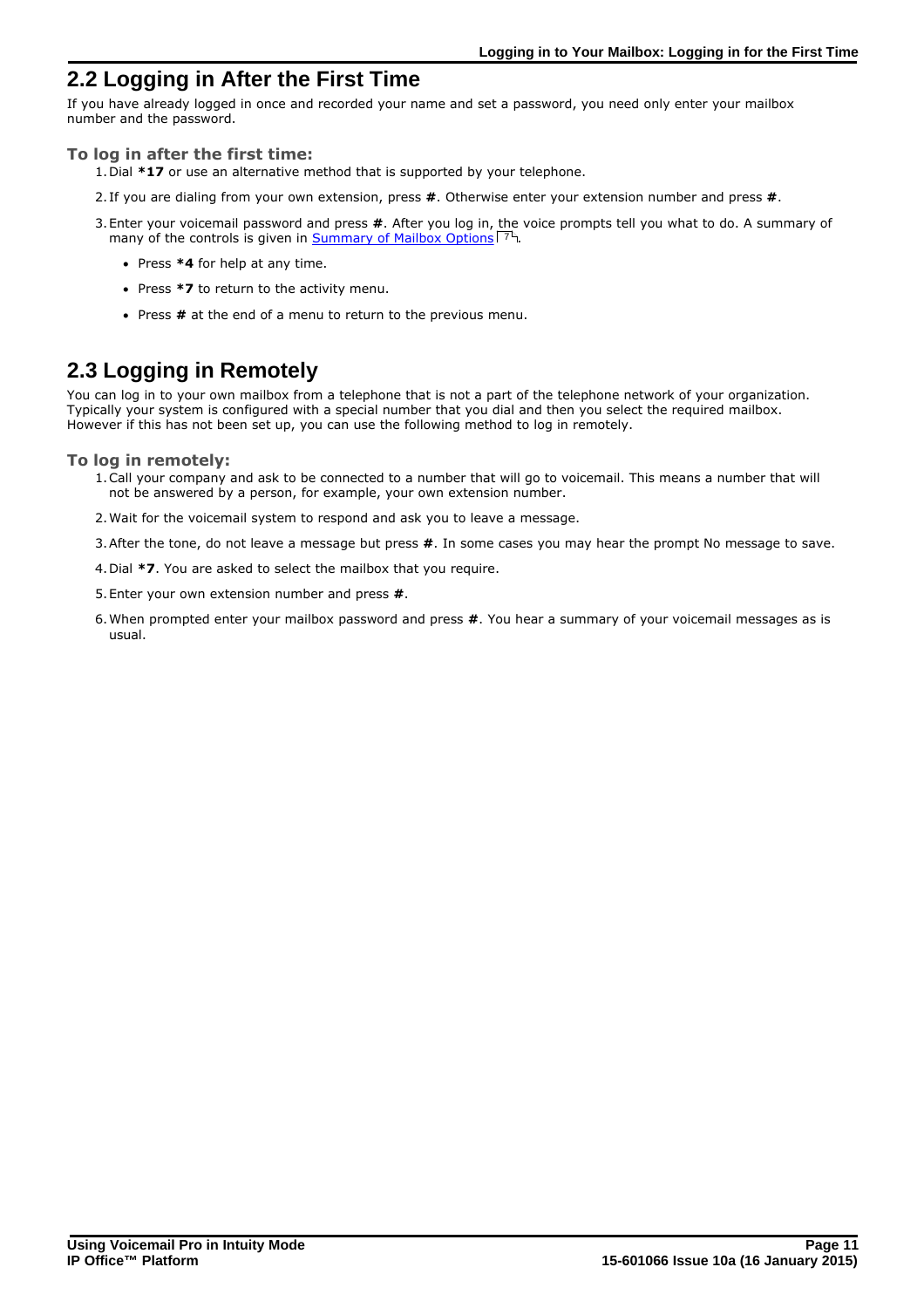# <span id="page-10-0"></span>**2.2 Logging in After the First Time**

If you have already logged in once and recorded your name and set a password, you need only enter your mailbox number and the password.

### **To log in after the first time:**

- 1.Dial **\*17** or use an alternative method that is supported by your telephone.
- 2. If you are dialing from your own extension, press **#**. Otherwise enter your extension number and press **#**.
- 3.Enter your voicemail password and press **#**. After you log in, the voice prompts tell you what to do. A summary of many of the controls is given in [Summary of Mailbox Options](#page-6-1) 74.
	- · Press **\*4** for help at any time.
	- · Press **\*7** to return to the activity menu.
	- · Press **#** at the end of a menu to return to the previous menu.

# <span id="page-10-1"></span>**2.3 Logging in Remotely**

You can log in to your own mailbox from a telephone that is not a part of the telephone network of your organization. Typically your system is configured with a special number that you dial and then you select the required mailbox. However if this has not been set up, you can use the following method to log in remotely.

### **To log in remotely:**

- 1.Call your company and ask to be connected to a number that will go to voicemail. This means a number that will not be answered by a person, for example, your own extension number.
- 2.Wait for the voicemail system to respond and ask you to leave a message.
- 3.After the tone, do not leave a message but press **#**. In some cases you may hear the prompt No message to save.
- 4.Dial **\*7**. You are asked to select the mailbox that you require.
- 5.Enter your own extension number and press **#**.
- 6.When prompted enter your mailbox password and press **#**. You hear a summary of your voicemail messages as is usual.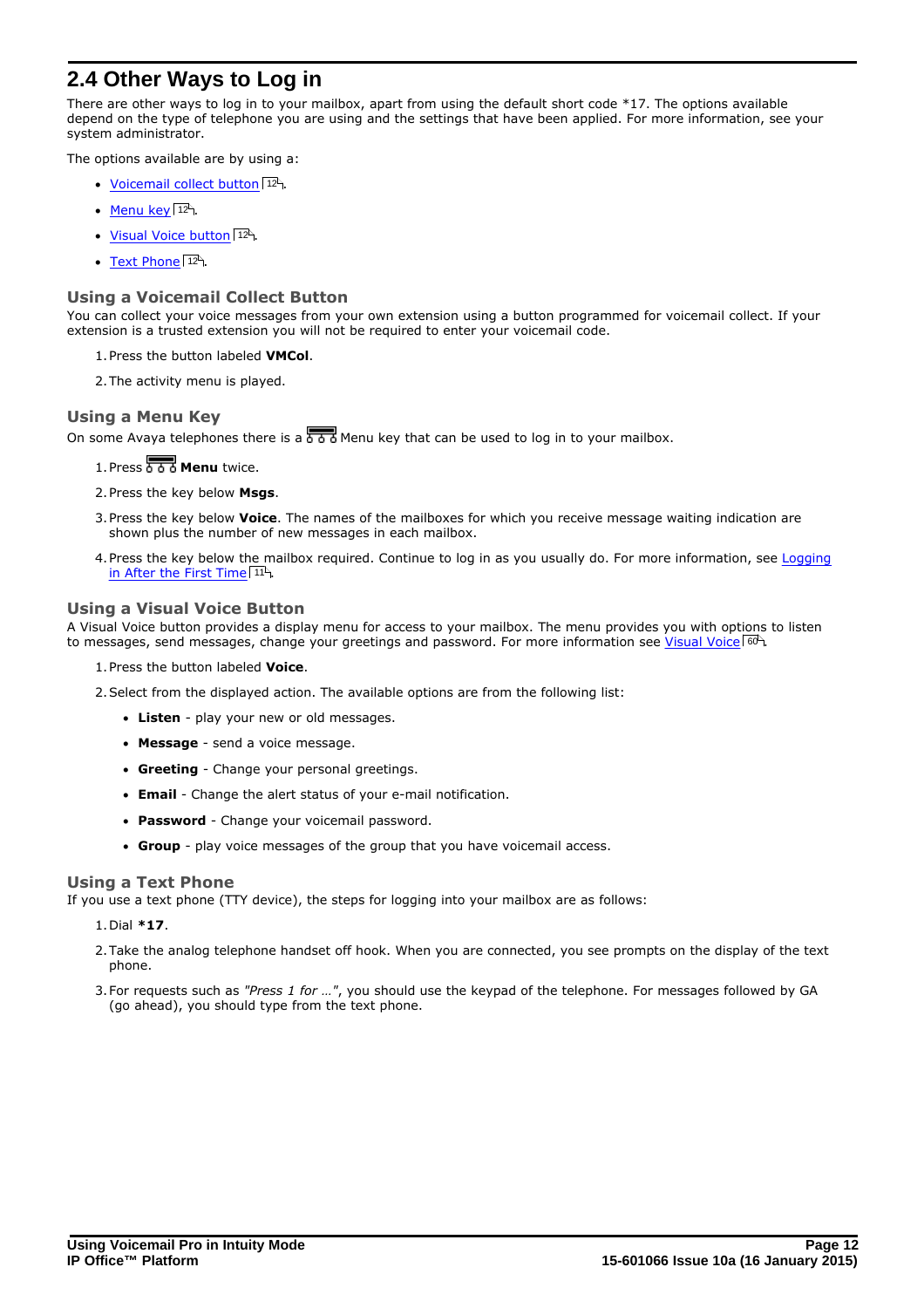# <span id="page-11-0"></span>**2.4 Other Ways to Log in**

There are other ways to log in to your mailbox, apart from using the default short code \*17. The options available depend on the type of telephone you are using and the settings that have been applied. For more information, see your system administrator.

The options available are by using a:

- [Voicemail collect button](#page-11-1) 12<sup>4</sup>.
- <u>[Menu key](#page-11-2)</u> 12 .
- [Visual Voice button](#page-11-3) 127
- [Text Phone](#page-11-4) 12 .

### <span id="page-11-1"></span>**Using a Voicemail Collect Button**

You can collect your voice messages from your own extension using a button programmed for voicemail collect. If your extension is a trusted extension you will not be required to enter your voicemail code.

- 1.Press the button labeled **VMCol**.
- 2.The activity menu is played.

### <span id="page-11-2"></span>**Using a Menu Key**

On some Avaya telephones there is a  $\overline{560}$  Menu key that can be used to log in to your mailbox.

1. Press **8 8 8 Menu** twice.

- 2.Press the key below **Msgs**.
- 3.Press the key below **Voice**. The names of the mailboxes for which you receive message waiting indication are shown plus the number of new messages in each mailbox.
- 4. Press the key below the mailbox required. Continue to log in as you usually do. For more information, see [Logging](#page-10-0) [in After the First Time](#page-10-0)<sup>| 11</sup> .

### <span id="page-11-3"></span>**Using a Visual Voice Button**

A Visual Voice button provides a display menu for access to your mailbox. The menu provides you with options to listen to messages, send messages, change your greetings and password. For more information see <u>Visual Voice</u> 60 a

- 1.Press the button labeled **Voice**.
- 2.Select from the displayed action. The available options are from the following list:
	- · **Listen** play your new or old messages.
	- · **Message** send a voice message.
	- · **Greeting** Change your personal greetings.
	- · **Email** Change the alert status of your e-mail notification.
	- · **Password** Change your voicemail password.
	- · **Group** play voice messages of the group that you have voicemail access.

### <span id="page-11-4"></span>**Using a Text Phone**

If you use a text phone (TTY device), the steps for logging into your mailbox are as follows:

### 1.Dial **\*17**.

- 2.Take the analog telephone handset off hook. When you are connected, you see prompts on the display of the text phone.
- 3.For requests such as *"Press 1 for …"*, you should use the keypad of the telephone. For messages followed by GA (go ahead), you should type from the text phone.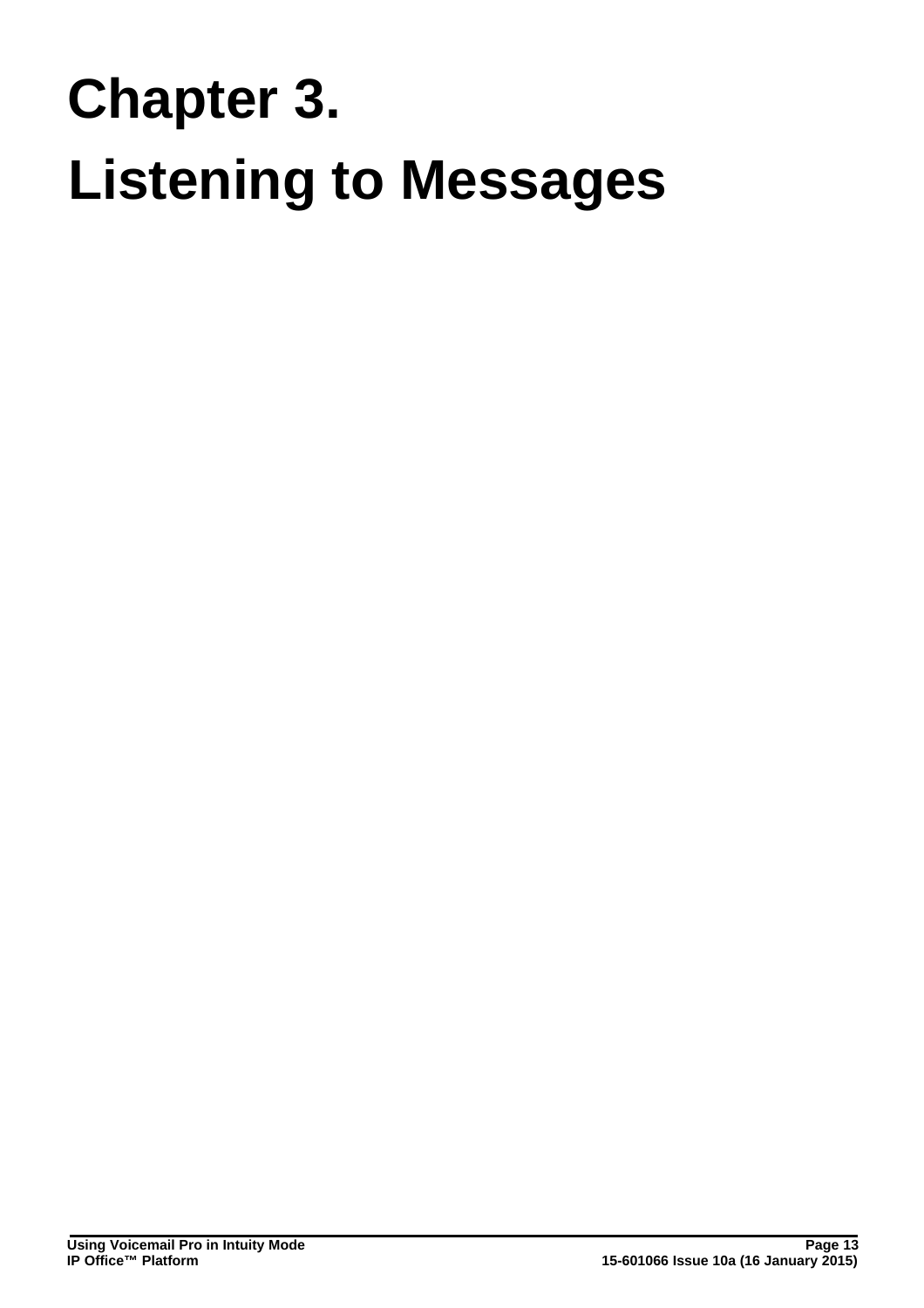# **Listening to Messages Chapter 3.**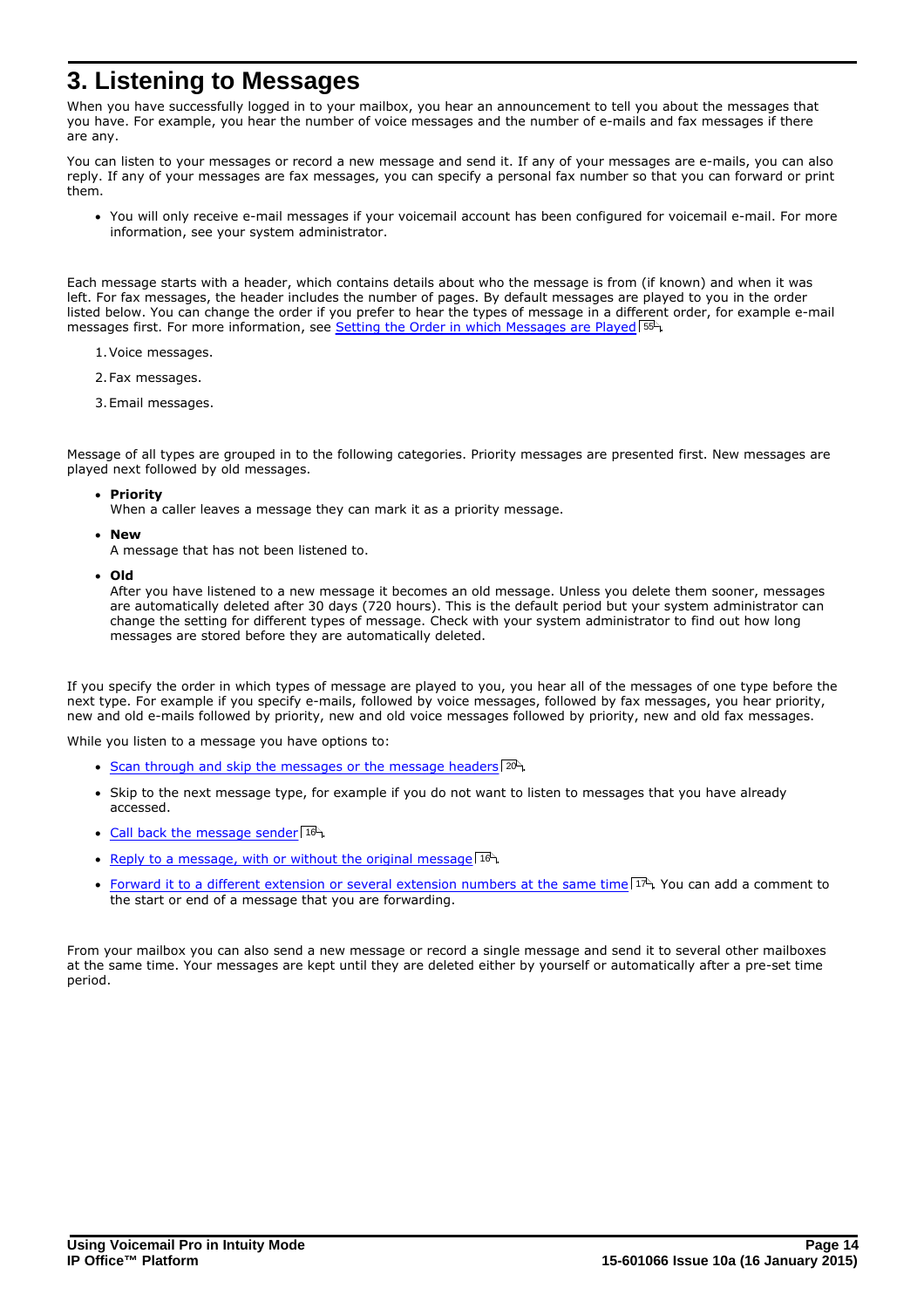# <span id="page-13-0"></span>**3. Listening to Messages**

When you have successfully logged in to your mailbox, you hear an announcement to tell you about the messages that you have. For example, you hear the number of voice messages and the number of e-mails and fax messages if there are any.

You can listen to your messages or record a new message and send it. If any of your messages are e-mails, you can also reply. If any of your messages are fax messages, you can specify a personal fax number so that you can forward or print them.

· You will only receive e-mail messages if your voicemail account has been configured for voicemail e-mail. For more information, see your system administrator.

Each message starts with a header, which contains details about who the message is from (if known) and when it was left. For fax messages, the header includes the number of pages. By default messages are played to you in the order listed below. You can change the order if you prefer to hear the types of message in a different order, for example e-mail messages first. For more information, see <u>Setting the Order in which Messages are Played</u> 55 t

- 1.Voice messages.
- 2.Fax messages.
- 3.Email messages.

Message of all types are grouped in to the following categories. Priority messages are presented first. New messages are played next followed by old messages.

- · **Priority**
	- When a caller leaves a message they can mark it as a priority message.
- · **New**

A message that has not been listened to.

· **Old**

After you have listened to a new message it becomes an old message. Unless you delete them sooner, messages are automatically deleted after 30 days (720 hours). This is the default period but your system administrator can change the setting for different types of message. Check with your system administrator to find out how long messages are stored before they are automatically deleted.

If you specify the order in which types of message are played to you, you hear all of the messages of one type before the next type. For example if you specify e-mails, followed by voice messages, followed by fax messages, you hear priority, new and old e-mails followed by priority, new and old voice messages followed by priority, new and old fax messages.

While you listen to a message you have options to:

- [Scan through and skip the messages or the message headers](#page-19-0)  $20^{\circ}$ .
- · Skip to the next message type, for example if you do not want to listen to messages that you have already accessed.
- [Call back the message sender](#page-15-0) 16<sup>4</sup>.
- [Reply to a message, with or without the original message](#page-15-1)  $16^{\circ}$ .
- [Forward it to a different extension or several extension numbers at the same time](#page-16-0)  $17^{\circ}$ . You can add a comment to the start or end of a message that you are forwarding.

From your mailbox you can also send a new message or record a single message and send it to several other mailboxes at the same time. Your messages are kept until they are deleted either by yourself or automatically after a pre-set time period.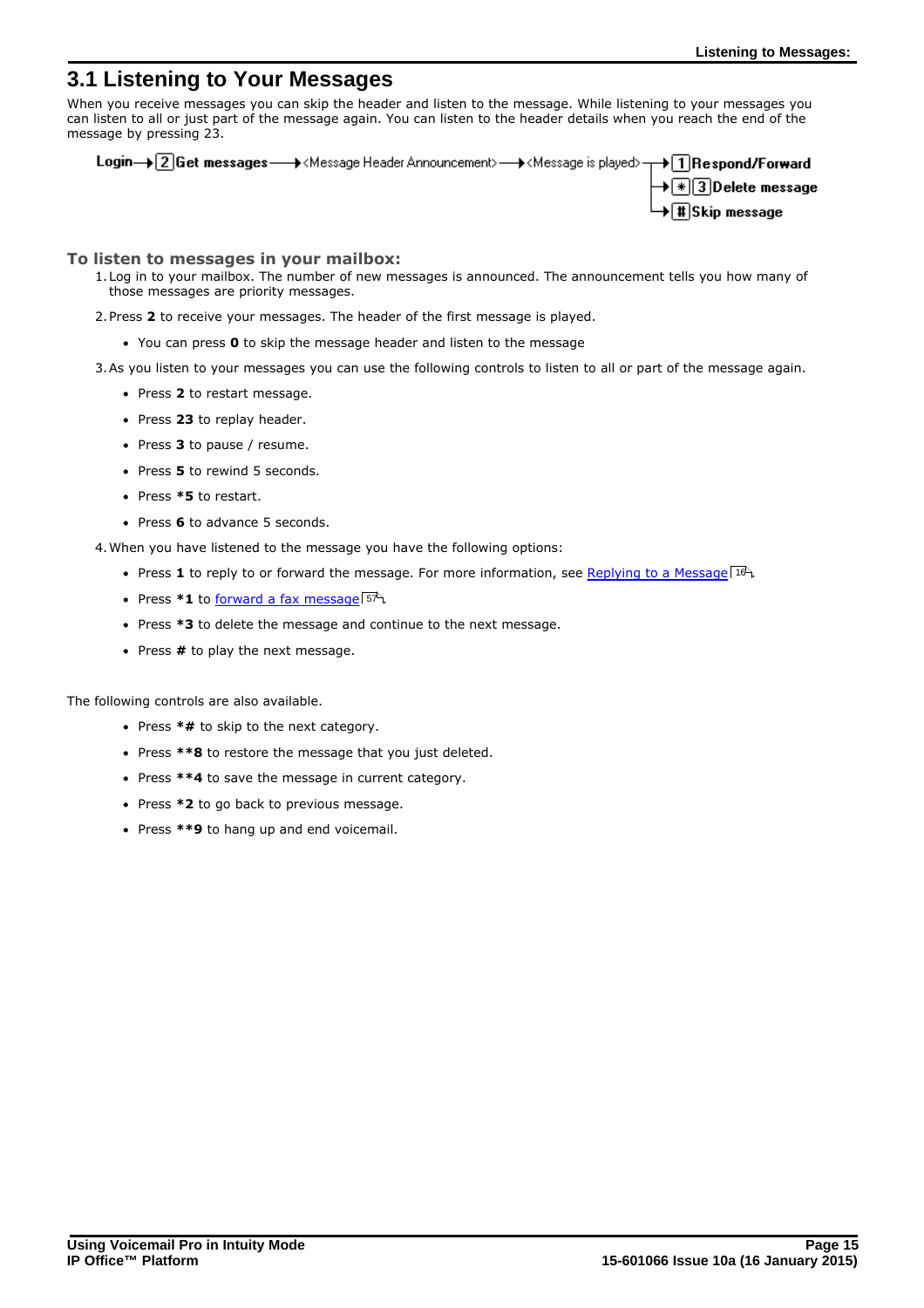## <span id="page-14-0"></span>**3.1 Listening to Your Messages**

When you receive messages you can skip the header and listen to the message. While listening to your messages you can listen to all or just part of the message again. You can listen to the header details when you reach the end of the message by pressing 23.

Login→ 2 Get messages - A<Message Header Announcement> - A<Message is played> - A T Respond/Forward  $\blacktriangleright \lceil * \rceil$ 3 $\lceil$ Delete message  $\lceil\text{\tt\#}\rceil$ Skip message

### **To listen to messages in your mailbox:**

- 1.Log in to your mailbox. The number of new messages is announced. The announcement tells you how many of those messages are priority messages.
- 2.Press **2** to receive your messages. The header of the first message is played.
	- · You can press **0** to skip the message header and listen to the message

3.As you listen to your messages you can use the following controls to listen to all or part of the message again.

- · Press **2** to restart message.
- · Press **23** to replay header.
- · Press **3** to pause / resume.
- · Press **5** to rewind 5 seconds.
- · Press **\*5** to restart.
- · Press **6** to advance 5 seconds.

4.When you have listened to the message you have the following options:

- Press 1 to reply to or forward the message. For more information, see <u>Replying to a Message Stella</u>
- Press \*1 to [forward a fax message](#page-56-1) <sup>57</sup>.
- · Press **\*3** to delete the message and continue to the next message.
- · Press **#** to play the next message.

The following controls are also available.

- · Press **\*#** to skip to the next category.
- · Press **\*\*8** to restore the message that you just deleted.
- · Press **\*\*4** to save the message in current category.
- · Press **\*2** to go back to previous message.
- · Press **\*\*9** to hang up and end voicemail.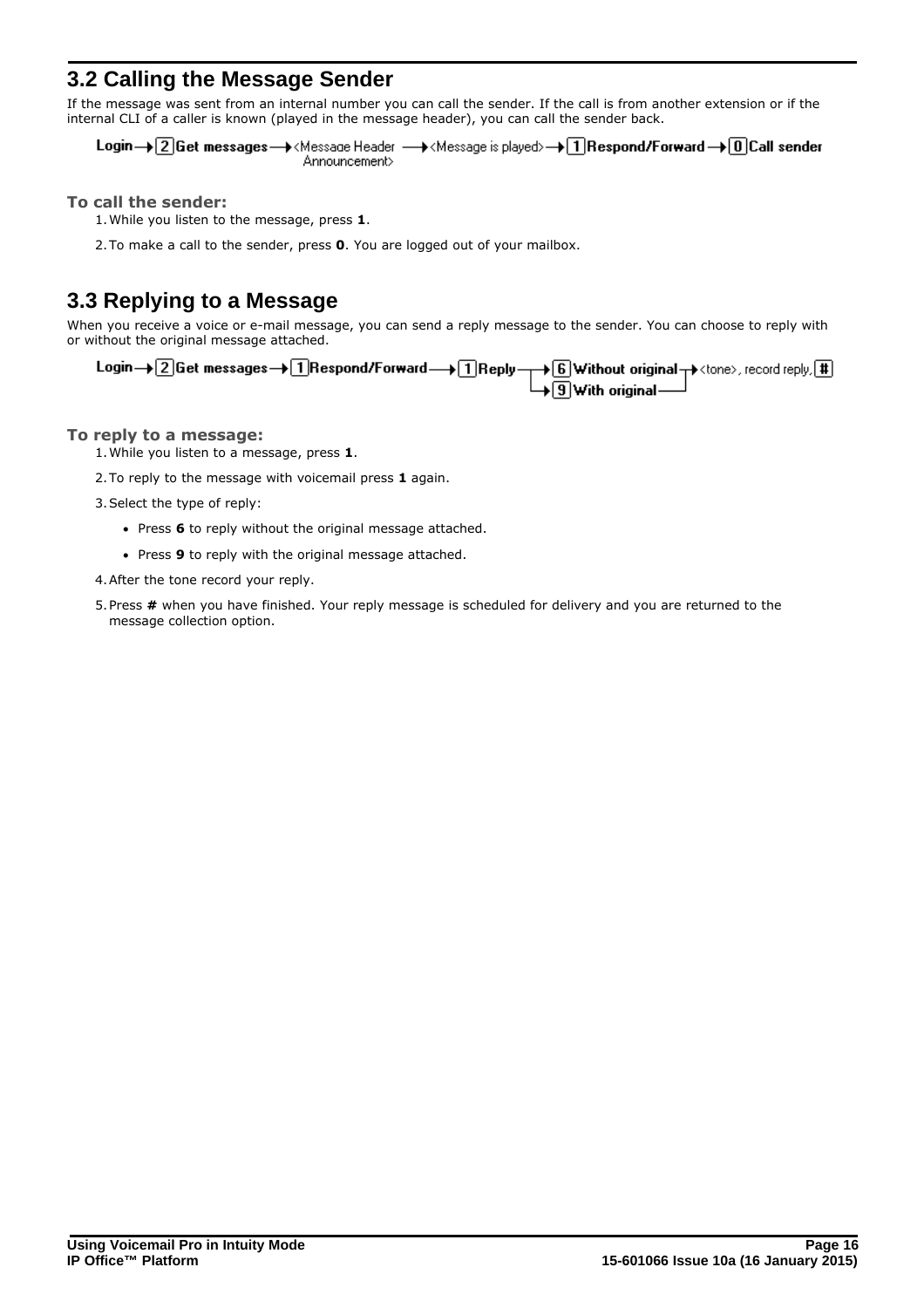# <span id="page-15-0"></span>**3.2 Calling the Message Sender**

If the message was sent from an internal number you can call the sender. If the call is from another extension or if the internal CLI of a caller is known (played in the message header), you can call the sender back.

Login→ 2 Get messages→ <Message Header → <Message is played>→ 1 Respond/Forward → 0 Call sender Announcement>

**To call the sender:**

1.While you listen to the message, press **1**.

2.To make a call to the sender, press **0**. You are logged out of your mailbox.

# <span id="page-15-1"></span>**3.3 Replying to a Message**

When you receive a voice or e-mail message, you can send a reply message to the sender. You can choose to reply with or without the original message attached.

Login  $\rightarrow$  2 Get messages  $\rightarrow$  1 Respond/Forward  $\rightarrow$  1 Reply  $\rightarrow$  6 Without original  $\rightarrow$  <tone>, record reply,  $\boxplus$ 

### **To reply to a message:**

1.While you listen to a message, press **1**.

2.To reply to the message with voicemail press **1** again.

3.Select the type of reply:

- · Press **6** to reply without the original message attached.
- · Press **9** to reply with the original message attached.
- 4.After the tone record your reply.
- 5.Press **#** when you have finished. Your reply message is scheduled for delivery and you are returned to the message collection option.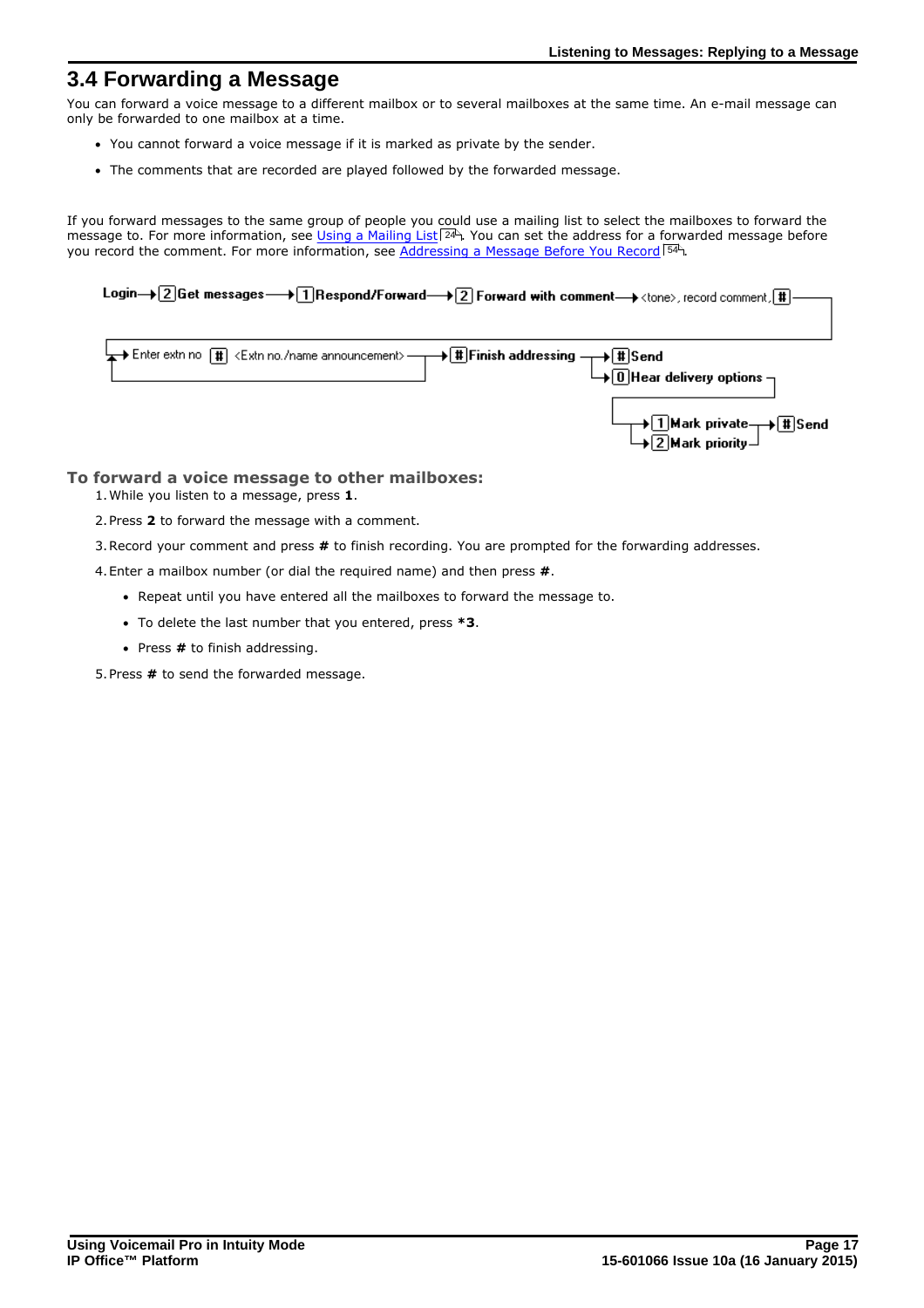## <span id="page-16-0"></span>**3.4 Forwarding a Message**

You can forward a voice message to a different mailbox or to several mailboxes at the same time. An e-mail message can only be forwarded to one mailbox at a time.

- · You cannot forward a voice message if it is marked as private by the sender.
- · The comments that are recorded are played followed by the forwarded message.

If you forward messages to the same group of people you could use a mailing list to select the mailboxes to forward the message to. For more information, see <u>Using a Mailing List</u>|24<sup>5</sup>. You can set the address for a forwarded message before you record the comment. For more information, see <u>[Addressing a Message Before You Record](#page-53-0)</u> 54<sup>4</sup>. 24<sup>⊔</sup>). You 54

Login→ 2 Get messages → 1 Respond/Forward → 2 Forward with comment → <tone>, record comment, #



### **To forward a voice message to other mailboxes:**

1.While you listen to a message, press **1**.

2.Press **2** to forward the message with a comment.

3.Record your comment and press **#** to finish recording. You are prompted for the forwarding addresses.

4.Enter a mailbox number (or dial the required name) and then press **#**.

- · Repeat until you have entered all the mailboxes to forward the message to.
- · To delete the last number that you entered, press **\*3**.
- · Press **#** to finish addressing.

5.Press **#** to send the forwarded message.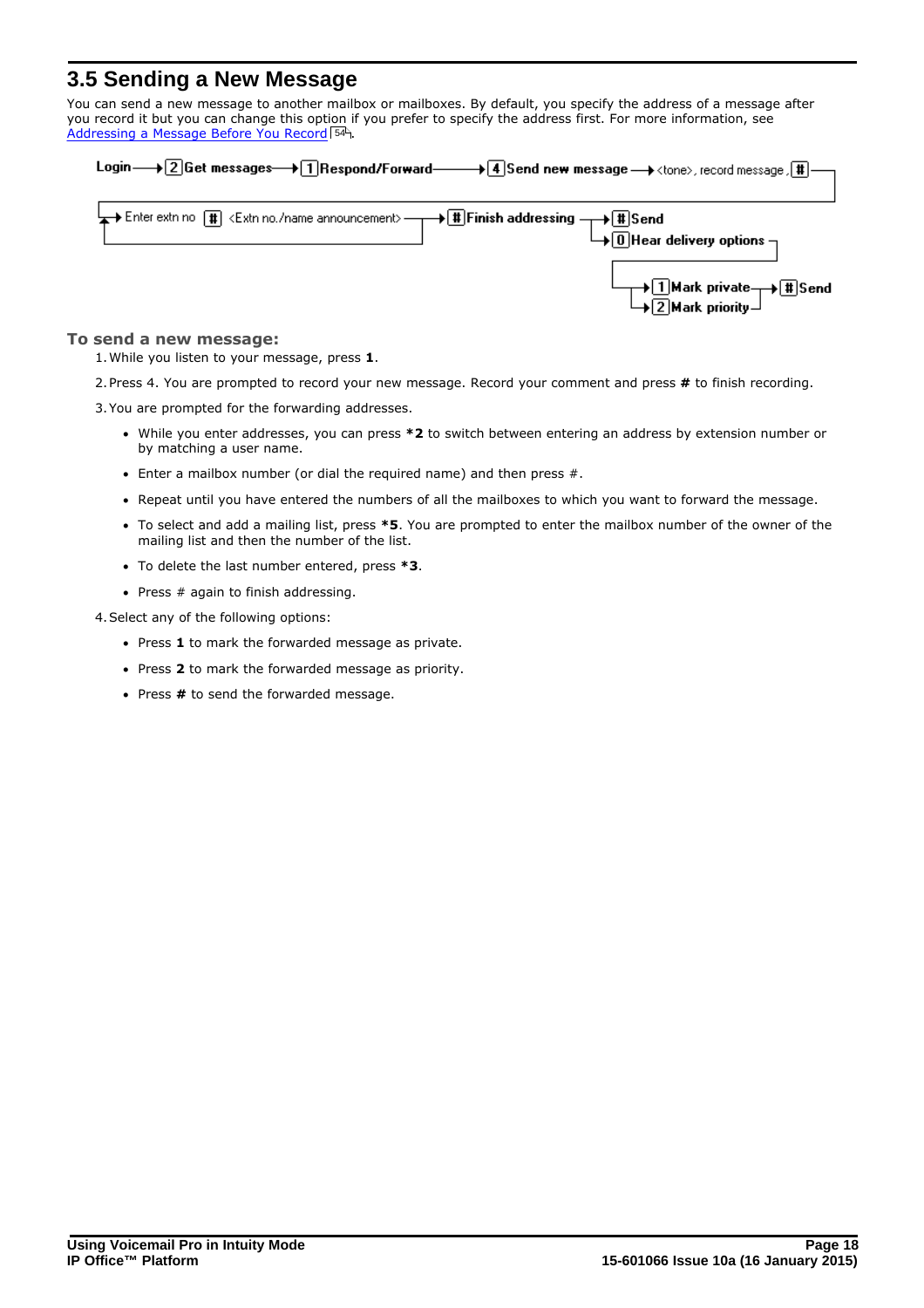# <span id="page-17-0"></span>**3.5 Sending a New Message**

You can send a new message to another mailbox or mailboxes. By default, you specify the address of a message after you record it but you can change this option if you prefer to specify the address first. For more information, see [Addressing a Message Before You Record](#page-53-0) 54 .

| Login—+2 Get messages—+1 Respond/Forward——+4 Send new message—+ <tone>, record message, [#]—</tone> |  |
|-----------------------------------------------------------------------------------------------------|--|
| → 1 Mark private → II Send<br>→ 2 Mark priority                                                     |  |

### **To send a new message:**

1.While you listen to your message, press **1**.

2.Press 4. You are prompted to record your new message. Record your comment and press **#** to finish recording.

3.You are prompted for the forwarding addresses.

- · While you enter addresses, you can press **\*2** to switch between entering an address by extension number or by matching a user name.
- · Enter a mailbox number (or dial the required name) and then press #.
- · Repeat until you have entered the numbers of all the mailboxes to which you want to forward the message.
- · To select and add a mailing list, press **\*5**. You are prompted to enter the mailbox number of the owner of the mailing list and then the number of the list.
- · To delete the last number entered, press **\*3**.
- · Press # again to finish addressing.

4.Select any of the following options:

- · Press **1** to mark the forwarded message as private.
- · Press **2** to mark the forwarded message as priority.
- · Press **#** to send the forwarded message.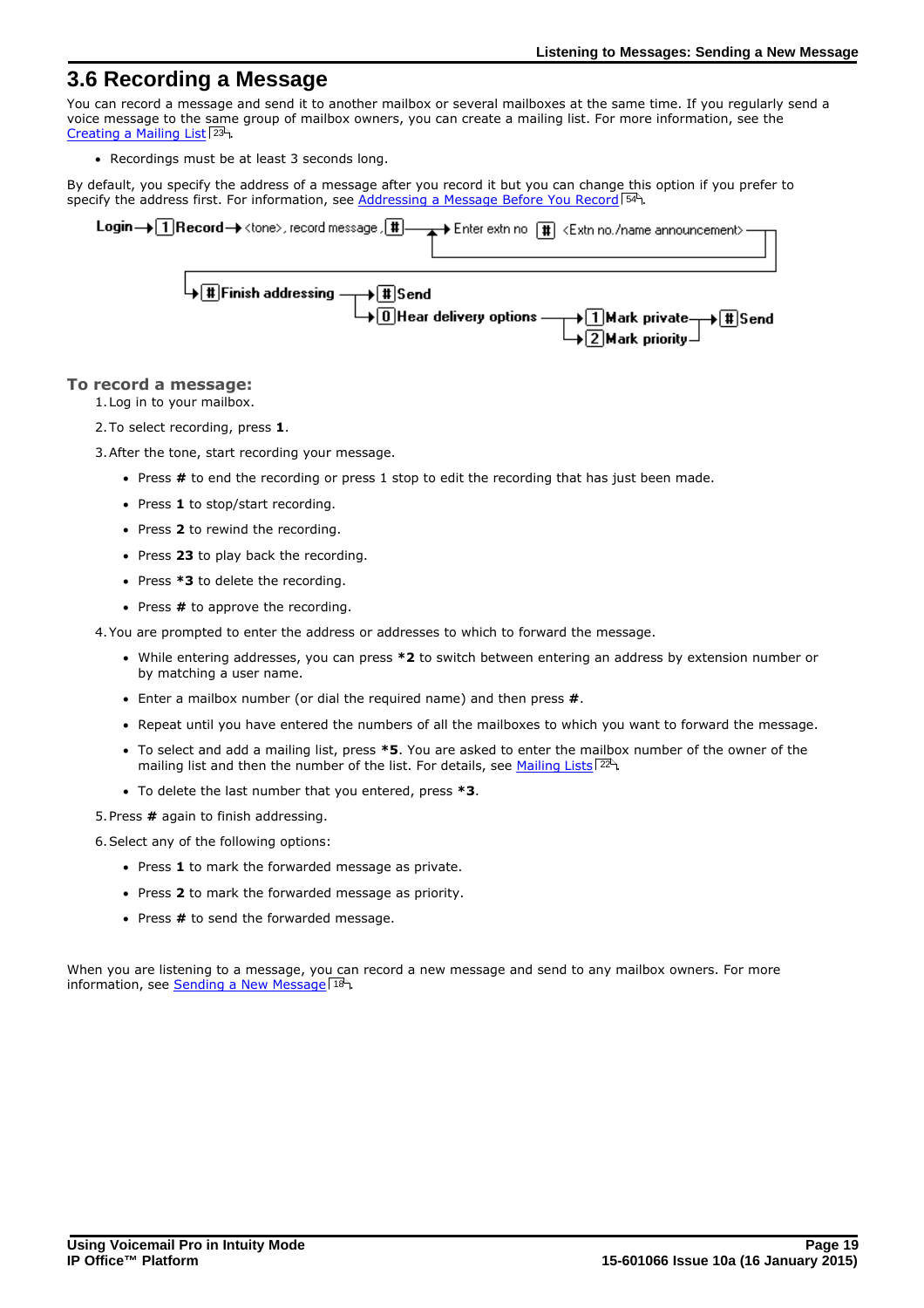### <span id="page-18-0"></span>**3.6 Recording a Message**

You can record a message and send it to another mailbox or several mailboxes at the same time. If you regularly send a voice message to the same group of mailbox owners, you can create a mailing list. For more information, see the [Creating a Mailing List](#page-22-0) 23 .

· Recordings must be at least 3 seconds long.

By default, you specify the address of a message after you record it but you can change this option if you prefer to specify the address first. For information, see <u>[Addressing a Message Before You Record](#page-53-0)</u> 54 hetash.

| Login → 1 Record → <tone>, record message, II → → Enter extr no [I] <extr announcement="" name="" no.=""> →</extr></tone>                       |
|-------------------------------------------------------------------------------------------------------------------------------------------------|
| $\downarrow$ T Finish addressing $\rightarrow$ T Send<br>$\rightarrow$ 0 Hear delivery options $\rightarrow$ 1 Mark private $\rightarrow$ T Ser |

### **To record a message:**

1.Log in to your mailbox.

2.To select recording, press **1**.

3.After the tone, start recording your message.

- · Press **#** to end the recording or press 1 stop to edit the recording that has just been made.
- · Press **1** to stop/start recording.
- · Press **2** to rewind the recording.
- · Press **23** to play back the recording.
- · Press **\*3** to delete the recording.
- · Press **#** to approve the recording.

4.You are prompted to enter the address or addresses to which to forward the message.

- · While entering addresses, you can press **\*2** to switch between entering an address by extension number or by matching a user name.
- · Enter a mailbox number (or dial the required name) and then press **#**.
- · Repeat until you have entered the numbers of all the mailboxes to which you want to forward the message.
- · To select and add a mailing list, press **\*5**. You are asked to enter the mailbox number of the owner of the mailing list and then the number of the list. For details, see <u>[Mailing Lists](#page-21-0)</u> 22<sup>5</sup>1.
- · To delete the last number that you entered, press **\*3**.

5.Press **#** again to finish addressing.

6.Select any of the following options:

- · Press **1** to mark the forwarded message as private.
- · Press **2** to mark the forwarded message as priority.
- · Press **#** to send the forwarded message.

When you are listening to a message, you can record a new message and send to any mailbox owners. For more information, see [Sending a New Message](#page-17-0) 18 a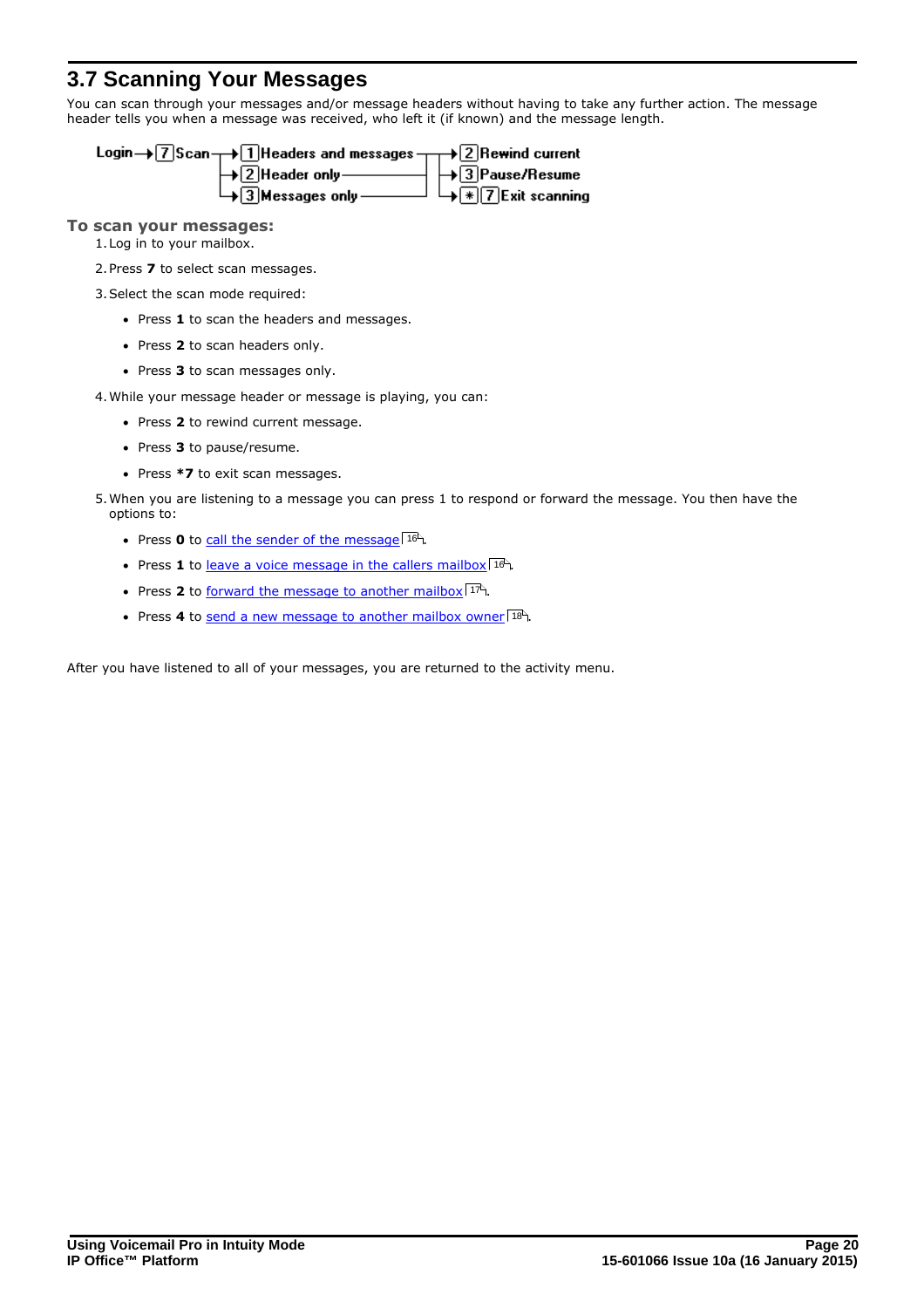# <span id="page-19-0"></span>**3.7 Scanning Your Messages**

You can scan through your messages and/or message headers without having to take any further action. The message header tells you when a message was received, who left it (if known) and the message length.

| Login $\rightarrow$ 7 Scan $\rightarrow$ 1 Headers and messages $\rightarrow$ 2 Rewind current |                              |
|------------------------------------------------------------------------------------------------|------------------------------|
| $\rightarrow$ 2 Header only ————                                                               | $ \leftarrow$ 3 Pause/Resume |
| $\Box$ Messages only -                                                                         | 」└→├☀│7│Exit scanning        |

### **To scan your messages:**

1.Log in to your mailbox.

2.Press **7** to select scan messages.

- 3.Select the scan mode required:
	- · Press **1** to scan the headers and messages.
	- · Press **2** to scan headers only.
	- · Press **3** to scan messages only.

4.While your message header or message is playing, you can:

- · Press **2** to rewind current message.
- · Press **3** to pause/resume.
- · Press **\*7** to exit scan messages.

5.When you are listening to a message you can press 1 to respond or forward the message. You then have the options to:

- Press **0** to [call the sender of the message](#page-15-0)  $16^{\circ}$ .
- Press 1 to [leave a voice message in the callers mailbox](#page-15-1) 16<sup>4</sup>.
- Press 2 to [forward the message to another mailbox](#page-16-0) 17<sup>A</sup>.
- Press 4 to send a new message to another mailbox owner 18

After you have listened to all of your messages, you are returned to the activity menu.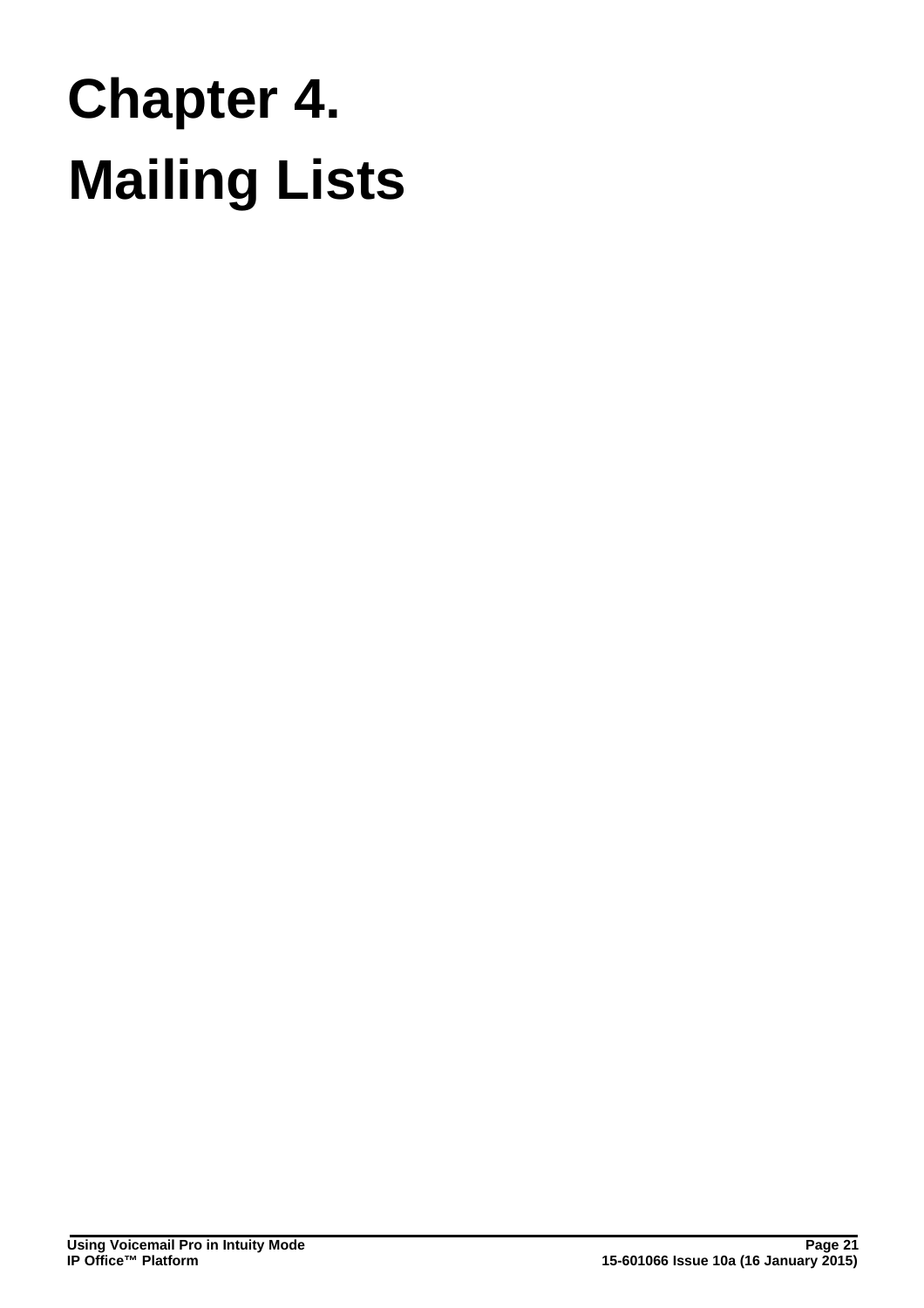# **Mailing Lists Chapter 4.**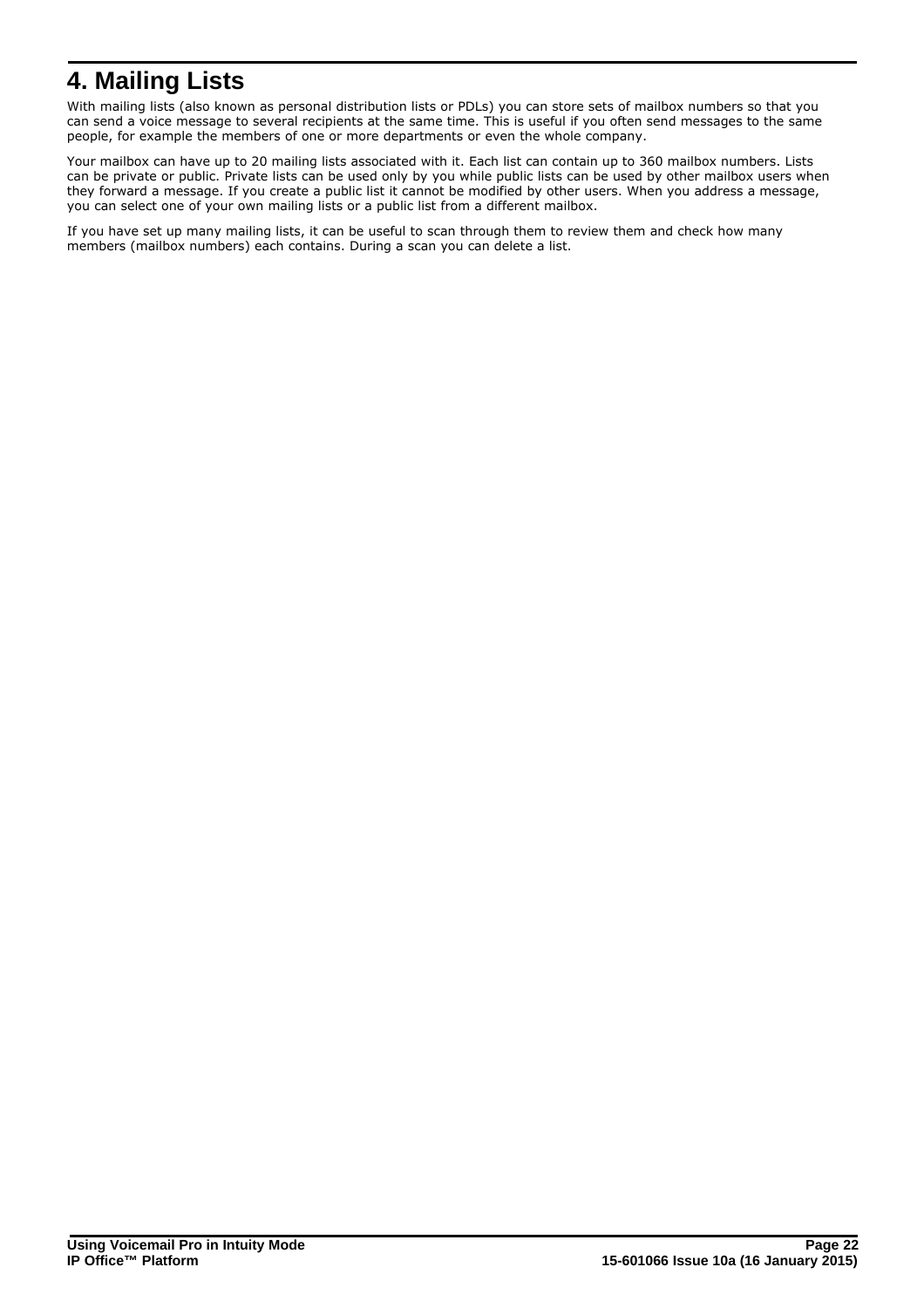# <span id="page-21-0"></span>**4. Mailing Lists**

With mailing lists (also known as personal distribution lists or PDLs) you can store sets of mailbox numbers so that you can send a voice message to several recipients at the same time. This is useful if you often send messages to the same people, for example the members of one or more departments or even the whole company.

Your mailbox can have up to 20 mailing lists associated with it. Each list can contain up to 360 mailbox numbers. Lists can be private or public. Private lists can be used only by you while public lists can be used by other mailbox users when they forward a message. If you create a public list it cannot be modified by other users. When you address a message, you can select one of your own mailing lists or a public list from a different mailbox.

If you have set up many mailing lists, it can be useful to scan through them to review them and check how many members (mailbox numbers) each contains. During a scan you can delete a list.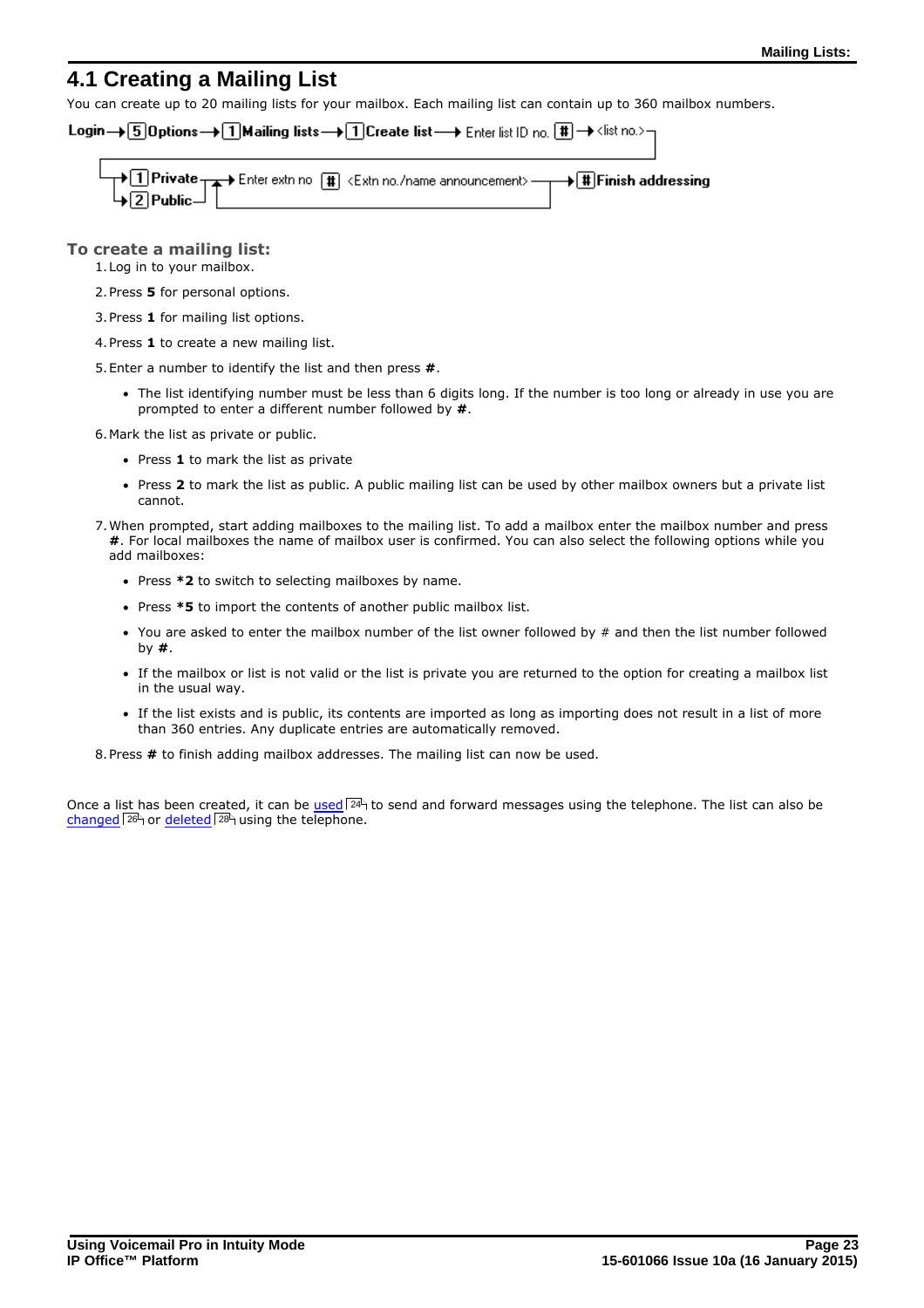## <span id="page-22-0"></span>**4.1 Creating a Mailing List**

You can create up to 20 mailing lists for your mailbox. Each mailing list can contain up to 360 mailbox numbers.

Login→ 5 Options→ 1 Mailing lists → 1 Create list → Enter list ID no. [#] → <list no.>-

| → 1 Private → Enter extr no [#] <extr announcement="" name="" no.=""> → → # Finish addressing<br/>→ 2 Public</extr> |  |
|---------------------------------------------------------------------------------------------------------------------|--|
|---------------------------------------------------------------------------------------------------------------------|--|

### **To create a mailing list:**

1.Log in to your mailbox.

- 2.Press **5** for personal options.
- 3.Press **1** for mailing list options.
- 4.Press **1** to create a new mailing list.

5.Enter a number to identify the list and then press **#**.

· The list identifying number must be less than 6 digits long. If the number is too long or already in use you are prompted to enter a different number followed by **#**.

6.Mark the list as private or public.

- · Press **1** to mark the list as private
- · Press **2** to mark the list as public. A public mailing list can be used by other mailbox owners but a private list cannot.
- 7.When prompted, start adding mailboxes to the mailing list. To add a mailbox enter the mailbox number and press **#**. For local mailboxes the name of mailbox user is confirmed. You can also select the following options while you add mailboxes:
	- · Press **\*2** to switch to selecting mailboxes by name.
	- · Press **\*5** to import the contents of another public mailbox list.
	- · You are asked to enter the mailbox number of the list owner followed by # and then the list number followed by **#**.
	- · If the mailbox or list is not valid or the list is private you are returned to the option for creating a mailbox list in the usual way.
	- · If the list exists and is public, its contents are imported as long as importing does not result in a list of more than 360 entries. Any duplicate entries are automatically removed.

8.Press **#** to finish adding mailbox addresses. The mailing list can now be used.

Once a list has been created, it can be [used](#page-23-0)  $24$  to send and forward messages using the telephone. The list can also be Once a list has been created, it can be <u>used</u> 244 to se<br><u>[changed](#page-25-1) 28</u> or <u>deleted</u> 28 using the telephone.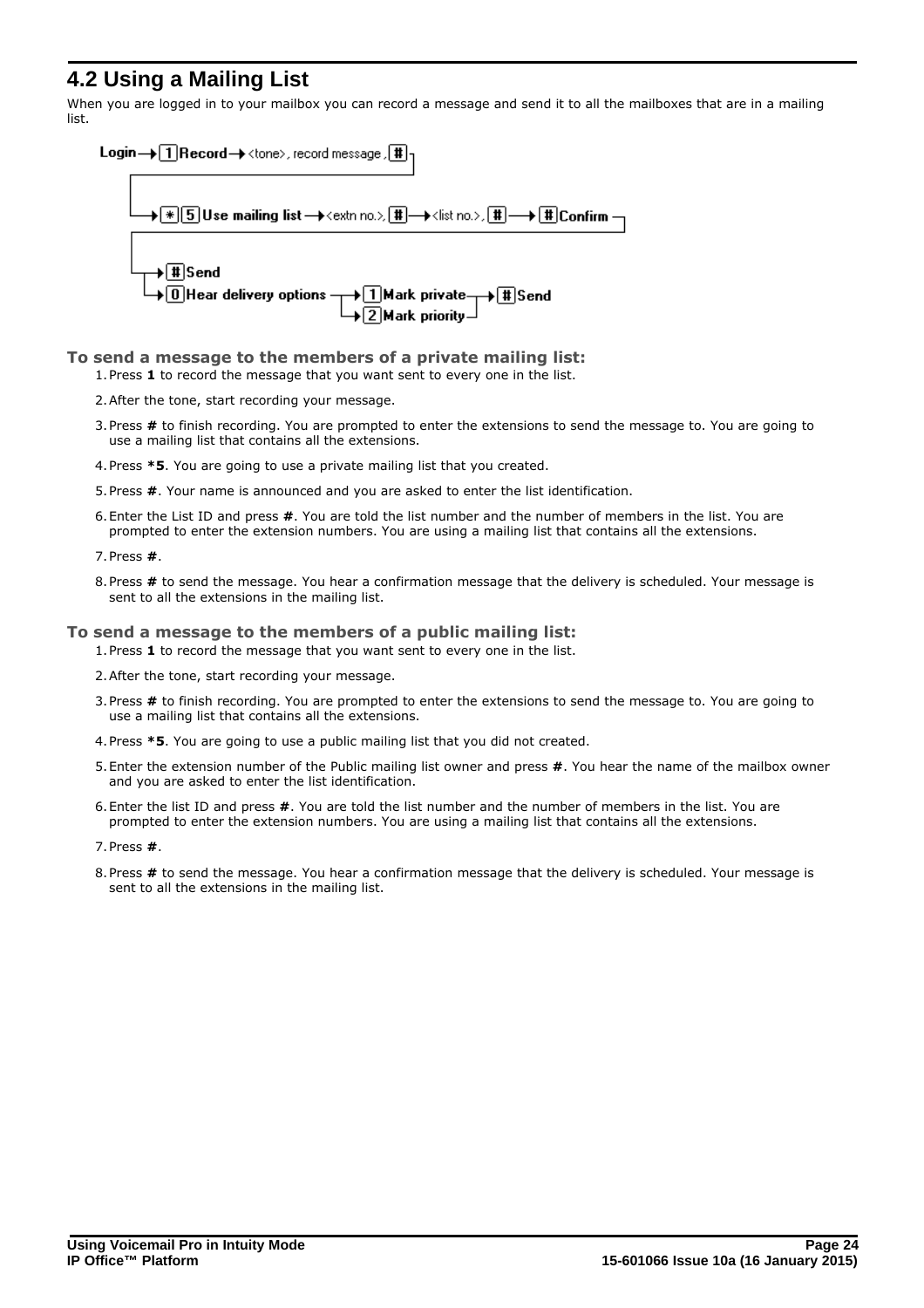# <span id="page-23-0"></span>**4.2 Using a Mailing List**

When you are logged in to your mailbox you can record a message and send it to all the mailboxes that are in a mailing list.



### **To send a message to the members of a private mailing list:**

1.Press **1** to record the message that you want sent to every one in the list.

- 2.After the tone, start recording your message.
- 3.Press **#** to finish recording. You are prompted to enter the extensions to send the message to. You are going to use a mailing list that contains all the extensions.
- 4.Press **\*5**. You are going to use a private mailing list that you created.
- 5.Press **#**. Your name is announced and you are asked to enter the list identification.
- 6.Enter the List ID and press **#**. You are told the list number and the number of members in the list. You are prompted to enter the extension numbers. You are using a mailing list that contains all the extensions.

7.Press **#**.

8.Press **#** to send the message. You hear a confirmation message that the delivery is scheduled. Your message is sent to all the extensions in the mailing list.

### **To send a message to the members of a public mailing list:**

1.Press **1** to record the message that you want sent to every one in the list.

- 2.After the tone, start recording your message.
- 3.Press **#** to finish recording. You are prompted to enter the extensions to send the message to. You are going to use a mailing list that contains all the extensions.
- 4.Press **\*5**. You are going to use a public mailing list that you did not created.
- 5.Enter the extension number of the Public mailing list owner and press **#**. You hear the name of the mailbox owner and you are asked to enter the list identification.
- 6.Enter the list ID and press **#**. You are told the list number and the number of members in the list. You are prompted to enter the extension numbers. You are using a mailing list that contains all the extensions.
- 7.Press **#**.
- 8.Press **#** to send the message. You hear a confirmation message that the delivery is scheduled. Your message is sent to all the extensions in the mailing list.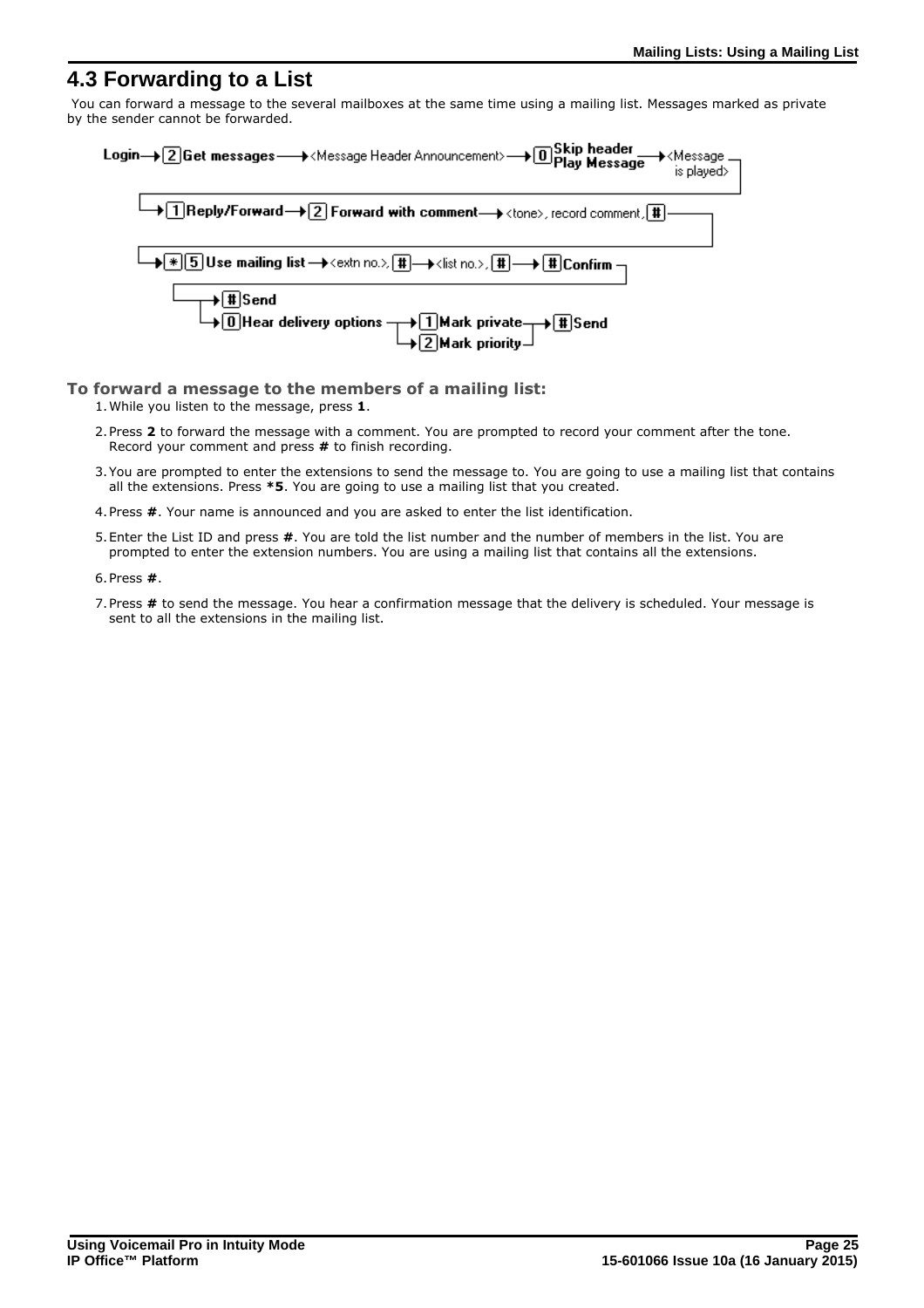## <span id="page-24-0"></span>**4.3 Forwarding to a List**

You can forward a message to the several mailboxes at the same time using a mailing list. Messages marked as private by the sender cannot be forwarded.



### **To forward a message to the members of a mailing list:**

1.While you listen to the message, press **1**.

- 2.Press **2** to forward the message with a comment. You are prompted to record your comment after the tone. Record your comment and press **#** to finish recording.
- 3.You are prompted to enter the extensions to send the message to. You are going to use a mailing list that contains all the extensions. Press **\*5**. You are going to use a mailing list that you created.
- 4.Press **#**. Your name is announced and you are asked to enter the list identification.
- 5.Enter the List ID and press **#**. You are told the list number and the number of members in the list. You are prompted to enter the extension numbers. You are using a mailing list that contains all the extensions.
- 6.Press **#**.
- 7.Press **#** to send the message. You hear a confirmation message that the delivery is scheduled. Your message is sent to all the extensions in the mailing list.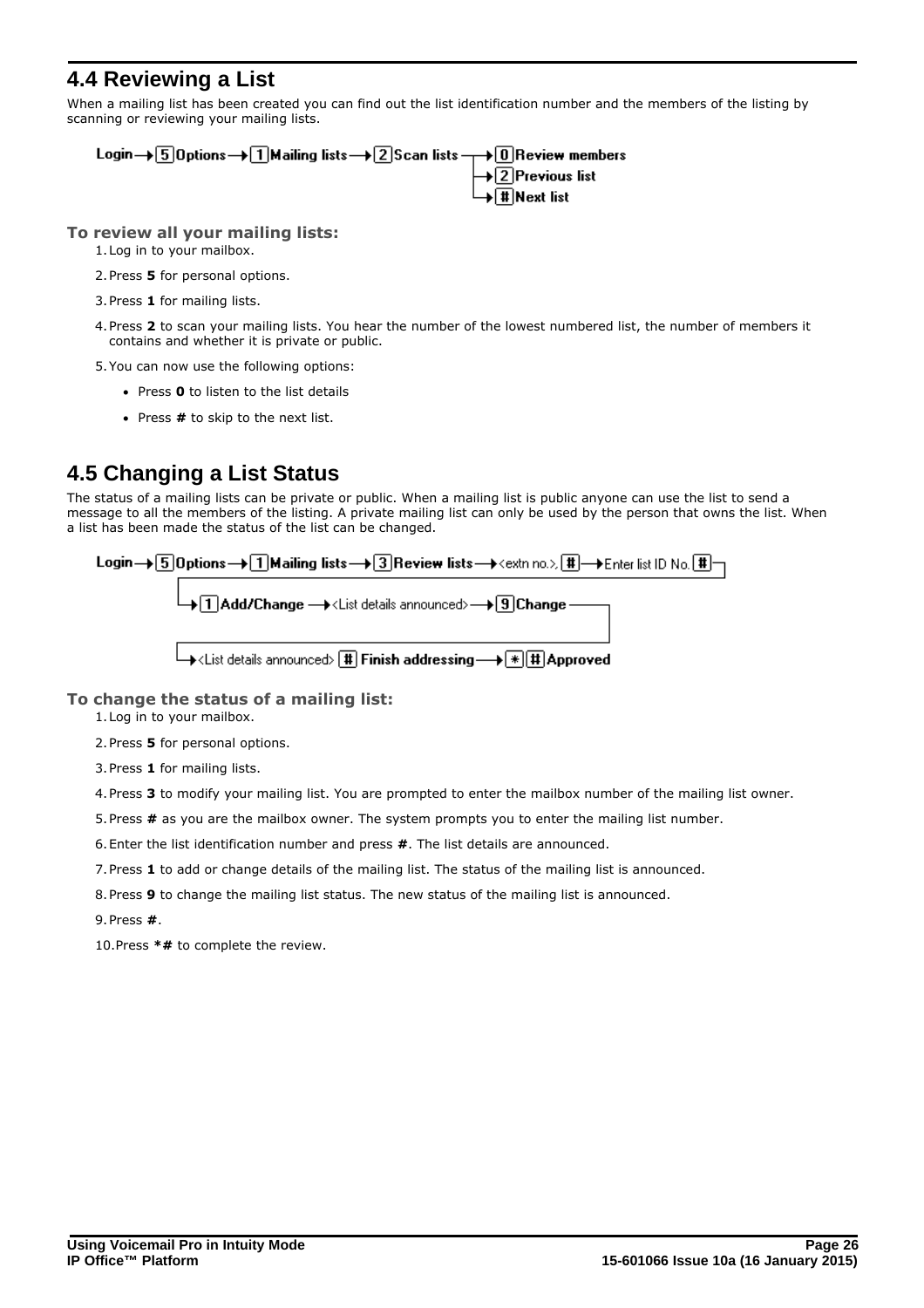# <span id="page-25-0"></span>**4.4 Reviewing a List**

When a mailing list has been created you can find out the list identification number and the members of the listing by scanning or reviewing your mailing lists.



### **To review all your mailing lists:**

- 1.Log in to your mailbox.
- 2.Press **5** for personal options.
- 3.Press **1** for mailing lists.
- 4.Press **2** to scan your mailing lists. You hear the number of the lowest numbered list, the number of members it contains and whether it is private or public.
- 5.You can now use the following options:
	- · Press **0** to listen to the list details
	- · Press **#** to skip to the next list.

# <span id="page-25-1"></span>**4.5 Changing a List Status**

The status of a mailing lists can be private or public. When a mailing list is public anyone can use the list to send a message to all the members of the listing. A private mailing list can only be used by the person that owns the list. When a list has been made the status of the list can be changed.

| Login→ 5 Options→ 1 Mailing lists → 3 Review lists → <extn no.=""> 1 -&gt; Enter list ID No. 1 -</extn> |  |
|---------------------------------------------------------------------------------------------------------|--|
| └→□△ Add/Change → <list announced="" details="">→ 3 Change</list>                                       |  |
| └―→ <list announced="" details=""> (#) Finish addressing —→ (*) #) Approved</list>                      |  |

### **To change the status of a mailing list:**

- 1.Log in to your mailbox.
- 2.Press **5** for personal options.
- 3.Press **1** for mailing lists.
- 4.Press **3** to modify your mailing list. You are prompted to enter the mailbox number of the mailing list owner.
- 5.Press **#** as you are the mailbox owner. The system prompts you to enter the mailing list number.
- 6.Enter the list identification number and press **#**. The list details are announced.
- 7.Press **1** to add or change details of the mailing list. The status of the mailing list is announced.
- 8.Press **9** to change the mailing list status. The new status of the mailing list is announced.
- 9.Press **#**.

10.Press **\*#** to complete the review.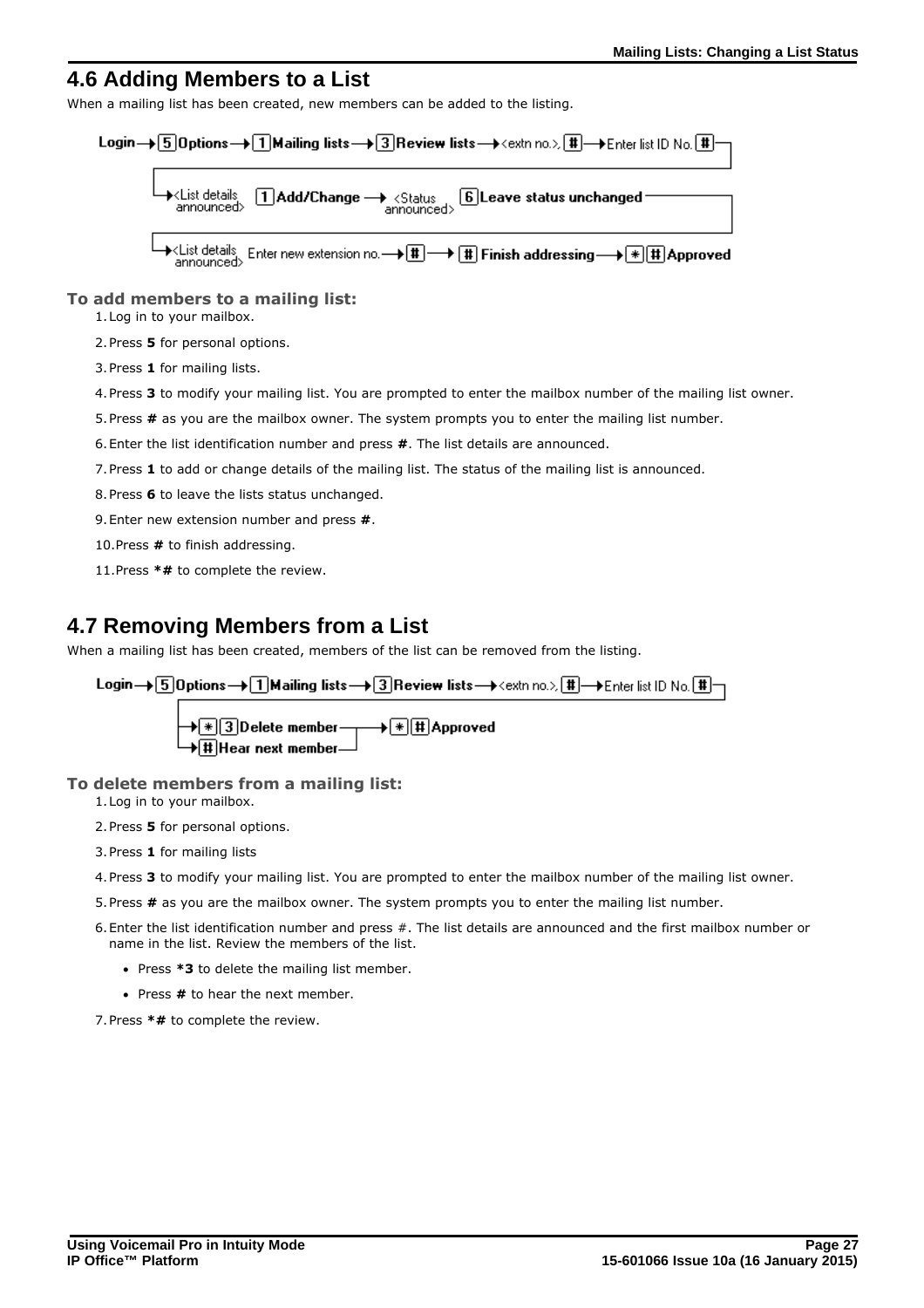### <span id="page-26-0"></span>**4.6 Adding Members to a List**

When a mailing list has been created, new members can be added to the listing.



**To add members to a mailing list:**

1.Log in to your mailbox.

2.Press **5** for personal options.

3.Press **1** for mailing lists.

4.Press **3** to modify your mailing list. You are prompted to enter the mailbox number of the mailing list owner.

5.Press **#** as you are the mailbox owner. The system prompts you to enter the mailing list number.

6.Enter the list identification number and press **#**. The list details are announced.

7.Press **1** to add or change details of the mailing list. The status of the mailing list is announced.

8.Press **6** to leave the lists status unchanged.

9.Enter new extension number and press **#**.

10.Press **#** to finish addressing.

11.Press **\*#** to complete the review.

# <span id="page-26-1"></span>**4.7 Removing Members from a List**

When a mailing list has been created, members of the list can be removed from the listing.

Login→ 5 Options→ 1 Mailing lists → 3 Review lists → <extn no.> # - Enter list ID No. # -

### **To delete members from a mailing list:**

1.Log in to your mailbox.

2.Press **5** for personal options.

- 3.Press **1** for mailing lists
- 4.Press **3** to modify your mailing list. You are prompted to enter the mailbox number of the mailing list owner.
- 5.Press **#** as you are the mailbox owner. The system prompts you to enter the mailing list number.
- 6.Enter the list identification number and press #. The list details are announced and the first mailbox number or name in the list. Review the members of the list.
	- · Press **\*3** to delete the mailing list member.
	- · Press **#** to hear the next member.

7.Press **\*#** to complete the review.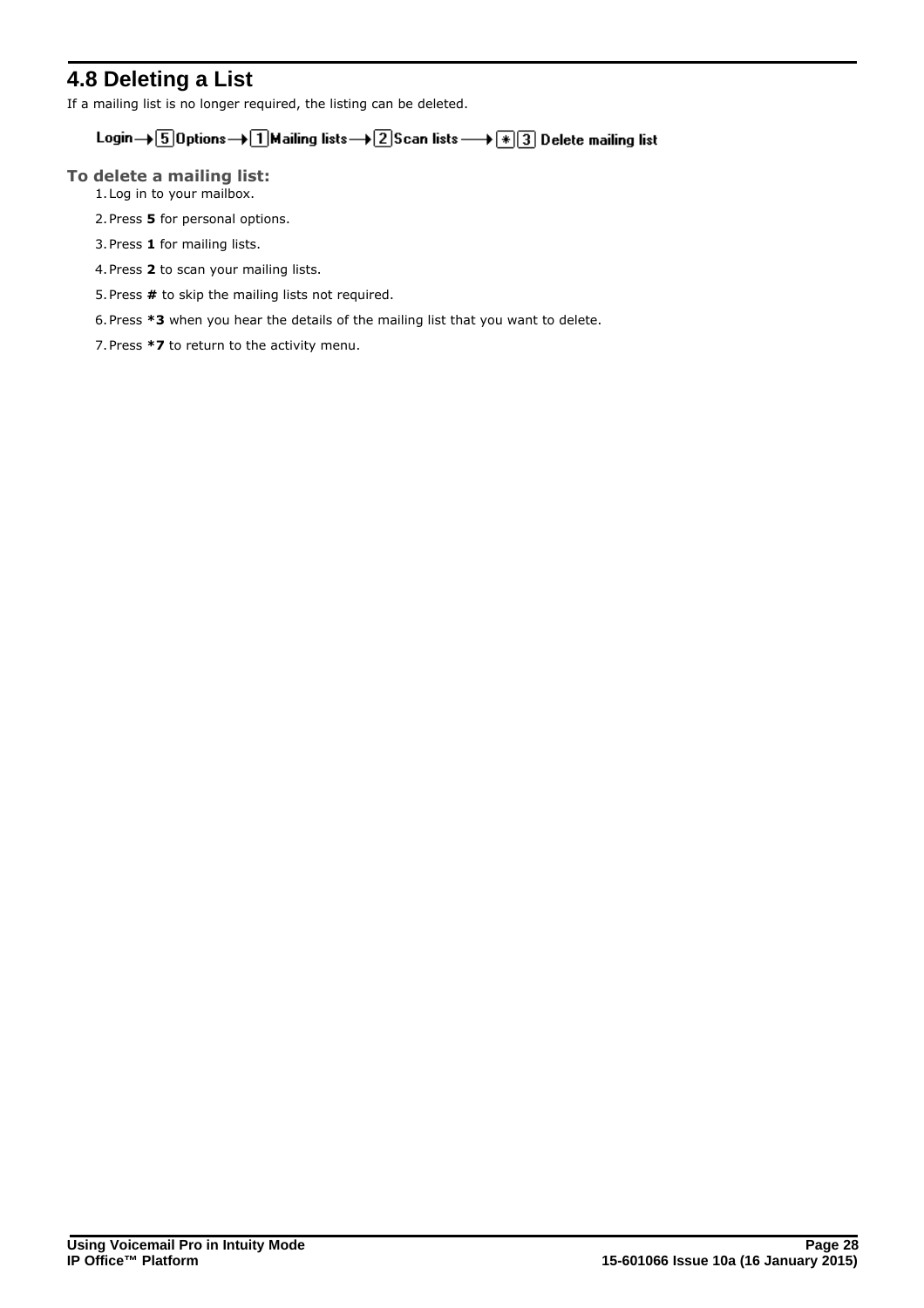# <span id="page-27-0"></span>**4.8 Deleting a List**

If a mailing list is no longer required, the listing can be deleted.

# Login $\rightarrow$  5 Options  $\rightarrow$  1 Mailing lists  $\rightarrow$  2 Scan lists  $\rightarrow$   $\boxed{*}$  3 Delete mailing list

**To delete a mailing list:**

- 1.Log in to your mailbox.
- 2.Press **5** for personal options.
- 3.Press **1** for mailing lists.
- 4.Press **2** to scan your mailing lists.
- 5.Press **#** to skip the mailing lists not required.
- 6.Press **\*3** when you hear the details of the mailing list that you want to delete.
- 7.Press **\*7** to return to the activity menu.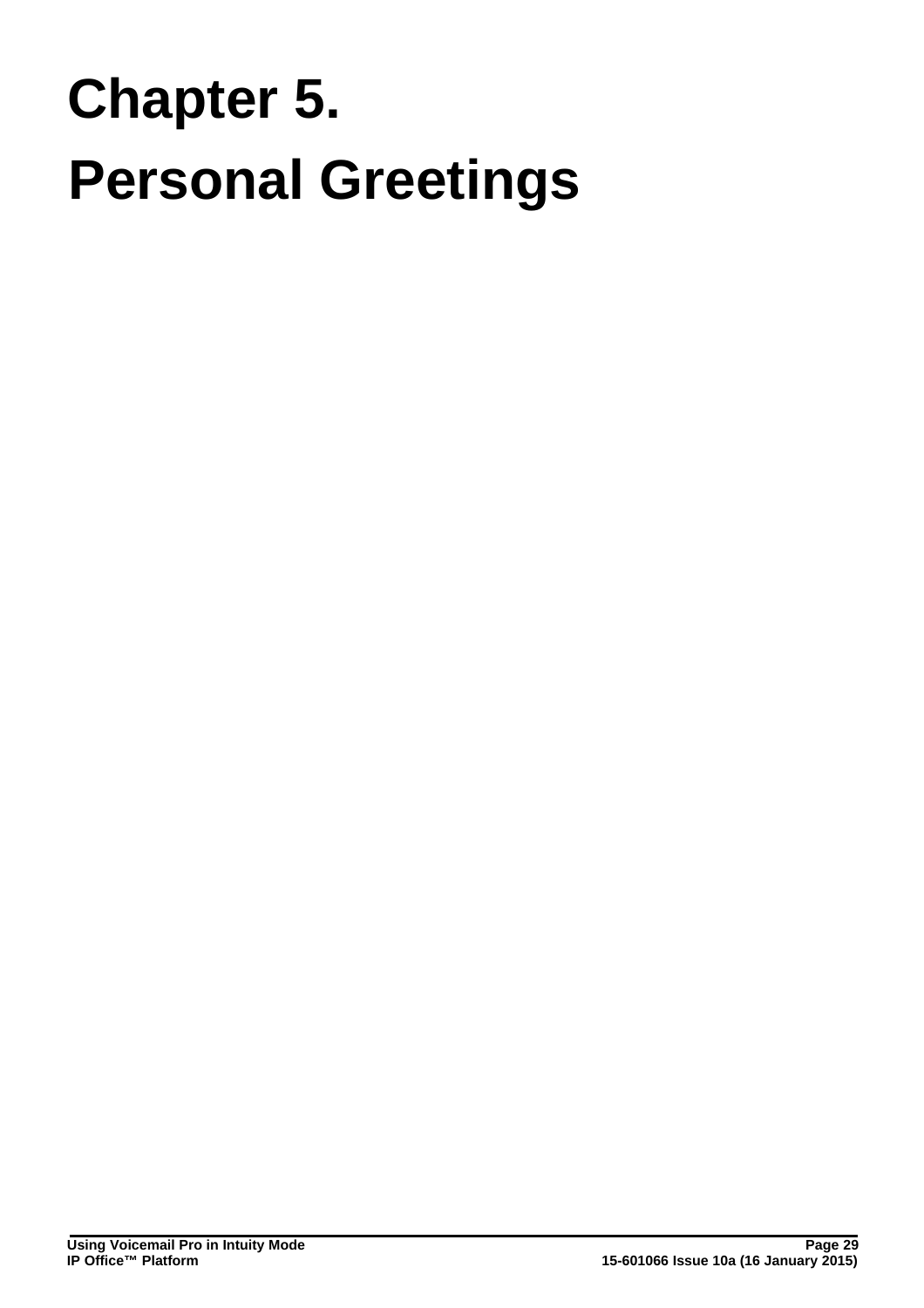# **Personal Greetings Chapter 5.**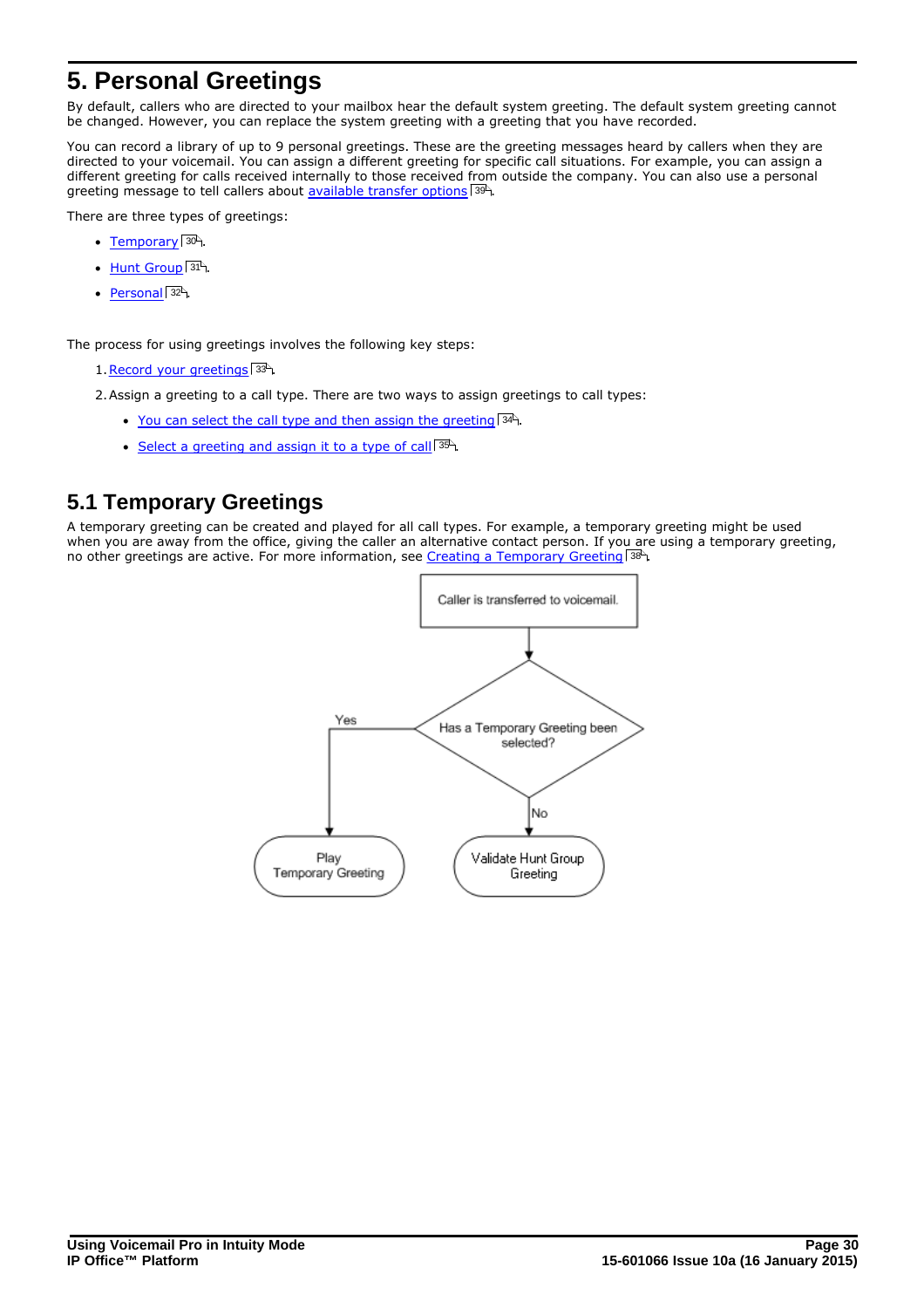# <span id="page-29-0"></span>**5. Personal Greetings**

By default, callers who are directed to your mailbox hear the default system greeting. The default system greeting cannot be changed. However, you can replace the system greeting with a greeting that you have recorded.

You can record a library of up to 9 personal greetings. These are the greeting messages heard by callers when they are directed to your voicemail. You can assign a different greeting for specific call situations. For example, you can assign a different greeting for calls received internally to those received from outside the company. You can also use a personal greeting message to tell callers about <u>available transfer options</u>|39<sup>5</sup>).<br>There are three types of greetings:

- [Temporary](#page-29-1) 30<sup>4</sup>.
- · [Hunt Group](#page-30-0) . 31
- [Personal](#page-31-0) 32 .

The process for using greetings involves the following key steps:

1. Record your greetings 33<sup>4</sup>.

2. Assign a greeting to a call type. There are two ways to assign greetings to call types:

- [You can select the call type and then assign the greeting](#page-33-0)  $34^{\circ}$ .
- [Select a greeting and assign it to a type of call](#page-34-0)  $35^{\circ}$ .

# <span id="page-29-1"></span>**5.1 Temporary Greetings**

A temporary greeting can be created and played for all call types. For example, a temporary greeting might be used when you are away from the office, giving the caller an alternative contact person. If you are using a temporary greeting, no other greetings are active. For more information, see [Creating a Temporary Greeting](#page-37-0) 38 4.

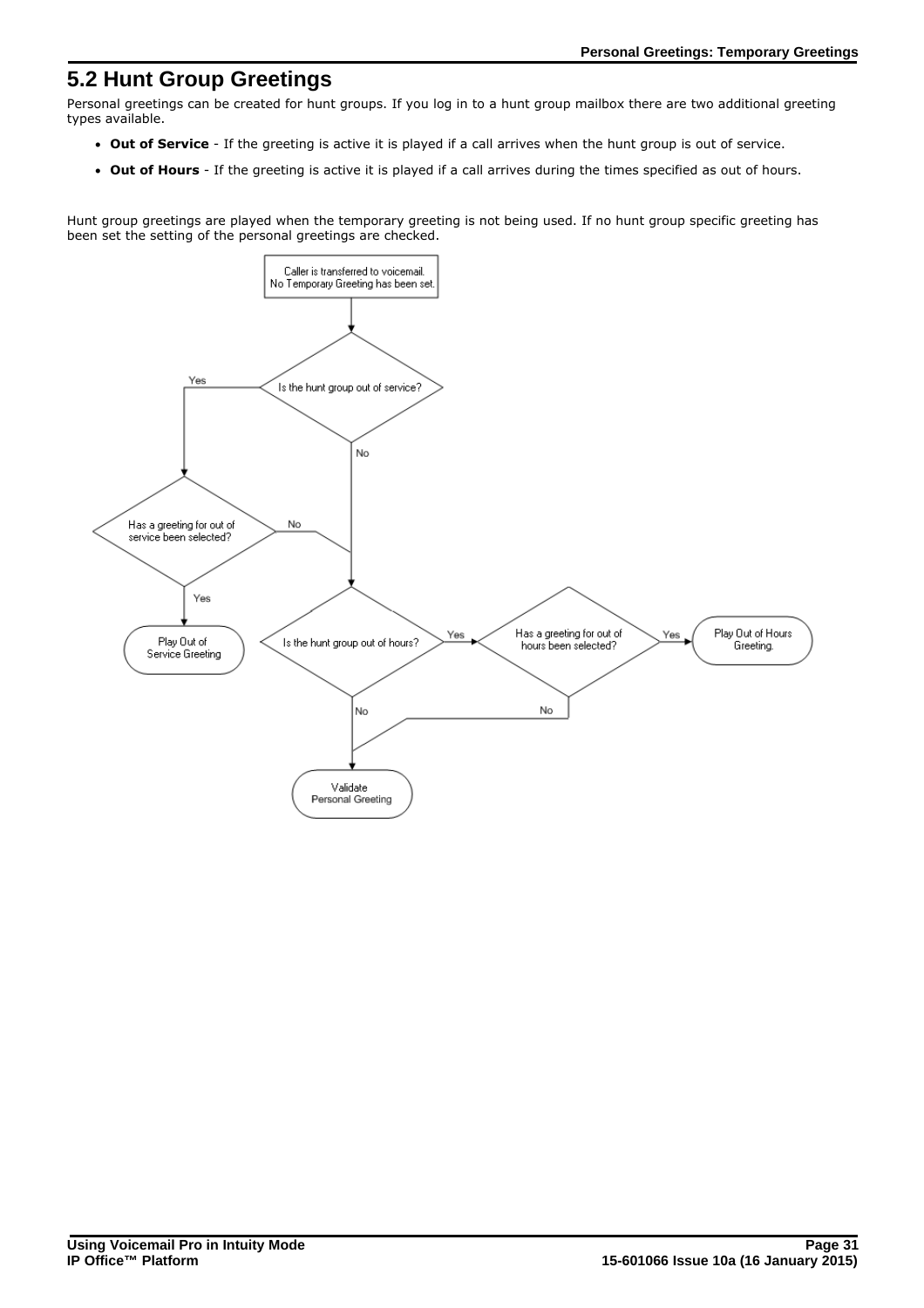# <span id="page-30-0"></span>**5.2 Hunt Group Greetings**

Personal greetings can be created for hunt groups. If you log in to a hunt group mailbox there are two additional greeting types available.

- · **Out of Service** If the greeting is active it is played if a call arrives when the hunt group is out of service.
- · **Out of Hours** If the greeting is active it is played if a call arrives during the times specified as out of hours.

Hunt group greetings are played when the temporary greeting is not being used. If no hunt group specific greeting has been set the setting of the personal greetings are checked.

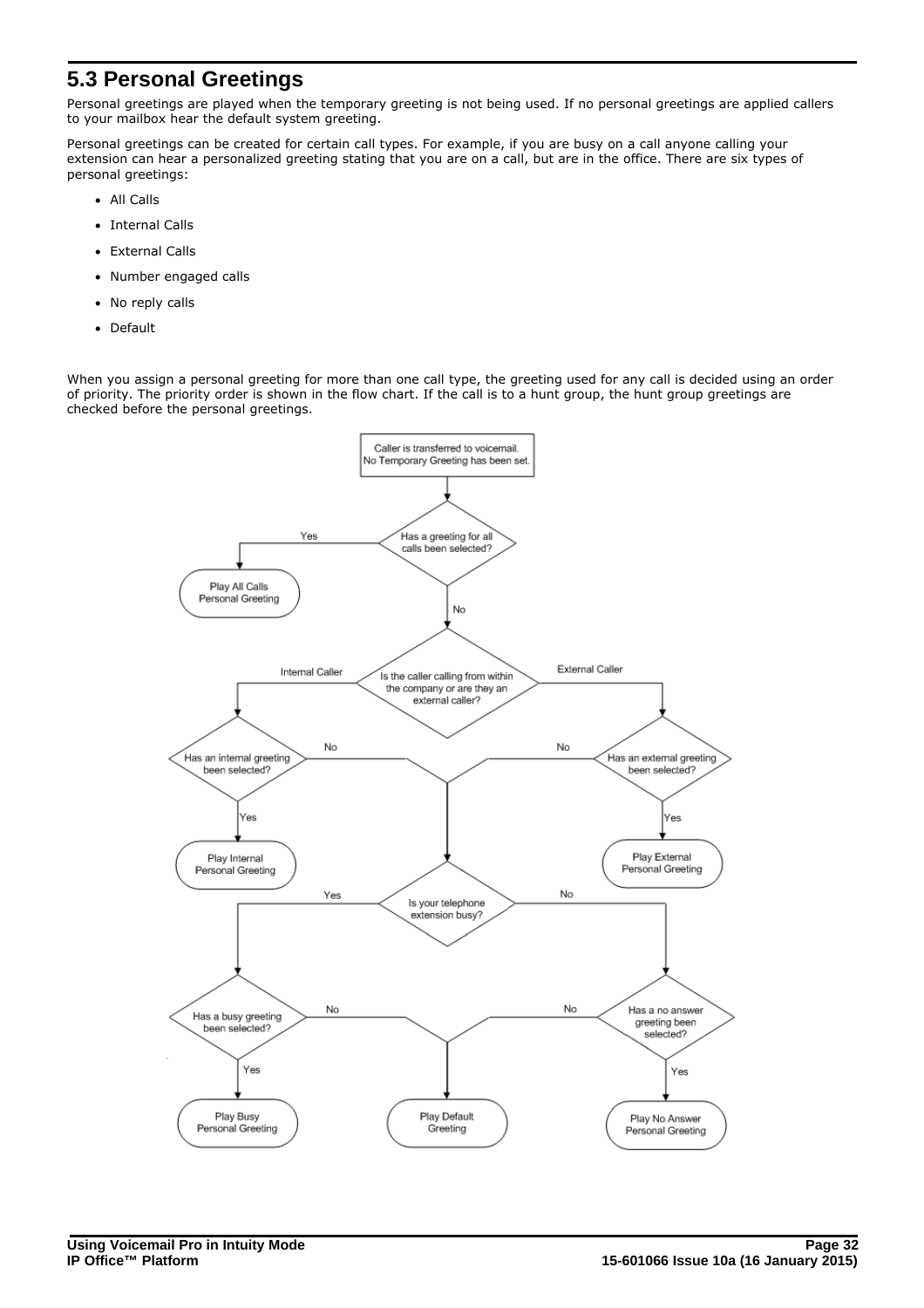# <span id="page-31-0"></span>**5.3 Personal Greetings**

Personal greetings are played when the temporary greeting is not being used. If no personal greetings are applied callers to your mailbox hear the default system greeting.

Personal greetings can be created for certain call types. For example, if you are busy on a call anyone calling your extension can hear a personalized greeting stating that you are on a call, but are in the office. There are six types of personal greetings:

- · All Calls
- · Internal Calls
- · External Calls
- · Number engaged calls
- · No reply calls
- · Default

When you assign a personal greeting for more than one call type, the greeting used for any call is decided using an order of priority. The priority order is shown in the flow chart. If the call is to a hunt group, the hunt group greetings are checked before the personal greetings.

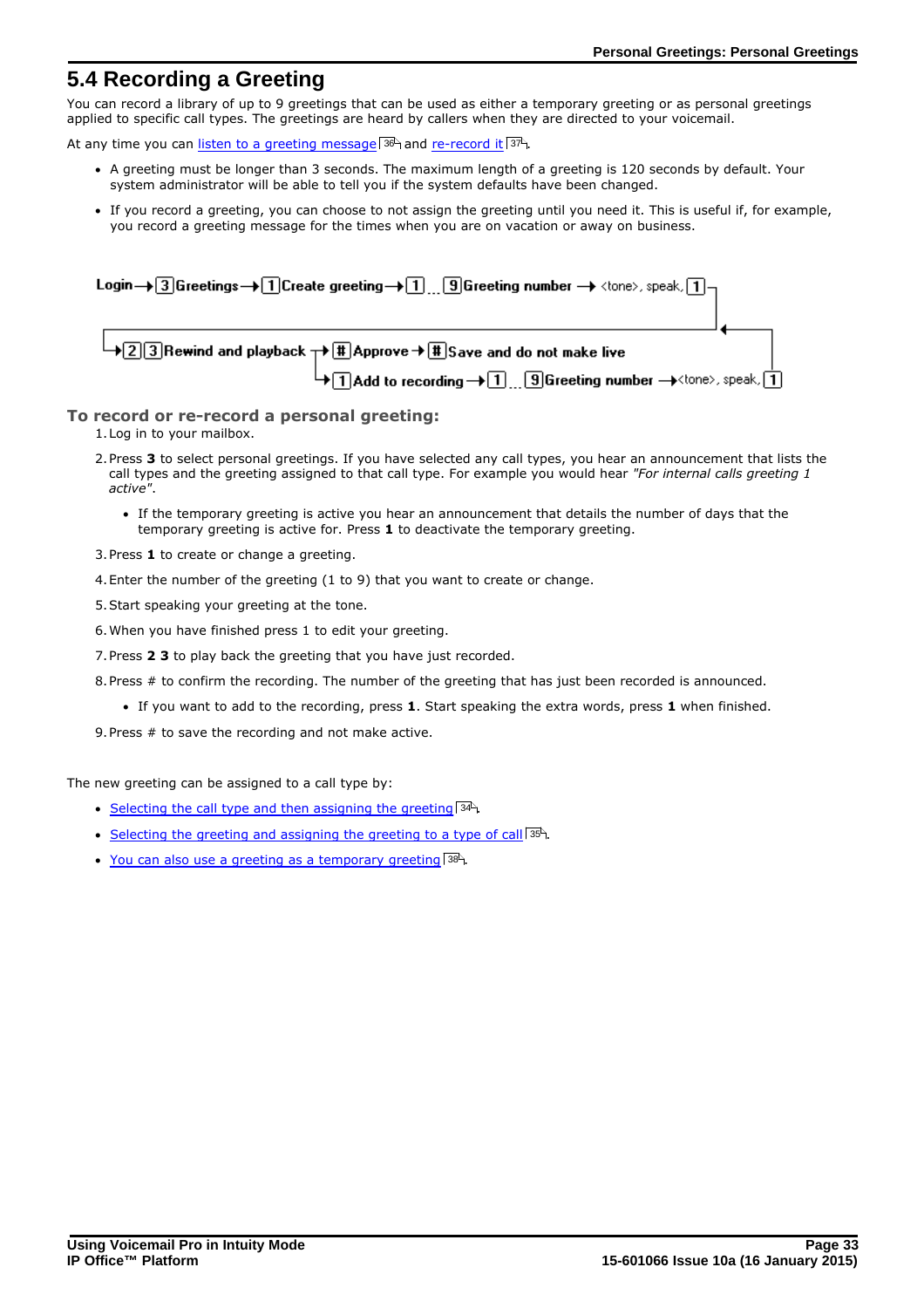# <span id="page-32-0"></span>**5.4 Recording a Greeting**

You can record a library of up to 9 greetings that can be used as either a temporary greeting or as personal greetings applied to specific call types. The greetings are heard by callers when they are directed to your voicemail.

At any time you can <u>[listen to a greeting message](#page-35-1)</u> 36 and [re-record it](#page-36-0) <sup>37</sup>.

- · A greeting must be longer than 3 seconds. The maximum length of a greeting is 120 seconds by default. Your system administrator will be able to tell you if the system defaults have been changed.
- · If you record a greeting, you can choose to not assign the greeting until you need it. This is useful if, for example, you record a greeting message for the times when you are on vacation or away on business.

| Login $\rightarrow$ 3 Greetings $\rightarrow$ 1 Create greeting $\rightarrow$ 1  9 Greeting number $\rightarrow$ <tone>, speak, 1 -</tone> |                                                                                                                                                           |  |  |
|--------------------------------------------------------------------------------------------------------------------------------------------|-----------------------------------------------------------------------------------------------------------------------------------------------------------|--|--|
|                                                                                                                                            | $\rightarrow$ 3 Rewind and playback $\rightarrow$ $\left(\frac{11}{4}\right)$ Approve $\rightarrow$ $\left(\frac{11}{4}\right)$ Save and do not make live |  |  |
|                                                                                                                                            | $\overline{+1}$ Add to recording $\rightarrow$ 1  9 Greeting number $\rightarrow$ < tone>, speak, 1                                                       |  |  |

### **To record or re-record a personal greeting:**

1.Log in to your mailbox.

- 2.Press **3** to select personal greetings. If you have selected any call types, you hear an announcement that lists the call types and the greeting assigned to that call type. For example you would hear *"For internal calls greeting 1 active"*.
	- · If the temporary greeting is active you hear an announcement that details the number of days that the temporary greeting is active for. Press **1** to deactivate the temporary greeting.
- 3.Press **1** to create or change a greeting.
- 4.Enter the number of the greeting (1 to 9) that you want to create or change.
- 5.Start speaking your greeting at the tone.
- 6.When you have finished press 1 to edit your greeting.
- 7.Press **2 3** to play back the greeting that you have just recorded.
- 8.Press # to confirm the recording. The number of the greeting that has just been recorded is announced.
	- · If you want to add to the recording, press **1**. Start speaking the extra words, press **1** when finished.
- 9.Press # to save the recording and not make active.

The new greeting can be assigned to a call type by:

- [Selecting the call type and then assigning the greeting](#page-33-0)  $34^{\circ}$ .
- [Selecting the greeting and assigning the greeting to a type of call](#page-34-0)  $|^{35}$ .
- [You can also use a greeting as a temporary greeting](#page-37-0) 38<sup>4</sup>.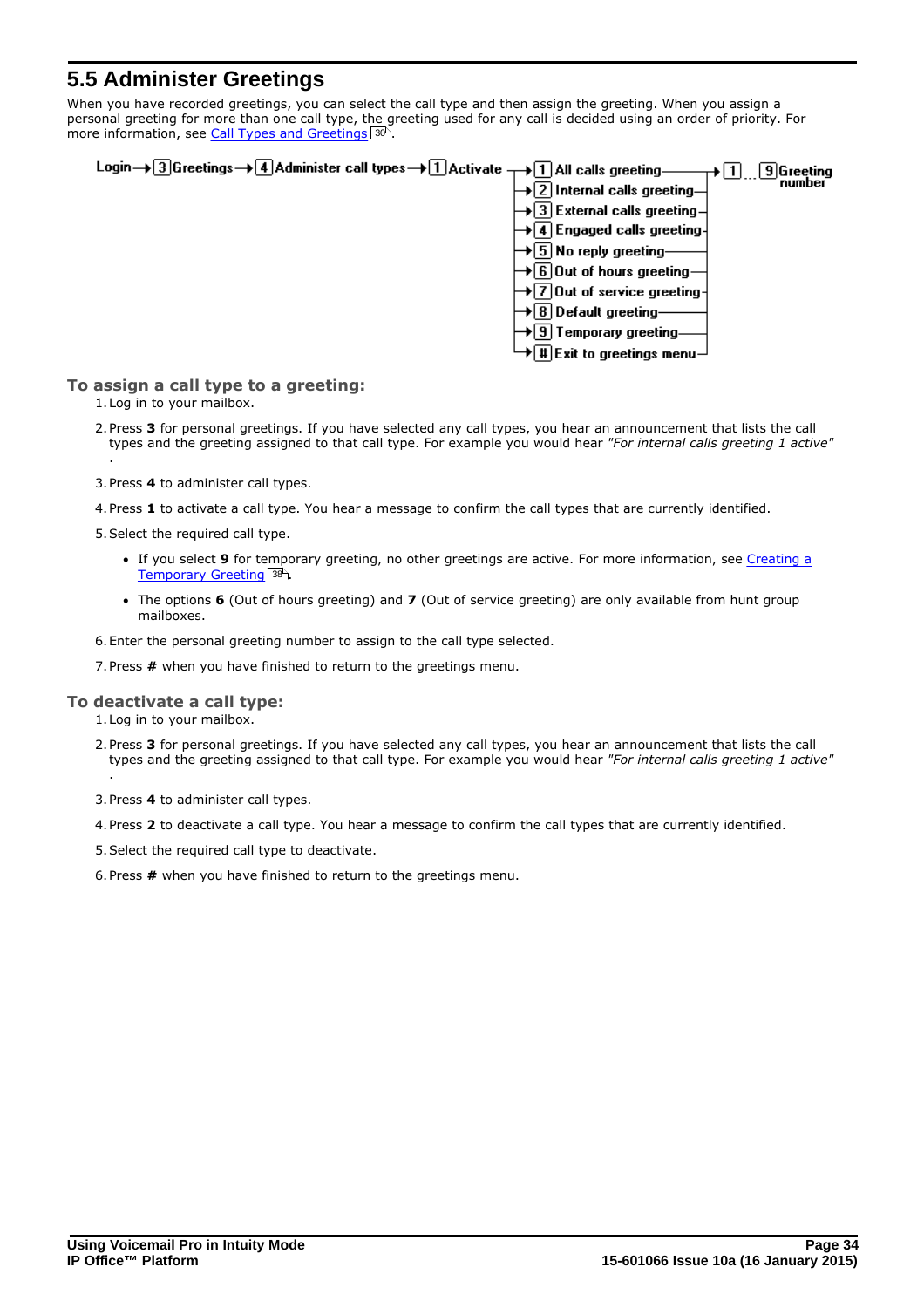# <span id="page-33-0"></span>**5.5 Administer Greetings**

When you have recorded greetings, you can select the call type and then assign the greeting. When you assign a personal greeting for more than one call type, the greeting used for any call is decided using an order of priority. For more information, see [Call Types and Greetings](#page-29-0) 30 a.



### **To assign a call type to a greeting:**

1.Log in to your mailbox.

- 2.Press **3** for personal greetings. If you have selected any call types, you hear an announcement that lists the call types and the greeting assigned to that call type. For example you would hear *"For internal calls greeting 1 active"* .
- 3.Press **4** to administer call types.
- 4.Press **1** to activate a call type. You hear a message to confirm the call types that are currently identified.

5.Select the required call type.

- · If you select **9** for temporary greeting, no other greetings are active. For more information, see [Creating a](#page-37-0) [Temporary Greeting](#page-37-0) 38<sup>4</sup>.
- · The options **6** (Out of hours greeting) and **7** (Out of service greeting) are only available from hunt group mailboxes.
- 6.Enter the personal greeting number to assign to the call type selected.
- 7.Press **#** when you have finished to return to the greetings menu.

### **To deactivate a call type:**

- 1.Log in to your mailbox.
- 2.Press **3** for personal greetings. If you have selected any call types, you hear an announcement that lists the call types and the greeting assigned to that call type. For example you would hear *"For internal calls greeting 1 active"* .
- 3.Press **4** to administer call types.
- 4.Press **2** to deactivate a call type. You hear a message to confirm the call types that are currently identified.
- 5.Select the required call type to deactivate.
- 6.Press **#** when you have finished to return to the greetings menu.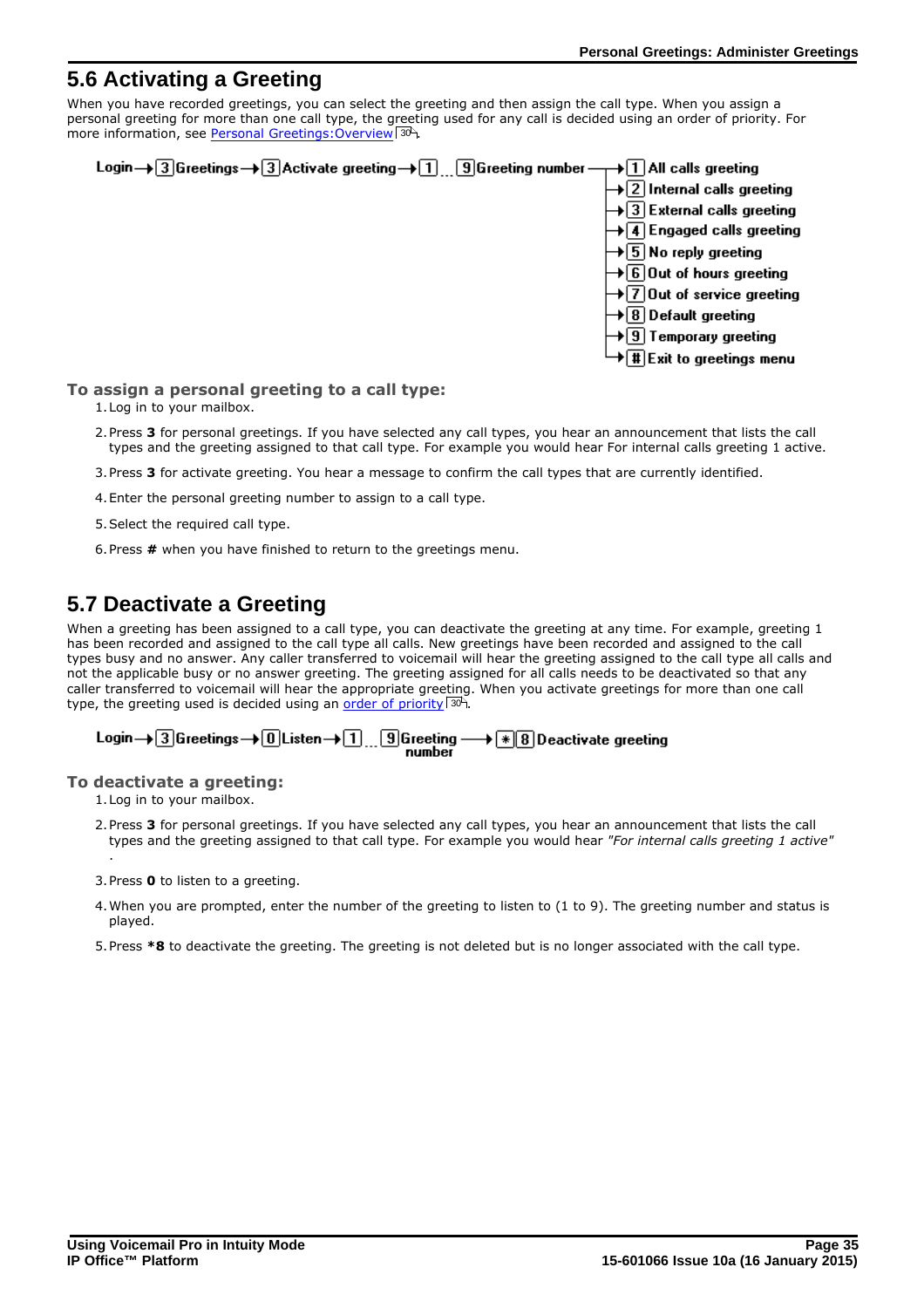# <span id="page-34-0"></span>**5.6 Activating a Greeting**

When you have recorded greetings, you can select the greeting and then assign the call type. When you assign a personal greeting for more than one call type, the greeting used for any call is decided using an order of priority. For more information, see Personal Greetings: Overview 304.



### **To assign a personal greeting to a call type:**

- 1.Log in to your mailbox.
- 2.Press **3** for personal greetings. If you have selected any call types, you hear an announcement that lists the call types and the greeting assigned to that call type. For example you would hear For internal calls greeting 1 active.
- 3.Press **3** for activate greeting. You hear a message to confirm the call types that are currently identified.
- 4.Enter the personal greeting number to assign to a call type.
- 5.Select the required call type.
- 6.Press **#** when you have finished to return to the greetings menu.

# <span id="page-34-1"></span>**5.7 Deactivate a Greeting**

When a greeting has been assigned to a call type, you can deactivate the greeting at any time. For example, greeting 1 has been recorded and assigned to the call type all calls. New greetings have been recorded and assigned to the call types busy and no answer. Any caller transferred to voicemail will hear the greeting assigned to the call type all calls and not the applicable busy or no answer greeting. The greeting assigned for all calls needs to be deactivated so that any caller transferred to voicemail will hear the appropriate greeting. When you activate greetings for more than one call type, the greeting used is decided using an <u>order of priority</u>  $30^{\circ}$ .

# Login  $\rightarrow$  3 Greetings  $\rightarrow$  0 Listen  $\rightarrow$  1  $\ldots$  9 Greeting  $\rightarrow$   $\rightarrow$  8 Deactivate greeting

### **To deactivate a greeting:**

1.Log in to your mailbox.

- 2.Press **3** for personal greetings. If you have selected any call types, you hear an announcement that lists the call types and the greeting assigned to that call type. For example you would hear *"For internal calls greeting 1 active"* .
- 3.Press **0** to listen to a greeting.
- 4.When you are prompted, enter the number of the greeting to listen to (1 to 9). The greeting number and status is played.
- 5.Press **\*8** to deactivate the greeting. The greeting is not deleted but is no longer associated with the call type.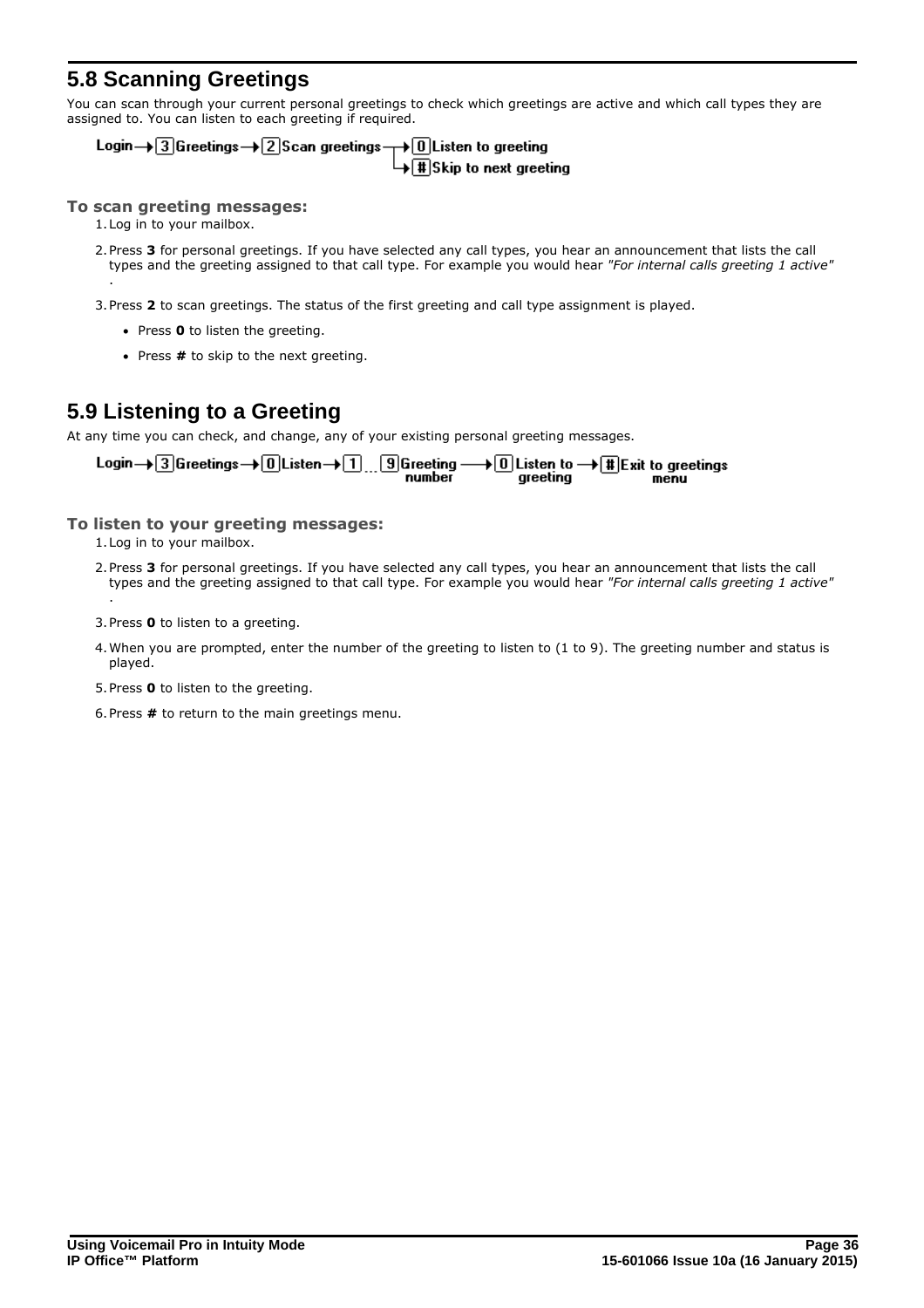# <span id="page-35-0"></span>**5.8 Scanning Greetings**

You can scan through your current personal greetings to check which greetings are active and which call types they are assigned to. You can listen to each greeting if required.

Login  $\rightarrow$  3 Greetings  $\rightarrow$  2 Scan greetings  $\rightarrow$  0 Listen to greeting  $\overline{+}\overline{+}\overline{+}$ Skip to next greeting

### **To scan greeting messages:**

1.Log in to your mailbox.

.

- 2.Press **3** for personal greetings. If you have selected any call types, you hear an announcement that lists the call types and the greeting assigned to that call type. For example you would hear *"For internal calls greeting 1 active"*
- 3.Press **2** to scan greetings. The status of the first greeting and call type assignment is played.
	- · Press **0** to listen the greeting.
	- · Press **#** to skip to the next greeting.

# <span id="page-35-1"></span>**5.9 Listening to a Greeting**

At any time you can check, and change, any of your existing personal greeting messages.

Login  $\rightarrow$  3 Greetings  $\rightarrow$  0 Listen  $\rightarrow$  1 ... 9 Greeting - $\rightarrow$  0 Listen to  $\rightarrow$  1 Exit to greetings greeting menu

### **To listen to your greeting messages:**

1.Log in to your mailbox.

.

- 2.Press **3** for personal greetings. If you have selected any call types, you hear an announcement that lists the call types and the greeting assigned to that call type. For example you would hear *"For internal calls greeting 1 active"*
- 3.Press **0** to listen to a greeting.
- 4.When you are prompted, enter the number of the greeting to listen to (1 to 9). The greeting number and status is played.
- 5.Press **0** to listen to the greeting.
- 6.Press **#** to return to the main greetings menu.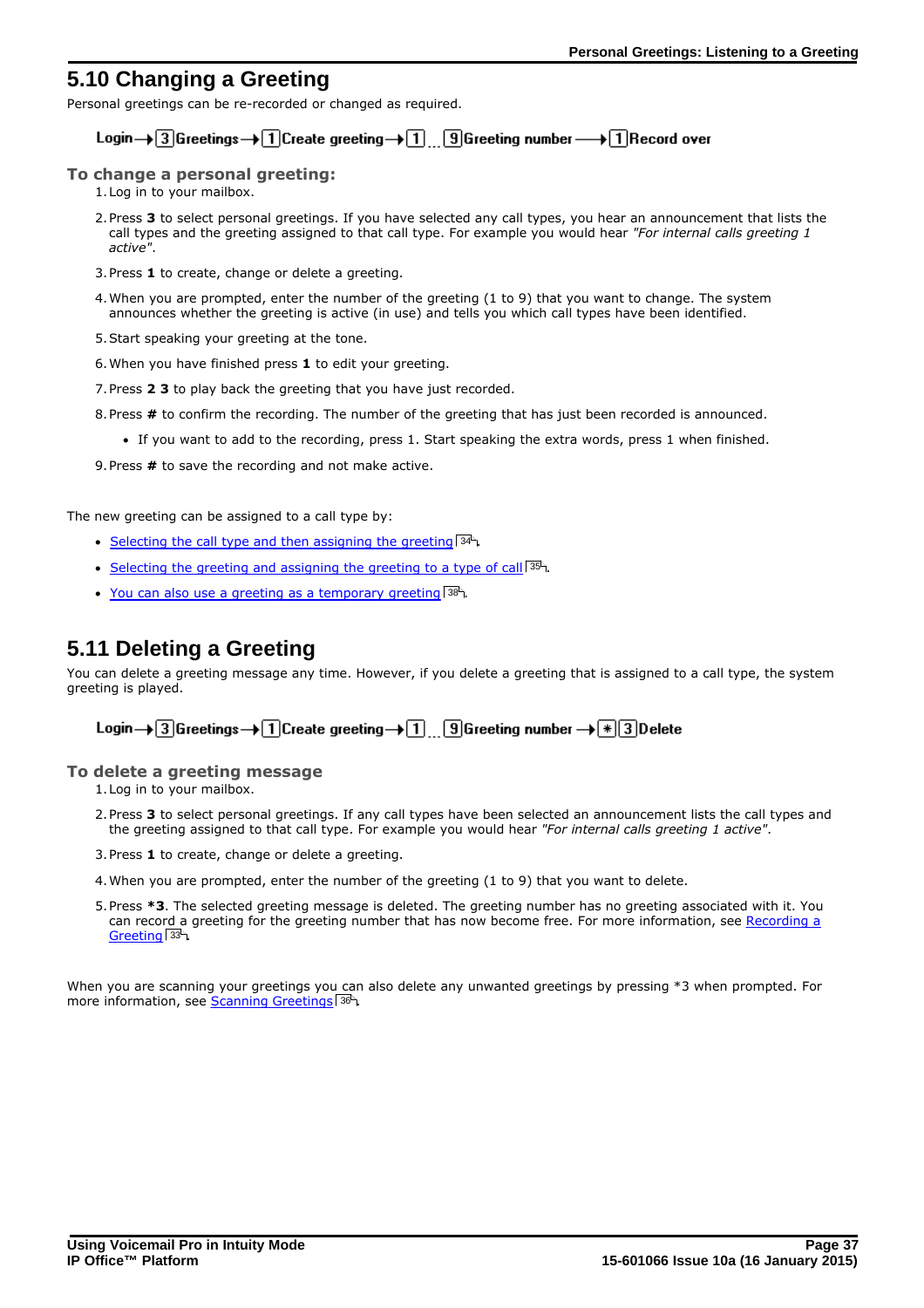# <span id="page-36-0"></span>**5.10 Changing a Greeting**

Personal greetings can be re-recorded or changed as required.

### Login  $\rightarrow$  3 Greetings  $\rightarrow$  1 Create greeting  $\rightarrow$  1 9 Greeting number  $\rightarrow$  1 Record over

### **To change a personal greeting:**

1.Log in to your mailbox.

- 2.Press **3** to select personal greetings. If you have selected any call types, you hear an announcement that lists the call types and the greeting assigned to that call type. For example you would hear *"For internal calls greeting 1 active"*.
- 3.Press **1** to create, change or delete a greeting.
- 4.When you are prompted, enter the number of the greeting (1 to 9) that you want to change. The system announces whether the greeting is active (in use) and tells you which call types have been identified.
- 5.Start speaking your greeting at the tone.
- 6.When you have finished press **1** to edit your greeting.
- 7.Press **2 3** to play back the greeting that you have just recorded.
- 8.Press **#** to confirm the recording. The number of the greeting that has just been recorded is announced.
	- · If you want to add to the recording, press 1. Start speaking the extra words, press 1 when finished.

9.Press **#** to save the recording and not make active.

The new greeting can be assigned to a call type by:

- [Selecting the call type and then assigning the greeting](#page-33-0)  $34^{\circ}$ .
- [Selecting the greeting and assigning the greeting to a type of call](#page-34-0)  $|^{35}$ .
- [You can also use a greeting as a temporary greeting](#page-37-0) 38<sup>4</sup>.

# <span id="page-36-1"></span>**5.11 Deleting a Greeting**

You can delete a greeting message any time. However, if you delete a greeting that is assigned to a call type, the system greeting is played.

Login  $\rightarrow$  3 Greetings  $\rightarrow$  1 Create greeting  $\rightarrow$  1 9 Greeting number  $\rightarrow$  13 Delete

### **To delete a greeting message**

1.Log in to your mailbox.

- 2.Press **3** to select personal greetings. If any call types have been selected an announcement lists the call types and the greeting assigned to that call type. For example you would hear *"For internal calls greeting 1 active"*.
- 3.Press **1** to create, change or delete a greeting.
- 4.When you are prompted, enter the number of the greeting (1 to 9) that you want to delete.
- 5.Press **\*3**. The selected greeting message is deleted. The greeting number has no greeting associated with it. You can record a greeting for the greeting number that has now become free. For more information, see [Recording a](#page-32-0)  $G$ reeting  $\mid$  33 $\hspace{0.1cm}\mid$

When you are scanning your greetings you can also delete any unwanted greetings by pressing \*3 when prompted. For more information, see [Scanning Greetings](#page-35-0) 36 .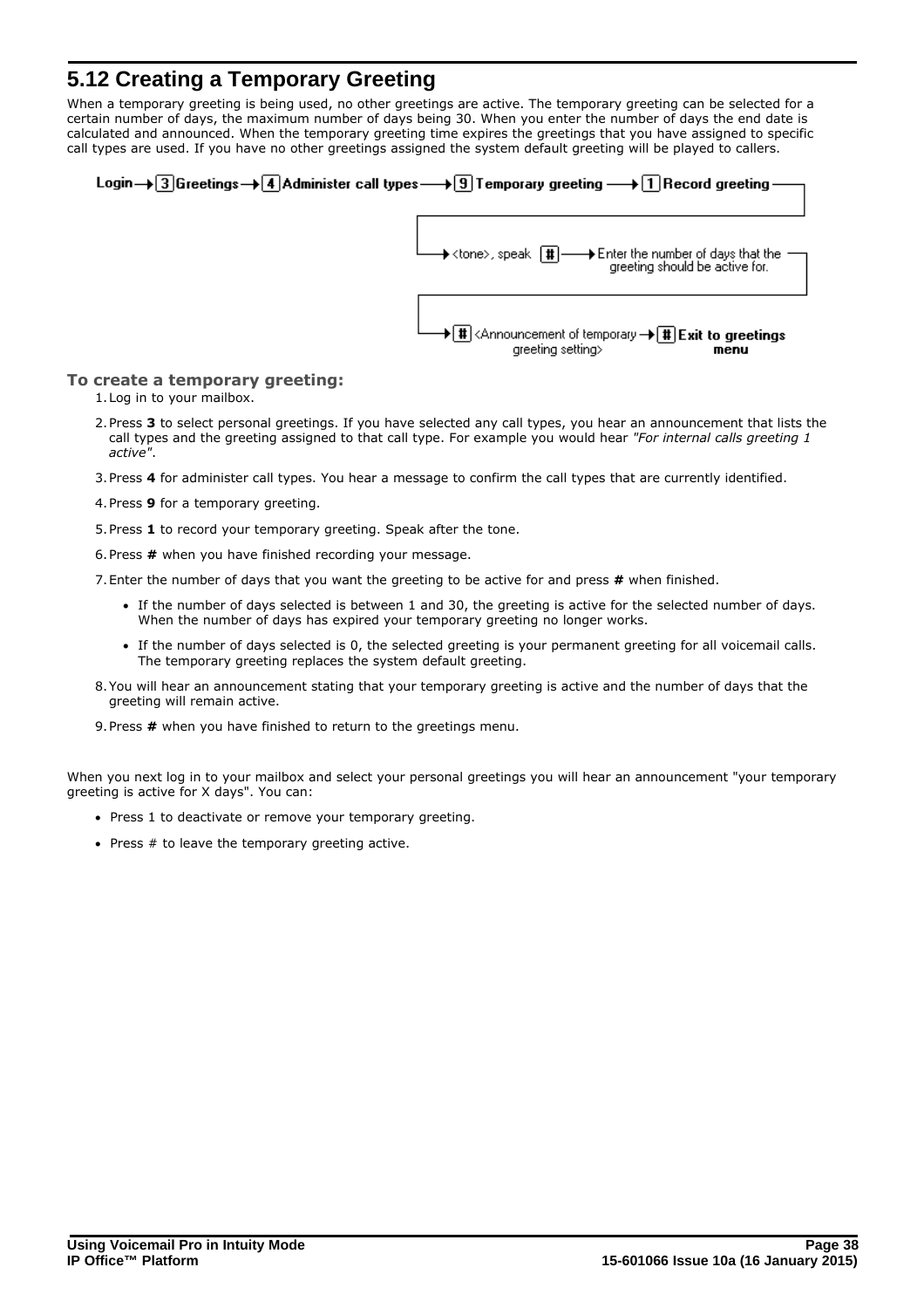# <span id="page-37-0"></span>**5.12 Creating a Temporary Greeting**

When a temporary greeting is being used, no other greetings are active. The temporary greeting can be selected for a certain number of days, the maximum number of days being 30. When you enter the number of days the end date is calculated and announced. When the temporary greeting time expires the greetings that you have assigned to specific call types are used. If you have no other greetings assigned the system default greeting will be played to callers.



### **To create a temporary greeting:**

- 1.Log in to your mailbox.
- 2.Press **3** to select personal greetings. If you have selected any call types, you hear an announcement that lists the call types and the greeting assigned to that call type. For example you would hear *"For internal calls greeting 1 active"*.
- 3.Press **4** for administer call types. You hear a message to confirm the call types that are currently identified.
- 4.Press **9** for a temporary greeting.
- 5.Press **1** to record your temporary greeting. Speak after the tone.
- 6.Press **#** when you have finished recording your message.
- 7.Enter the number of days that you want the greeting to be active for and press **#** when finished.
	- · If the number of days selected is between 1 and 30, the greeting is active for the selected number of days. When the number of days has expired your temporary greeting no longer works.
	- · If the number of days selected is 0, the selected greeting is your permanent greeting for all voicemail calls. The temporary greeting replaces the system default greeting.
- 8.You will hear an announcement stating that your temporary greeting is active and the number of days that the greeting will remain active.
- 9.Press **#** when you have finished to return to the greetings menu.

When you next log in to your mailbox and select your personal greetings you will hear an announcement "your temporary greeting is active for X days". You can:

- · Press 1 to deactivate or remove your temporary greeting.
- · Press # to leave the temporary greeting active.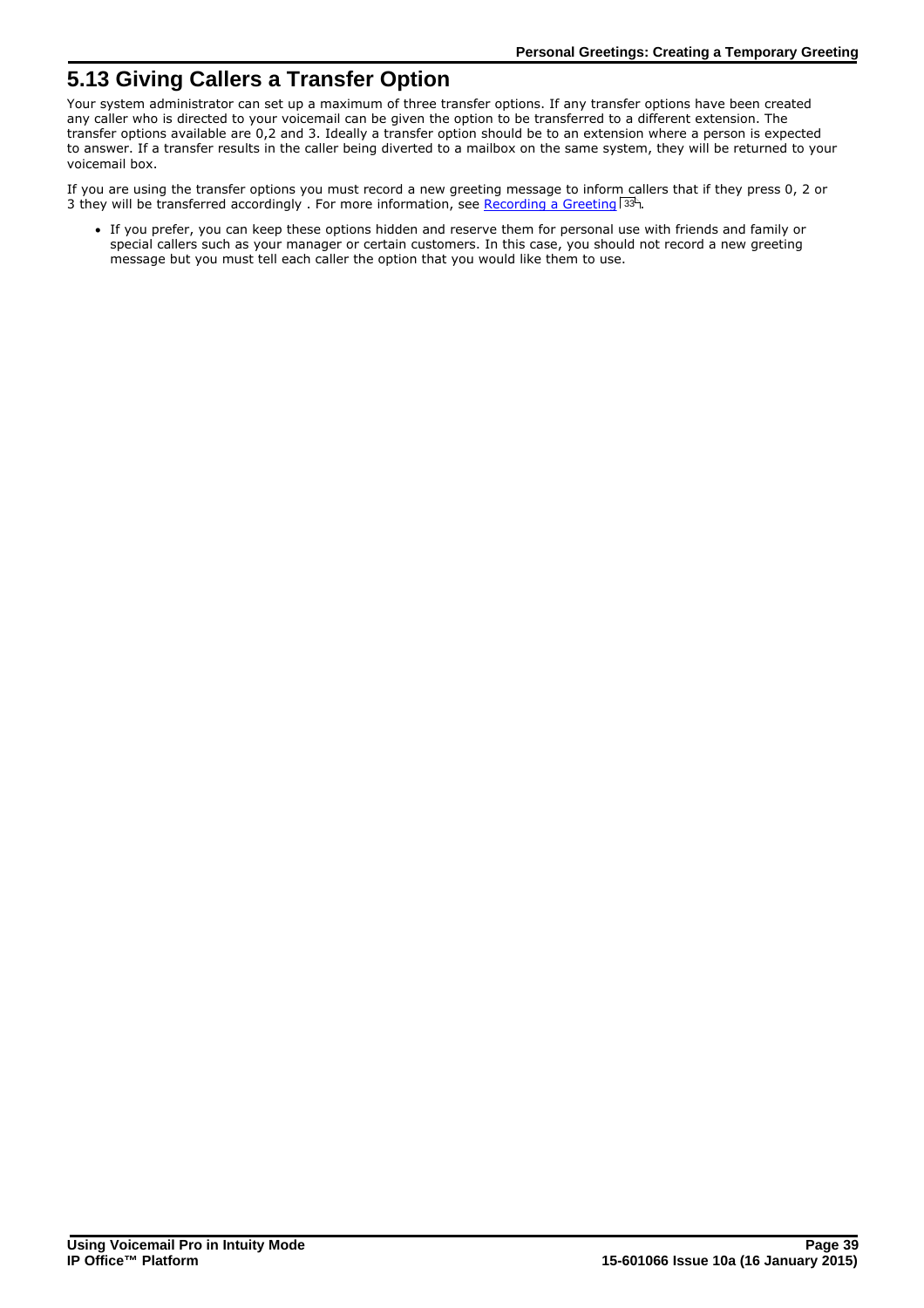# <span id="page-38-0"></span>**5.13 Giving Callers a Transfer Option**

Your system administrator can set up a maximum of three transfer options. If any transfer options have been created any caller who is directed to your voicemail can be given the option to be transferred to a different extension. The transfer options available are 0,2 and 3. Ideally a transfer option should be to an extension where a person is expected to answer. If a transfer results in the caller being diverted to a mailbox on the same system, they will be returned to your voicemail box.

If you are using the transfer options you must record a new greeting message to inform callers that if they press 0, 2 or 3 they will be transferred accordingly . For more information, see <u>[Recording a Greeting](#page-32-0)</u>  $33^{\circ}$ .

· If you prefer, you can keep these options hidden and reserve them for personal use with friends and family or special callers such as your manager or certain customers. In this case, you should not record a new greeting message but you must tell each caller the option that you would like them to use.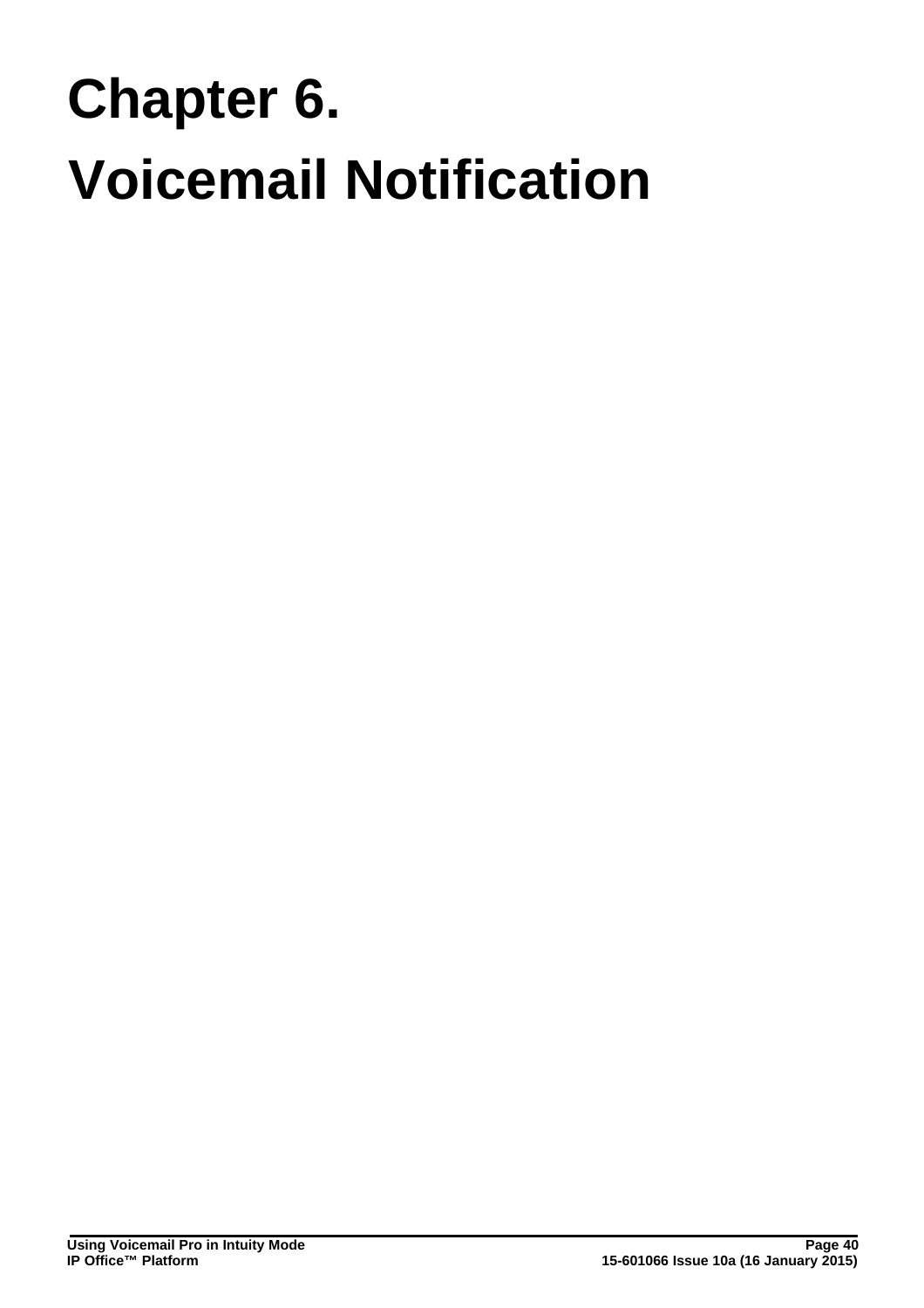# **Voicemail Notification Chapter 6.**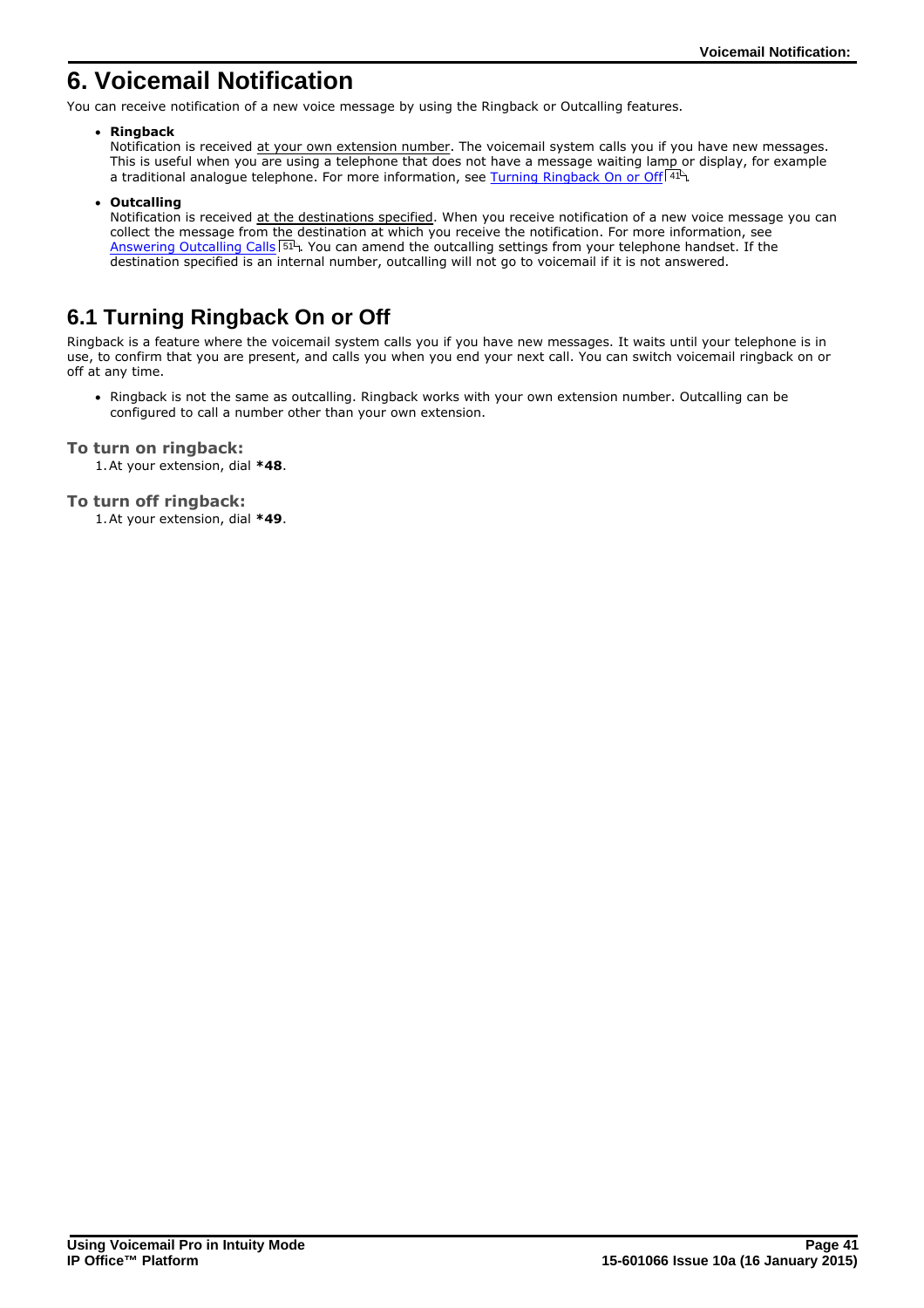# <span id="page-40-0"></span>**6. Voicemail Notification**

You can receive notification of a new voice message by using the Ringback or Outcalling features.

### · **Ringback**

Notification is received at your own extension number. The voicemail system calls you if you have new messages. This is useful when you are using a telephone that does not have a message waiting lamp or display, for example a traditional analogue telephone. For more information, see <u>[Turning Ringback On or Off](#page-40-1)</u> 14 A

· **Outcalling**

Notification is received at the destinations specified. When you receive notification of a new voice message you can collect the message from the destination at which you receive the notification. For more information, see [Answering Outcalling Calls](#page-50-0)<sup>| 51</sup> . You can amend the outcalling settings from your telephone handset. If the destination specified is an internal number, outcalling will not go to voicemail if it is not answered.

# <span id="page-40-1"></span>**6.1 Turning Ringback On or Off**

Ringback is a feature where the voicemail system calls you if you have new messages. It waits until your telephone is in use, to confirm that you are present, and calls you when you end your next call. You can switch voicemail ringback on or off at any time.

· Ringback is not the same as outcalling. Ringback works with your own extension number. Outcalling can be configured to call a number other than your own extension.

### **To turn on ringback:**

1.At your extension, dial **\*48**.

### **To turn off ringback:**

1.At your extension, dial **\*49**.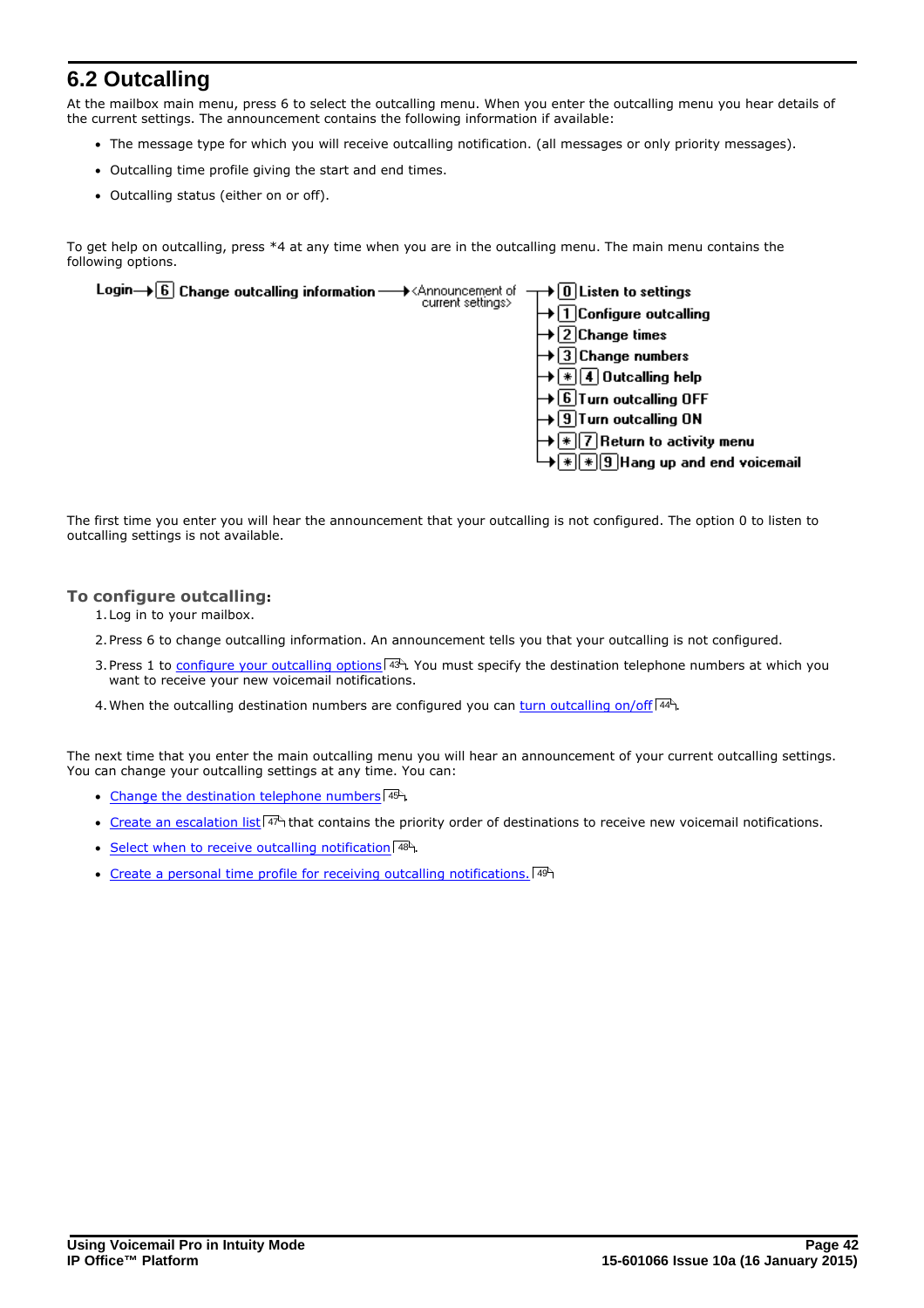# <span id="page-41-0"></span>**6.2 Outcalling**

At the mailbox main menu, press 6 to select the outcalling menu. When you enter the outcalling menu you hear details of the current settings. The announcement contains the following information if available:

- · The message type for which you will receive outcalling notification. (all messages or only priority messages).
- · Outcalling time profile giving the start and end times.
- · Outcalling status (either on or off).

To get help on outcalling, press \*4 at any time when you are in the outcalling menu. The main menu contains the following options.



The first time you enter you will hear the announcement that your outcalling is not configured. The option 0 to listen to outcalling settings is not available.

### **To configure outcalling:**

- 1.Log in to your mailbox.
- 2.Press 6 to change outcalling information. An announcement tells you that your outcalling is not configured.
- 3. Press 1 to [configure your outcalling options](#page-42-0)  $43$  You must specify the destination telephone numbers at which you want to receive your new voicemail notifications.
- 4. When the outcalling destination numbers are configured you can [turn outcalling on/off](#page-43-0)  $\left(44^{\circ}\right)$

The next time that you enter the main outcalling menu you will hear an announcement of your current outcalling settings. You can change your outcalling settings at any time. You can:

- [Change the destination telephone numbers](#page-44-0) 45<sup>4</sup>.
- [Create an escalation list](#page-46-0)  $47^4$  that contains the priority order of destinations to receive new voicemail notifications.
- [Select when to receive outcalling notification](#page-47-0) 48
- [Create a personal time profile for receiving outcalling notifications.](#page-48-0)  $49^{\circ}$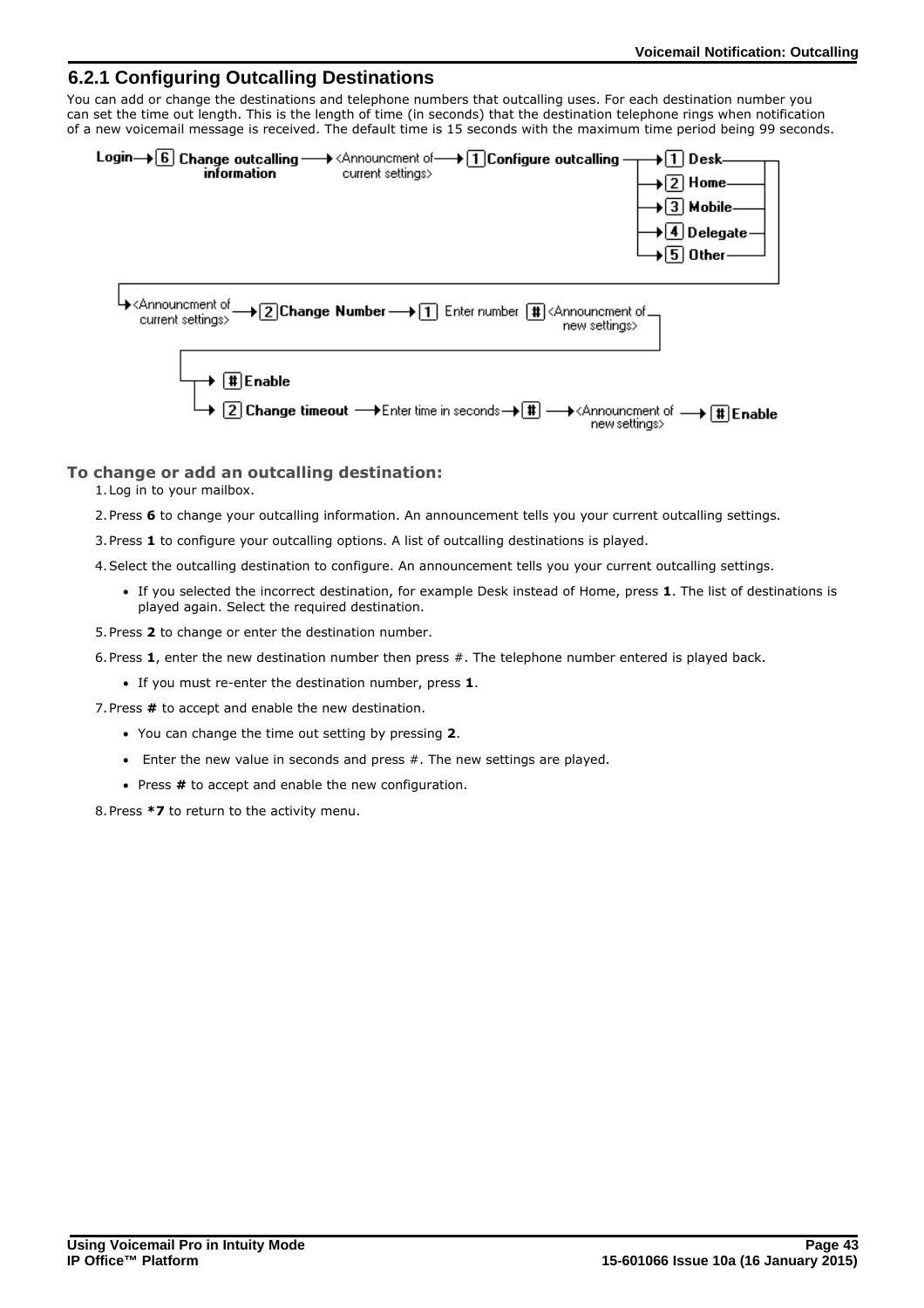### <span id="page-42-0"></span>**6.2.1 Configuring Outcalling Destinations**

You can add or change the destinations and telephone numbers that outcalling uses. For each destination number you can set the time out length. This is the length of time (in seconds) that the destination telephone rings when notification of a new voicemail message is received. The default time is 15 seconds with the maximum time period being 99 seconds.



### **To change or add an outcalling destination:**

- 1.Log in to your mailbox.
- 2.Press **6** to change your outcalling information. An announcement tells you your current outcalling settings.
- 3.Press **1** to configure your outcalling options. A list of outcalling destinations is played.
- 4.Select the outcalling destination to configure. An announcement tells you your current outcalling settings.
	- · If you selected the incorrect destination, for example Desk instead of Home, press **1**. The list of destinations is played again. Select the required destination.
- 5.Press **2** to change or enter the destination number.
- 6.Press **1**, enter the new destination number then press #. The telephone number entered is played back.
	- · If you must re-enter the destination number, press **1**.
- 7.Press **#** to accept and enable the new destination.
	- · You can change the time out setting by pressing **2**.
	- Enter the new value in seconds and press  $#$ . The new settings are played.
	- · Press **#** to accept and enable the new configuration.

8.Press **\*7** to return to the activity menu.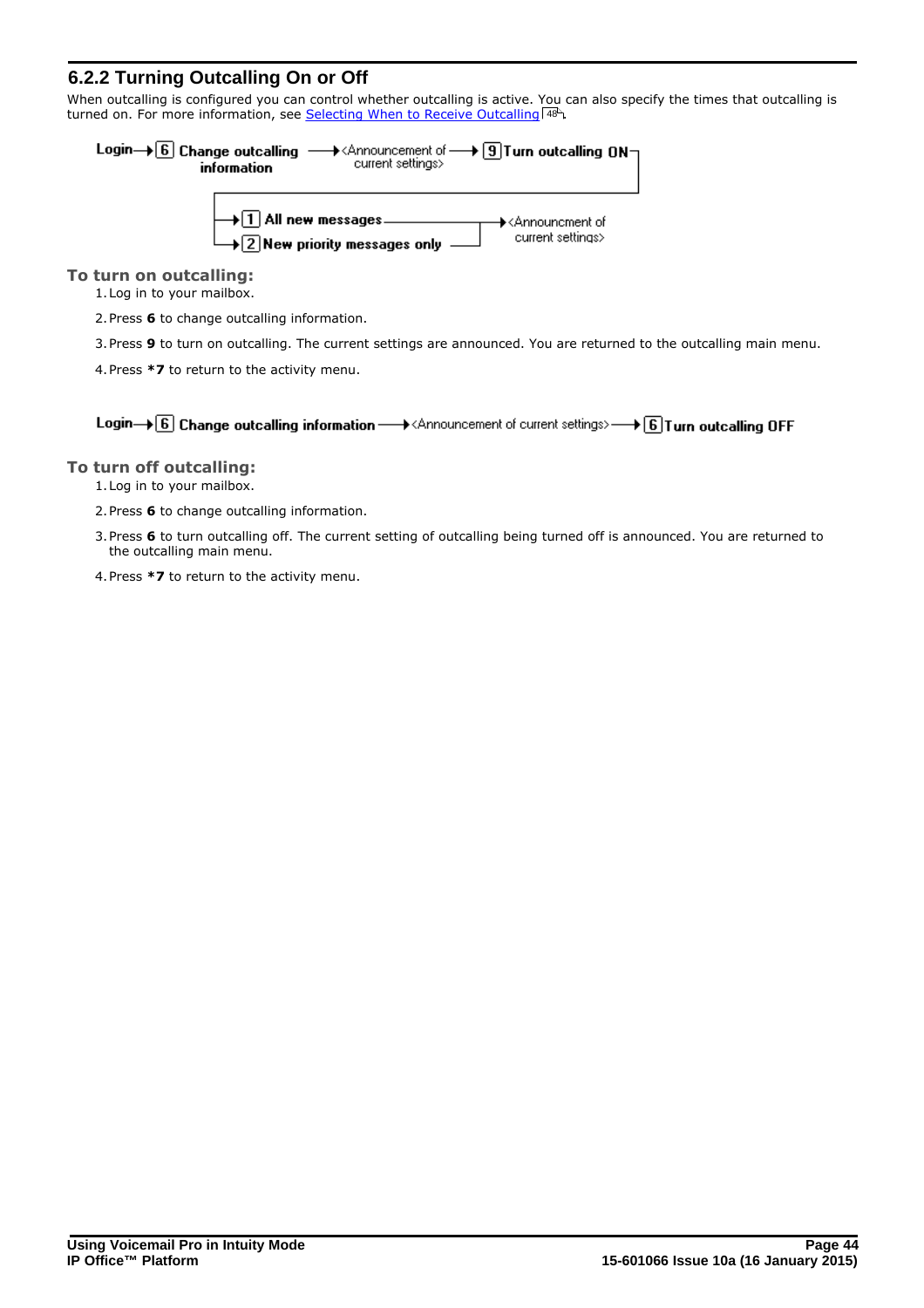### <span id="page-43-0"></span>**6.2.2 Turning Outcalling On or Off**

When outcalling is configured you can control whether outcalling is active. You can also specify the times that outcalling is turned on. For more information, see <u>[Selecting When to Receive Outcalling](#page-47-0) (48)</u>.



### **To turn on outcalling:**

1.Log in to your mailbox.

2.Press **6** to change outcalling information.

3.Press **9** to turn on outcalling. The current settings are announced. You are returned to the outcalling main menu.

4.Press **\*7** to return to the activity menu.

Login $\rightarrow$  6 Change outcalling information  $\rightarrow$  < Announcement of current settings>  $\rightarrow$  6 Turn outcalling OFF

### **To turn off outcalling:**

- 1.Log in to your mailbox.
- 2.Press **6** to change outcalling information.
- 3.Press **6** to turn outcalling off. The current setting of outcalling being turned off is announced. You are returned to the outcalling main menu.
- 4.Press **\*7** to return to the activity menu.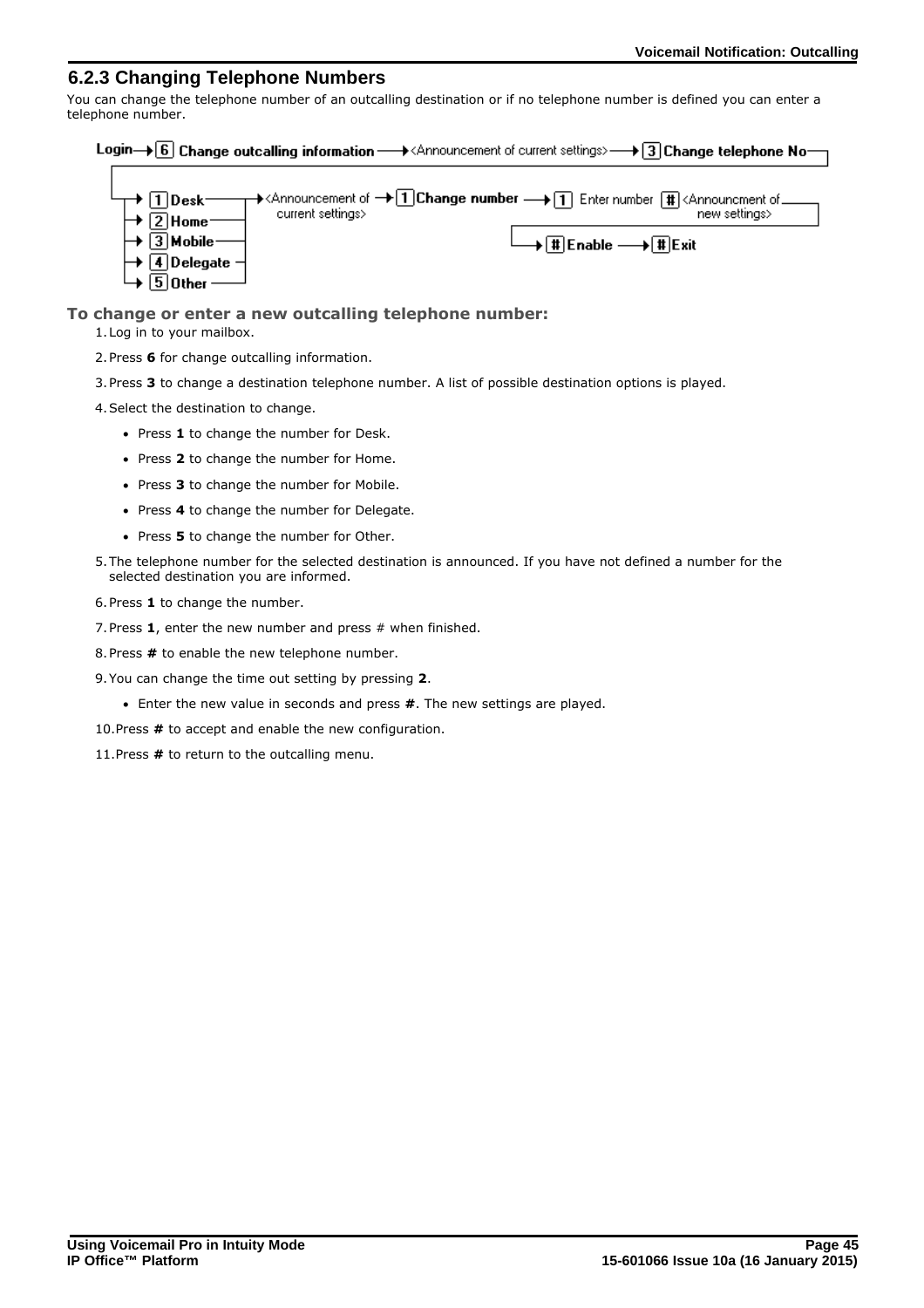### <span id="page-44-0"></span>**6.2.3 Changing Telephone Numbers**

You can change the telephone number of an outcalling destination or if no telephone number is defined you can enter a telephone number.

|  |  |  | Login $\rightarrow$ [6] Change outcalling information $\rightarrow$ <announcement current="" of="" settings=""> <math>\rightarrow</math> [3] Change telephone No<math>-</math></announcement> |  |  |
|--|--|--|-----------------------------------------------------------------------------------------------------------------------------------------------------------------------------------------------|--|--|
|--|--|--|-----------------------------------------------------------------------------------------------------------------------------------------------------------------------------------------------|--|--|

| $\Box \rightarrow \Box$ Desk-         |                   | $\rightarrow$ <announcement <math="" of="">\rightarrow 1 Change number <math>\rightarrow</math> 1 Enter number <math>\boxed{\ddagger}</math> <announcment .<="" of="" th=""></announcment></announcement> |
|---------------------------------------|-------------------|-----------------------------------------------------------------------------------------------------------------------------------------------------------------------------------------------------------|
| $\rightarrow$ 2 Home                  | current settings> | new settings>                                                                                                                                                                                             |
| $\rightarrow$ $\boxed{3}$ Mobile–     |                   | $\longrightarrow$ # Enable $\longrightarrow$ # Exit                                                                                                                                                       |
| $\mapsto \boxed{4}$ Delegate $\dashv$ |                   |                                                                                                                                                                                                           |
| $\mapsto$ 5 Other — '                 |                   |                                                                                                                                                                                                           |

### **To change or enter a new outcalling telephone number:**

1.Log in to your mailbox.

2.Press **6** for change outcalling information.

3.Press **3** to change a destination telephone number. A list of possible destination options is played.

- 4.Select the destination to change.
	- · Press **1** to change the number for Desk.
	- · Press **2** to change the number for Home.
	- · Press **3** to change the number for Mobile.
	- · Press **4** to change the number for Delegate.
	- · Press **5** to change the number for Other.
- 5.The telephone number for the selected destination is announced. If you have not defined a number for the selected destination you are informed.
- 6.Press **1** to change the number.
- 7.Press **1**, enter the new number and press # when finished.
- 8.Press **#** to enable the new telephone number.
- 9.You can change the time out setting by pressing **2**.
	- · Enter the new value in seconds and press **#**. The new settings are played.
- 10.Press **#** to accept and enable the new configuration.
- 11.Press **#** to return to the outcalling menu.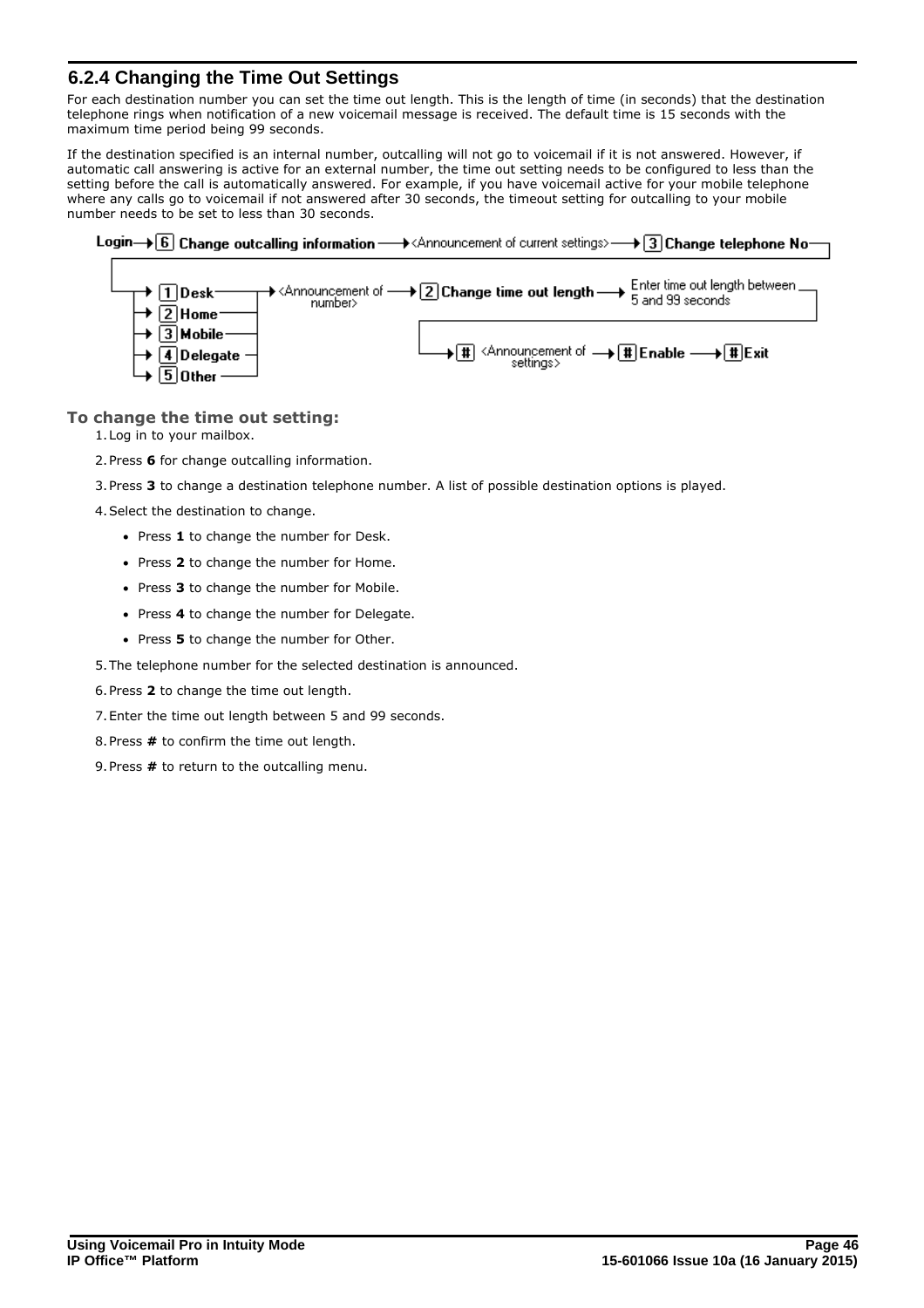### <span id="page-45-0"></span>**6.2.4 Changing the Time Out Settings**

For each destination number you can set the time out length. This is the length of time (in seconds) that the destination telephone rings when notification of a new voicemail message is received. The default time is 15 seconds with the maximum time period being 99 seconds.

If the destination specified is an internal number, outcalling will not go to voicemail if it is not answered. However, if automatic call answering is active for an external number, the time out setting needs to be configured to less than the setting before the call is automatically answered. For example, if you have voicemail active for your mobile telephone where any calls go to voicemail if not answered after 30 seconds, the timeout setting for outcalling to your mobile number needs to be set to less than 30 seconds.



### **To change the time out setting:**

1.Log in to your mailbox.

 $\bm{\rightarrow}$   $\bm{\boxdot}$  Mobile-

 $\rightarrow \sqrt{4}$ Delegate  $\overline{5}$  Other

- 2.Press **6** for change outcalling information.
- 3.Press **3** to change a destination telephone number. A list of possible destination options is played.
- 4.Select the destination to change.
	- · Press **1** to change the number for Desk.
	- · Press **2** to change the number for Home.
	- · Press **3** to change the number for Mobile.
	- · Press **4** to change the number for Delegate.
	- · Press **5** to change the number for Other.
- 5.The telephone number for the selected destination is announced.
- 6.Press **2** to change the time out length.
- 7.Enter the time out length between 5 and 99 seconds.
- 8.Press **#** to confirm the time out length.
- 9.Press **#** to return to the outcalling menu.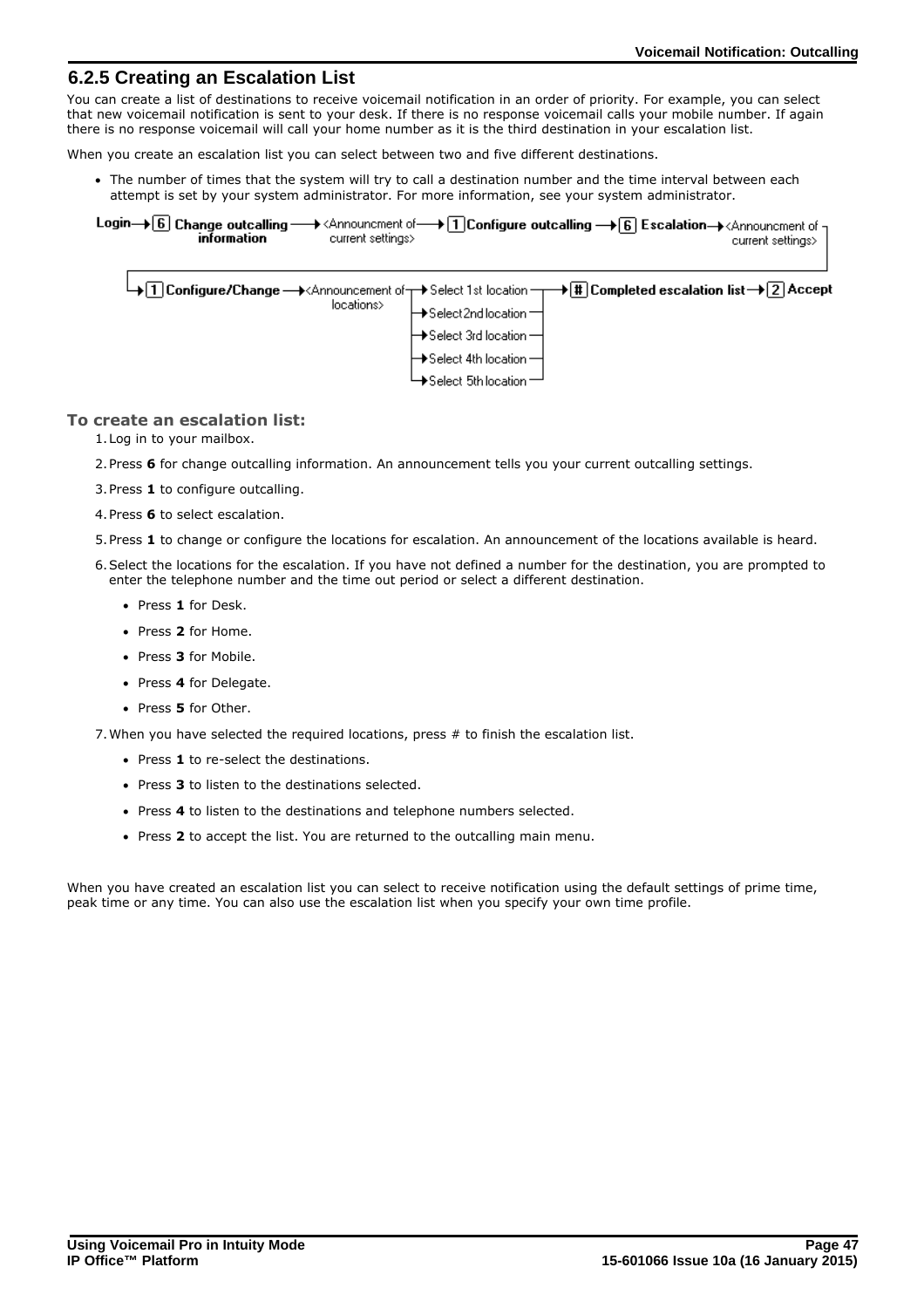### <span id="page-46-0"></span>**6.2.5 Creating an Escalation List**

You can create a list of destinations to receive voicemail notification in an order of priority. For example, you can select that new voicemail notification is sent to your desk. If there is no response voicemail calls your mobile number. If again there is no response voicemail will call your home number as it is the third destination in your escalation list.

When you create an escalation list you can select between two and five different destinations.

· The number of times that the system will try to call a destination number and the time interval between each attempt is set by your system administrator. For more information, see your system administrator.

Login  $\rightarrow$  6 Change outcalling  $\rightarrow$  <Announcment of  $\rightarrow$  1 Configure outcalling  $\rightarrow$  6 Escalation  $\rightarrow$  <Announcment of information current settings> current settings>

|            | $\rightarrow$ [1] Configure/Change $\rightarrow$ < Announcement of $\rightarrow$ Select 1st location $\rightarrow$ [#] Completed escalation list $\rightarrow$ [2] Accept |
|------------|---------------------------------------------------------------------------------------------------------------------------------------------------------------------------|
| locations> | $\mapsto$ Select 2nd location $\rightarrow$                                                                                                                               |
|            | $\mapsto$ Select 3rd location $\rightarrow$                                                                                                                               |
|            | $\mapsto$ Select 4th location $\rightarrow$                                                                                                                               |
|            | $\rightarrow$ Select 5th location $\rightarrow$                                                                                                                           |

### **To create an escalation list:**

1.Log in to your mailbox.

- 2.Press **6** for change outcalling information. An announcement tells you your current outcalling settings.
- 3.Press **1** to configure outcalling.
- 4.Press **6** to select escalation.
- 5.Press **1** to change or configure the locations for escalation. An announcement of the locations available is heard.
- 6.Select the locations for the escalation. If you have not defined a number for the destination, you are prompted to enter the telephone number and the time out period or select a different destination.
	- · Press **1** for Desk.
	- · Press **2** for Home.
	- · Press **3** for Mobile.
	- · Press **4** for Delegate.
	- · Press **5** for Other.

7.When you have selected the required locations, press # to finish the escalation list.

- · Press **1** to re-select the destinations.
- · Press **3** to listen to the destinations selected.
- · Press **4** to listen to the destinations and telephone numbers selected.
- · Press **2** to accept the list. You are returned to the outcalling main menu.

When you have created an escalation list you can select to receive notification using the default settings of prime time, peak time or any time. You can also use the escalation list when you specify your own time profile.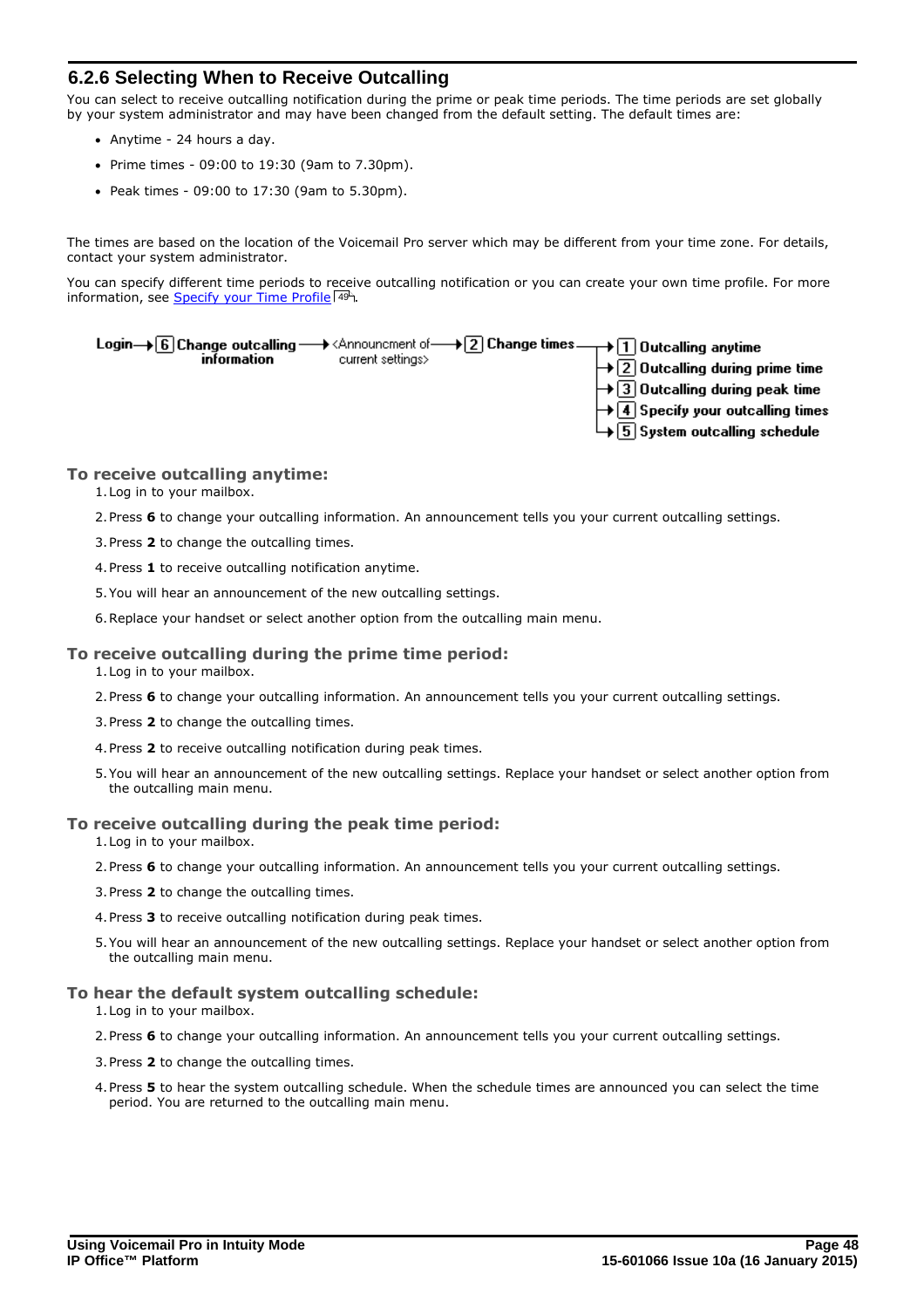### <span id="page-47-0"></span>**6.2.6 Selecting When to Receive Outcalling**

You can select to receive outcalling notification during the prime or peak time periods. The time periods are set globally by your system administrator and may have been changed from the default setting. The default times are:

- · Anytime 24 hours a day.
- · Prime times 09:00 to 19:30 (9am to 7.30pm).
- · Peak times 09:00 to 17:30 (9am to 5.30pm).

The times are based on the location of the Voicemail Pro server which may be different from your time zone. For details, contact your system administrator.

You can specify different time periods to receive outcalling notification or you can create your own time profile. For more information, see [Specify your Time Profile](#page-48-0) 49 .



### **To receive outcalling anytime:**

1.Log in to your mailbox.

- 2.Press **6** to change your outcalling information. An announcement tells you your current outcalling settings.
- 3.Press **2** to change the outcalling times.
- 4.Press **1** to receive outcalling notification anytime.
- 5.You will hear an announcement of the new outcalling settings.
- 6.Replace your handset or select another option from the outcalling main menu.

### **To receive outcalling during the prime time period:**

1.Log in to your mailbox.

- 2.Press **6** to change your outcalling information. An announcement tells you your current outcalling settings.
- 3.Press **2** to change the outcalling times.
- 4.Press **2** to receive outcalling notification during peak times.
- 5.You will hear an announcement of the new outcalling settings. Replace your handset or select another option from the outcalling main menu.

### **To receive outcalling during the peak time period:**

1.Log in to your mailbox.

- 2.Press **6** to change your outcalling information. An announcement tells you your current outcalling settings.
- 3.Press **2** to change the outcalling times.
- 4.Press **3** to receive outcalling notification during peak times.
- 5.You will hear an announcement of the new outcalling settings. Replace your handset or select another option from the outcalling main menu.

### **To hear the default system outcalling schedule:**

1.Log in to your mailbox.

- 2.Press **6** to change your outcalling information. An announcement tells you your current outcalling settings.
- 3.Press **2** to change the outcalling times.
- 4.Press **5** to hear the system outcalling schedule. When the schedule times are announced you can select the time period. You are returned to the outcalling main menu.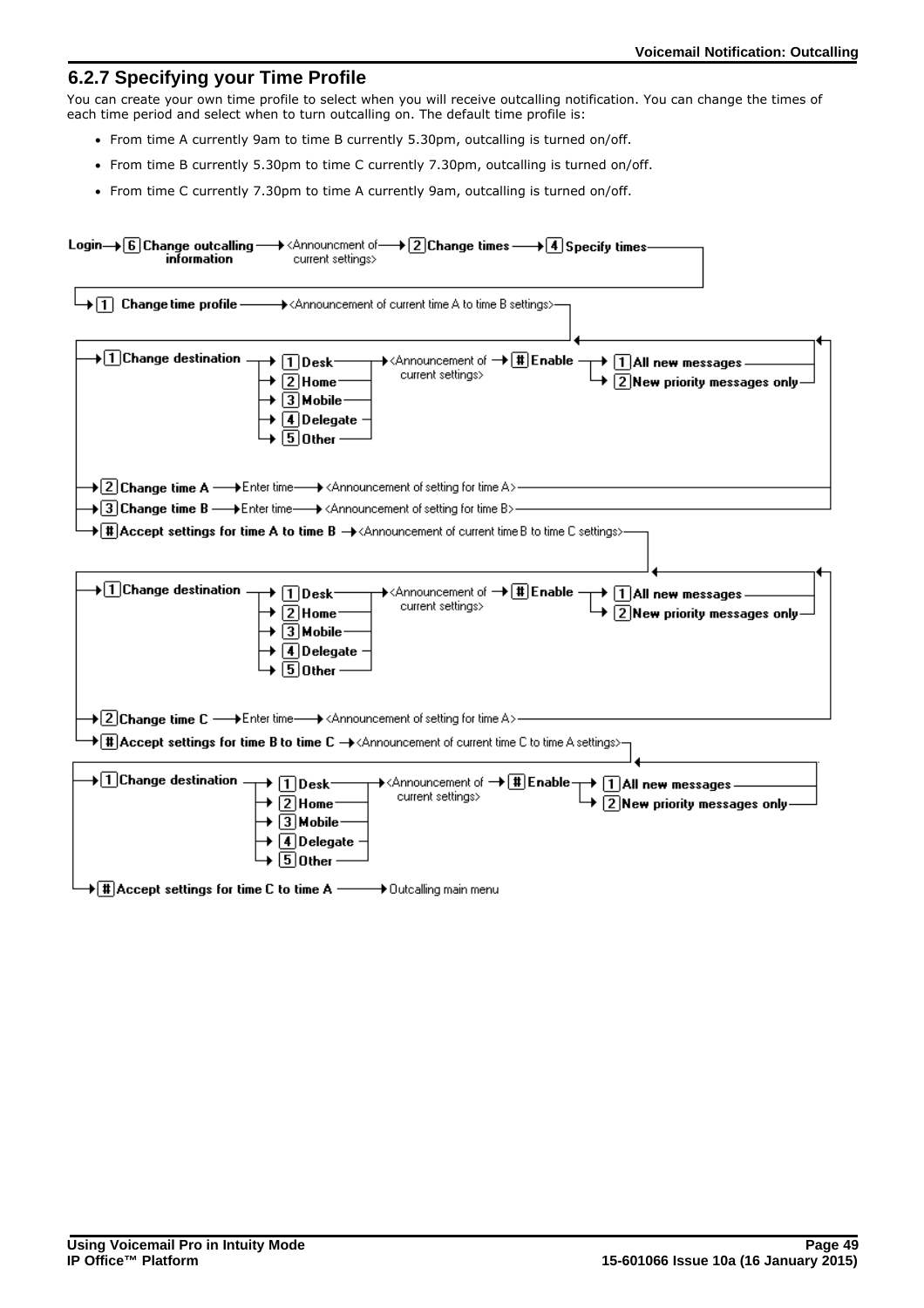### <span id="page-48-0"></span>**6.2.7 Specifying your Time Profile**

You can create your own time profile to select when you will receive outcalling notification. You can change the times of each time period and select when to turn outcalling on. The default time profile is:

- · From time A currently 9am to time B currently 5.30pm, outcalling is turned on/off.
- · From time B currently 5.30pm to time C currently 7.30pm, outcalling is turned on/off.
- · From time C currently 7.30pm to time A currently 9am, outcalling is turned on/off.

| Login→ 6 Change outcalling → <announcment 2="" 4="" change="" of="" specify="" times="" times-<br="" →="">information<br/>current settings&gt;</announcment>                                                                                                                                                                                                                                                                                                                                                                                                                                                                 |
|------------------------------------------------------------------------------------------------------------------------------------------------------------------------------------------------------------------------------------------------------------------------------------------------------------------------------------------------------------------------------------------------------------------------------------------------------------------------------------------------------------------------------------------------------------------------------------------------------------------------------|
|                                                                                                                                                                                                                                                                                                                                                                                                                                                                                                                                                                                                                              |
| $\begin{array}{r}\n\downarrow \text{ 2 Hom}\n\downarrow \text{ 3 Mobile}\n\end{array}\n\begin{array}{r}\n\downarrow \text{ 3 Mobile}\n\end{array}\n\begin{array}{r}\n\downarrow \text{ 4 D elegate}\n\end{array}$                                                                                                                                                                                                                                                                                                                                                                                                            |
| $\blacktriangleright$ 2 Change time A $\longrightarrow$ Enter time—— $\blacktriangleright$ <announcement a="" for="" of="" setting="" time="">—</announcement>                                                                                                                                                                                                                                                                                                                                                                                                                                                               |
| $\blacktriangleright$ 3 Change time B — $\blacktriangleright$ Enter time— $\blacktriangleright$ <announcement b="" for="" of="" setting="" time="">-</announcement>                                                                                                                                                                                                                                                                                                                                                                                                                                                          |
| + [#] Accept settings for time A to time B → <announcement b="" c="" current="" of="" settings="" time="" to="">-</announcement>                                                                                                                                                                                                                                                                                                                                                                                                                                                                                             |
|                                                                                                                                                                                                                                                                                                                                                                                                                                                                                                                                                                                                                              |
| $+1$ Change destination $+1$ Desk $\longrightarrow$ Announcement of $+1$ Enable $\longrightarrow$ 1 All new messages $\longrightarrow$ 2 New priority messages only-<br>$+1$ Delegate $\longrightarrow$ 5 Other $\longrightarrow$                                                                                                                                                                                                                                                                                                                                                                                            |
| $\blacktriangleright$ 2 Change time C $\longrightarrow$ Enter time—— $\blacktriangleright$ <announcement a="" for="" of="" setting="" time="">-</announcement>                                                                                                                                                                                                                                                                                                                                                                                                                                                               |
| $\blacktriangleright$ [#] Accept settings for time B to time C $\rightarrow$ <announcement a="" c="" current="" of="" settings="" time="" to="">-</announcement>                                                                                                                                                                                                                                                                                                                                                                                                                                                             |
| $\overline{+1}$ Change destination $-$<br>$\begin{array}{c}\n\begin{array}{c}\n\downarrow \\ \hline\n\end{array}\n\end{array}\n\end{array}\n\begin{array}{c}\n\downarrow\n\end{array}\n\end{array}\n\begin{array}{c}\n\downarrow\n\end{array}\n\end{array}\n\begin{array}{c}\n\downarrow\n\end{array}\n\begin{array}{c}\n\downarrow\n\end{array}\n\end{array}\n\begin{array}{c}\n\downarrow\n\end{array}\n\end{array}\n\begin{array}{c}\n\downarrow\n\end{array}\n\begin{array}{c}\n\downarrow\n\end{array}\n\end{array}\n\begin{array}{c}\n\downarrow\n\end{array}\n\begin{array$<br>$\sqrt{2}$ New priority messages only- |
| $\blacktriangleright\lfloor\frac{\texttt{H}}{\texttt{H}}\rfloor$ Accept settings for time C to time A $\longrightarrow$ Outcalling main menu                                                                                                                                                                                                                                                                                                                                                                                                                                                                                 |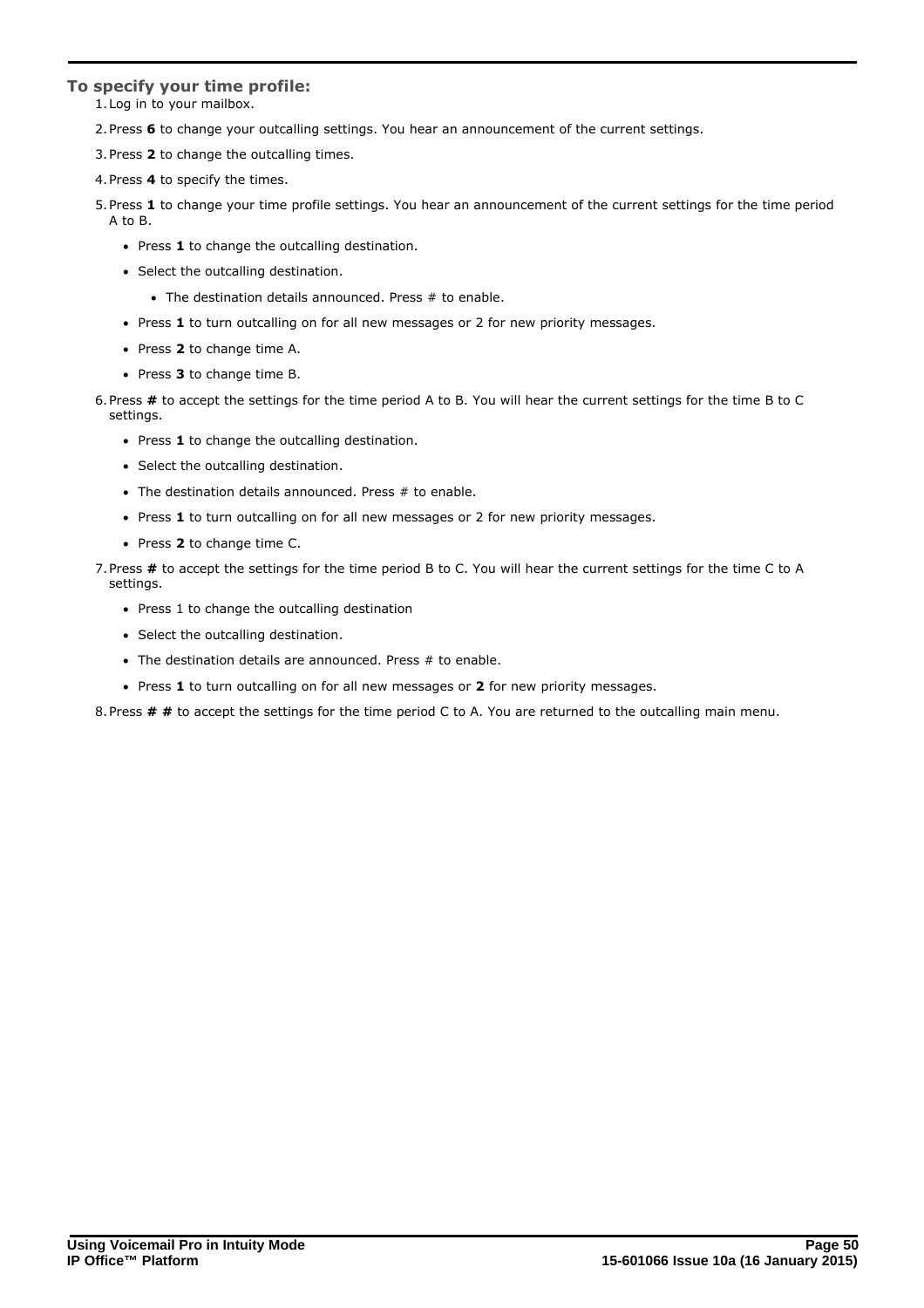### **To specify your time profile:**

- 1.Log in to your mailbox.
- 2.Press **6** to change your outcalling settings. You hear an announcement of the current settings.
- 3.Press **2** to change the outcalling times.
- 4.Press **4** to specify the times.
- 5.Press **1** to change your time profile settings. You hear an announcement of the current settings for the time period A to B.
	- · Press **1** to change the outcalling destination.
	- · Select the outcalling destination.
		- · The destination details announced. Press # to enable.
	- · Press **1** to turn outcalling on for all new messages or 2 for new priority messages.
	- · Press **2** to change time A.
	- · Press **3** to change time B.
- 6.Press **#** to accept the settings for the time period A to B. You will hear the current settings for the time B to C settings.
	- · Press **1** to change the outcalling destination.
	- · Select the outcalling destination.
	- The destination details announced. Press # to enable.
	- · Press **1** to turn outcalling on for all new messages or 2 for new priority messages.
	- · Press **2** to change time C.
- 7.Press **#** to accept the settings for the time period B to C. You will hear the current settings for the time C to A settings.
	- · Press 1 to change the outcalling destination
	- · Select the outcalling destination.
	- · The destination details are announced. Press # to enable.
	- · Press **1** to turn outcalling on for all new messages or **2** for new priority messages.

8.Press **# #** to accept the settings for the time period C to A. You are returned to the outcalling main menu.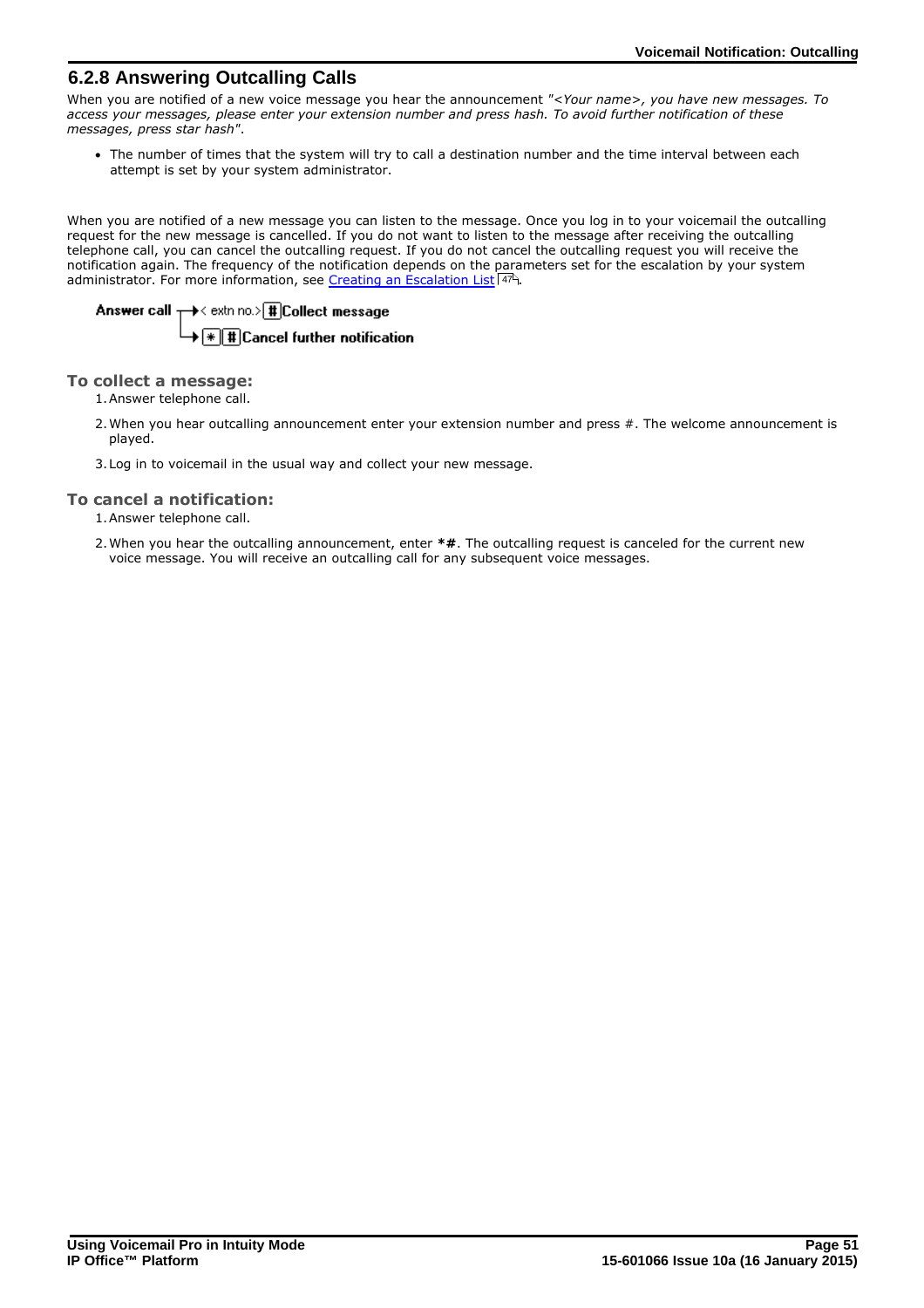### <span id="page-50-0"></span>**6.2.8 Answering Outcalling Calls**

When you are notified of a new voice message you hear the announcement *"<Your name>, you have new messages. To access your messages, please enter your extension number and press hash. To avoid further notification of these messages, press star hash"*.

· The number of times that the system will try to call a destination number and the time interval between each attempt is set by your system administrator.

When you are notified of a new message you can listen to the message. Once you log in to your voicemail the outcalling request for the new message is cancelled. If you do not want to listen to the message after receiving the outcalling telephone call, you can cancel the outcalling request. If you do not cancel the outcalling request you will receive the notification again. The frequency of the notification depends on the parameters set for the escalation by your system administrator. For more information, see [Creating an Escalation List](#page-46-0) 47<sup>4</sup>

# Answer call  $+\rightarrow<$  extring to  $|\text{#}$  Collect message  $\overline{\mathbf{F}(\mathbf{F})}$  Til Cancel further notification

### **To collect a message:**

1.Answer telephone call.

- 2. When you hear outcalling announcement enter your extension number and press #. The welcome announcement is played.
- 3.Log in to voicemail in the usual way and collect your new message.

### **To cancel a notification:**

1.Answer telephone call.

2.When you hear the outcalling announcement, enter **\*#**. The outcalling request is canceled for the current new voice message. You will receive an outcalling call for any subsequent voice messages.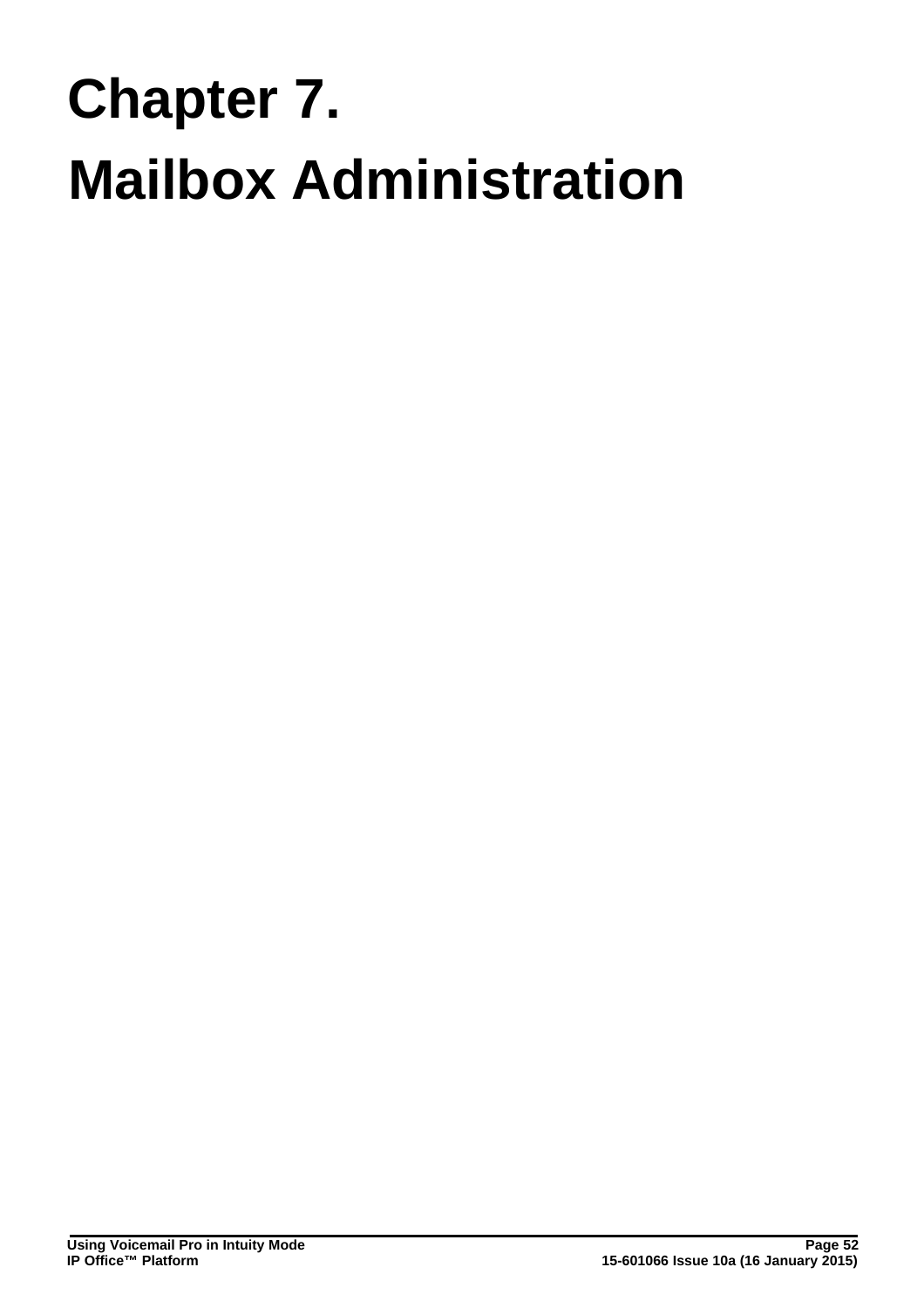# **Mailbox Administration Chapter 7.**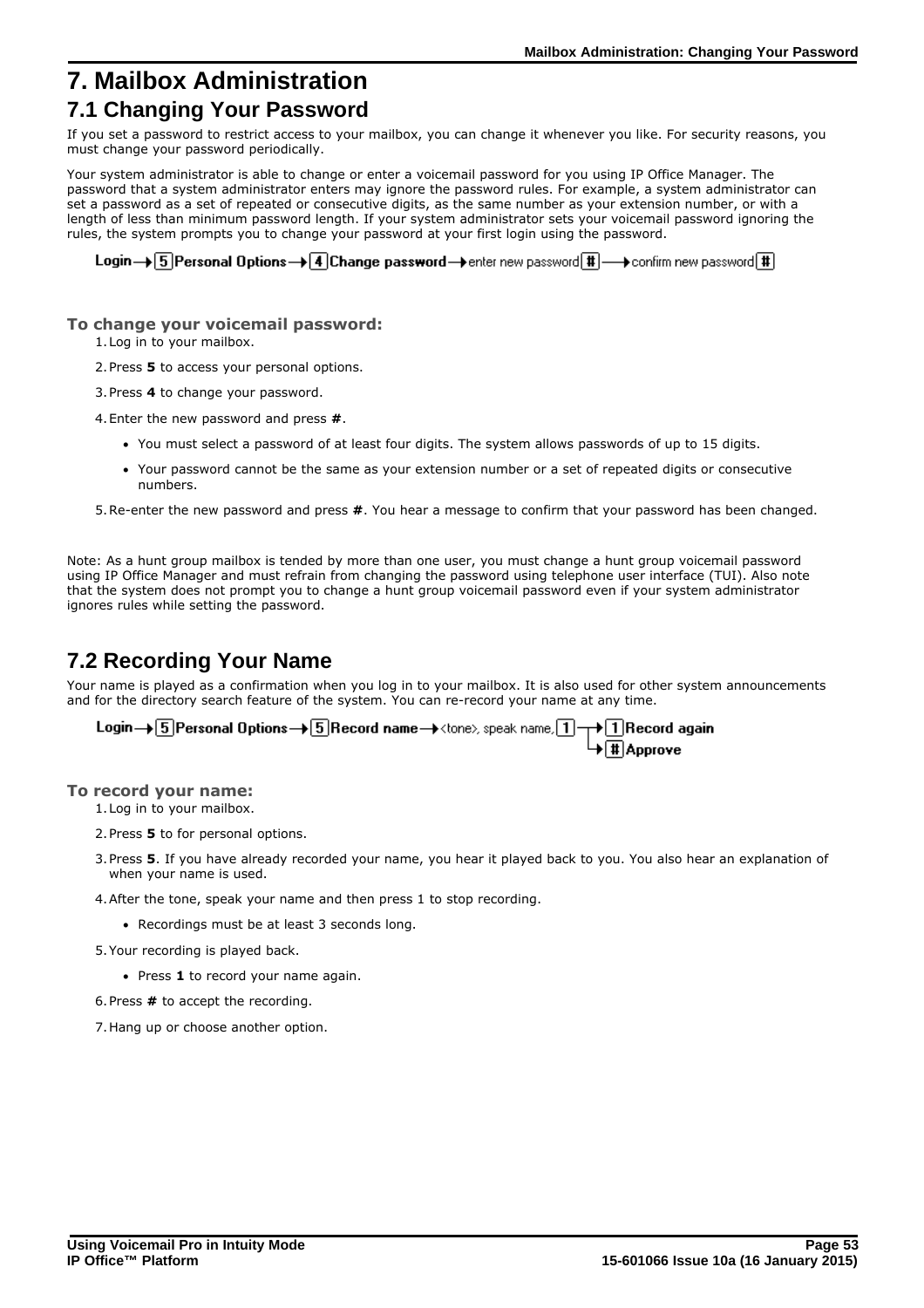# <span id="page-52-0"></span>**7. Mailbox Administration**

# **7.1 Changing Your Password**

If you set a password to restrict access to your mailbox, you can change it whenever you like. For security reasons, you must change your password periodically.

Your system administrator is able to change or enter a voicemail password for you using IP Office Manager. The password that a system administrator enters may ignore the password rules. For example, a system administrator can set a password as a set of repeated or consecutive digits, as the same number as your extension number, or with a length of less than minimum password length. If your system administrator sets your voicemail password ignoring the rules, the system prompts you to change your password at your first login using the password.

Login  $\rightarrow$  5 Personal Options  $\rightarrow$  4 Change password  $\rightarrow$  enter new password  $\overline{\text{H}}$   $\rightarrow$  confirm new password  $\overline{\text{H}}$ 

### **To change your voicemail password:**

1.Log in to your mailbox.

- 2.Press **5** to access your personal options.
- 3.Press **4** to change your password.
- 4.Enter the new password and press **#**.
	- · You must select a password of at least four digits. The system allows passwords of up to 15 digits.
	- · Your password cannot be the same as your extension number or a set of repeated digits or consecutive numbers.
- 5.Re-enter the new password and press **#**. You hear a message to confirm that your password has been changed.

Note: As a hunt group mailbox is tended by more than one user, you must change a hunt group voicemail password using IP Office Manager and must refrain from changing the password using telephone user interface (TUI). Also note that the system does not prompt you to change a hunt group voicemail password even if your system administrator ignores rules while setting the password.

# <span id="page-52-1"></span>**7.2 Recording Your Name**

Your name is played as a confirmation when you log in to your mailbox. It is also used for other system announcements and for the directory search feature of the system. You can re-record your name at any time.

| Login $\rightarrow$ 5 Personal Options $\rightarrow$ 5 Record name $\rightarrow$ <tone), 1="" <math="" name,="" speak="">\rightarrow 1 Record again</tone),> |                           |
|--------------------------------------------------------------------------------------------------------------------------------------------------------------|---------------------------|
|                                                                                                                                                              | $\rightarrow \pm$ Approve |

### **To record your name:**

1.Log in to your mailbox.

- 2.Press **5** to for personal options.
- 3.Press **5**. If you have already recorded your name, you hear it played back to you. You also hear an explanation of when your name is used.
- 4.After the tone, speak your name and then press 1 to stop recording.
	- · Recordings must be at least 3 seconds long.
- 5.Your recording is played back.
	- · Press **1** to record your name again.
- 6.Press **#** to accept the recording.
- 7.Hang up or choose another option.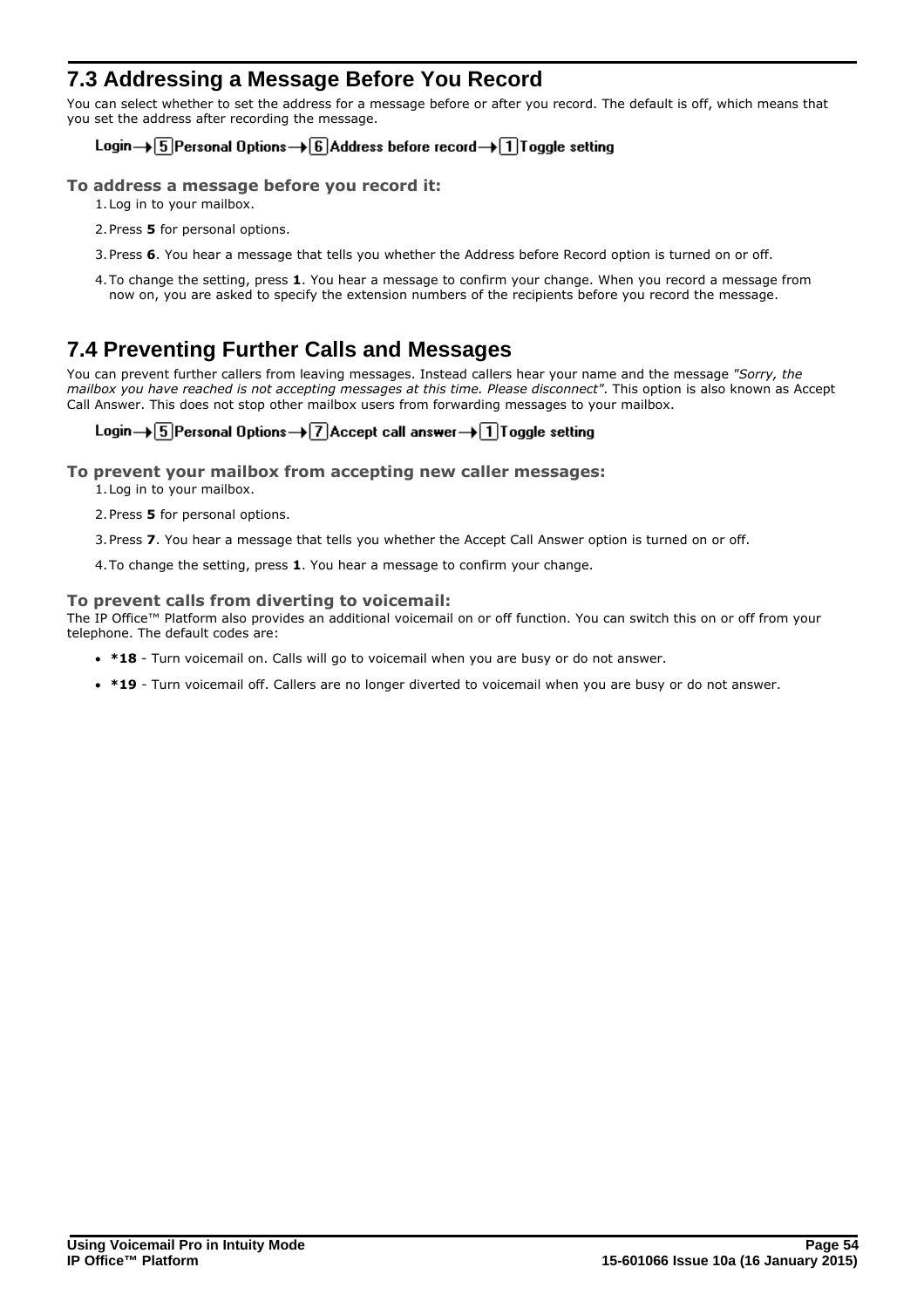# <span id="page-53-0"></span>**7.3 Addressing a Message Before You Record**

You can select whether to set the address for a message before or after you record. The default is off, which means that you set the address after recording the message.

### Login→ 5 Personal Options→ 6 Address before record→ 1 Toggle setting

### **To address a message before you record it:**

- 1.Log in to your mailbox.
- 2.Press **5** for personal options.
- 3.Press **6**. You hear a message that tells you whether the Address before Record option is turned on or off.
- 4.To change the setting, press **1**. You hear a message to confirm your change. When you record a message from now on, you are asked to specify the extension numbers of the recipients before you record the message.

# <span id="page-53-1"></span>**7.4 Preventing Further Calls and Messages**

You can prevent further callers from leaving messages. Instead callers hear your name and the message *"Sorry, the mailbox you have reached is not accepting messages at this time. Please disconnect"*. This option is also known as Accept Call Answer. This does not stop other mailbox users from forwarding messages to your mailbox.

### Login  $\rightarrow$  5 Personal Options  $\rightarrow$  7 Accept call answer  $\rightarrow$  1 Toggle setting

- **To prevent your mailbox from accepting new caller messages:**
	- 1.Log in to your mailbox.
	- 2.Press **5** for personal options.
	- 3.Press **7**. You hear a message that tells you whether the Accept Call Answer option is turned on or off.
	- 4.To change the setting, press **1**. You hear a message to confirm your change.

### **To prevent calls from diverting to voicemail:**

The IP Office™ Platform also provides an additional voicemail on or off function. You can switch this on or off from your telephone. The default codes are:

- · **\*18** Turn voicemail on. Calls will go to voicemail when you are busy or do not answer.
- · **\*19** Turn voicemail off. Callers are no longer diverted to voicemail when you are busy or do not answer.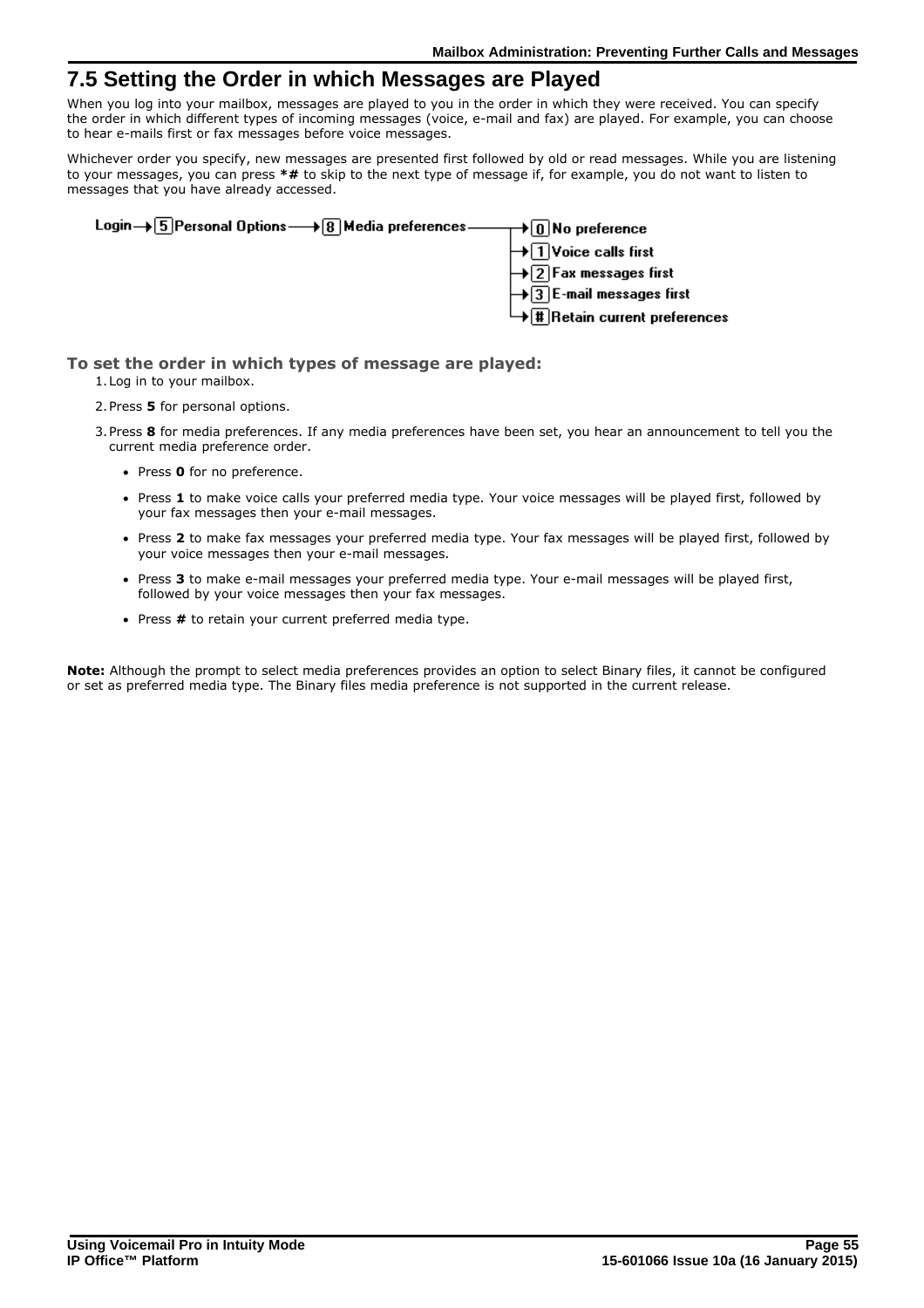# <span id="page-54-0"></span>**7.5 Setting the Order in which Messages are Played**

When you log into your mailbox, messages are played to you in the order in which they were received. You can specify the order in which different types of incoming messages (voice, e-mail and fax) are played. For example, you can choose to hear e-mails first or fax messages before voice messages.

Whichever order you specify, new messages are presented first followed by old or read messages. While you are listening to your messages, you can press **\*#** to skip to the next type of message if, for example, you do not want to listen to messages that you have already accessed.

| Login→ 5 Personal Options → 8 Media preferences —— → 0 No preference |                                                                             |
|----------------------------------------------------------------------|-----------------------------------------------------------------------------|
|                                                                      | $\biguplus$ $\Box$ Voice calls first                                        |
|                                                                      | $\rightarrow$ 2 Fax messages first<br>$\rightarrow$ 3 E-mail messages first |
|                                                                      |                                                                             |
|                                                                      | $\overline{\mathbf{H}}$ Retain current preferences                          |

### **To set the order in which types of message are played:**

- 1.Log in to your mailbox.
- 2.Press **5** for personal options.
- 3.Press **8** for media preferences. If any media preferences have been set, you hear an announcement to tell you the current media preference order.
	- · Press **0** for no preference.
	- · Press **1** to make voice calls your preferred media type. Your voice messages will be played first, followed by your fax messages then your e-mail messages.
	- · Press **2** to make fax messages your preferred media type. Your fax messages will be played first, followed by your voice messages then your e-mail messages.
	- · Press **3** to make e-mail messages your preferred media type. Your e-mail messages will be played first, followed by your voice messages then your fax messages.
	- · Press **#** to retain your current preferred media type.

**Note:** Although the prompt to select media preferences provides an option to select Binary files, it cannot be configured or set as preferred media type. The Binary files media preference is not supported in the current release.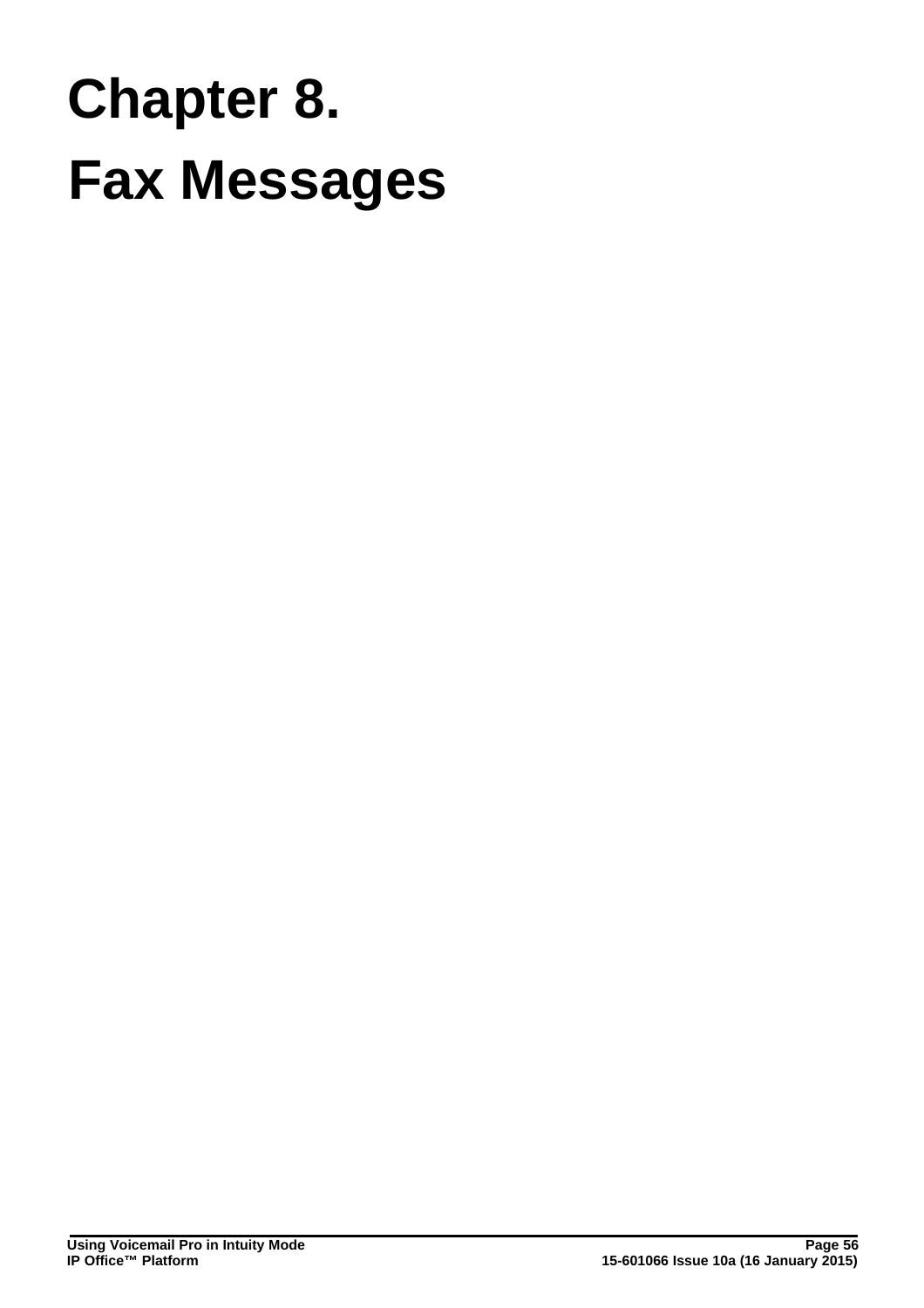# **Fax Messages Chapter 8.**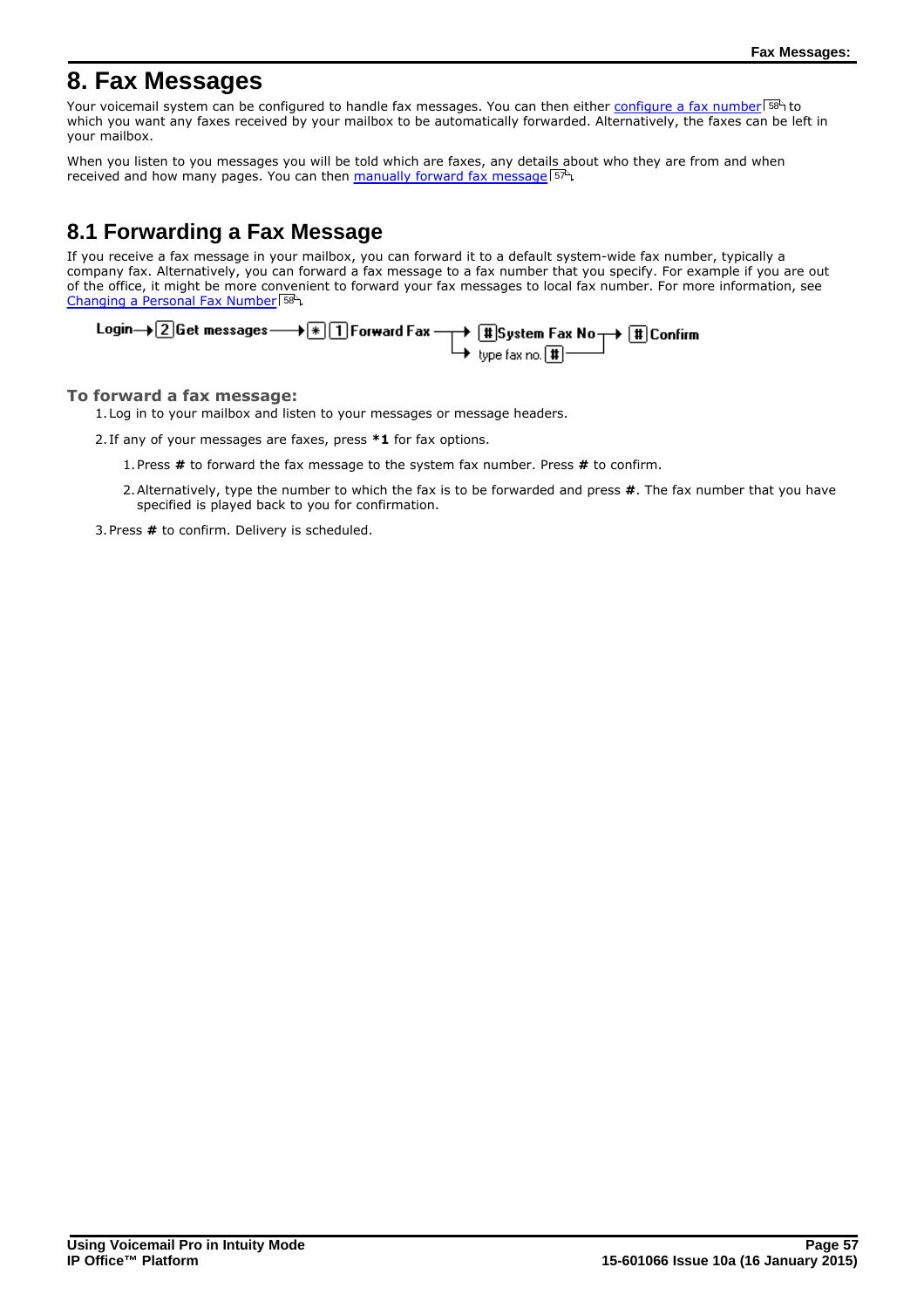# <span id="page-56-0"></span>**8. Fax Messages**

Your voicemail system can be configured to handle fax messages. You can then either <u>[configure a fax number](#page-57-0)</u> 58<sup>5</sup> to which you want any faxes received by your mailbox to be automatically forwarded. Alternatively, the faxes can be left in your mailbox.

When you listen to you messages you will be told which are faxes, any details about who they are from and when received and how many pages. You can then [manually forward fax message](#page-56-1) 57<sup>h</sup>.

# <span id="page-56-1"></span>**8.1 Forwarding a Fax Message**

If you receive a fax message in your mailbox, you can forward it to a default system-wide fax number, typically a company fax. Alternatively, you can forward a fax message to a fax number that you specify. For example if you are out of the office, it might be more convenient to forward your fax messages to local fax number. For more information, see [Changing a Personal Fax Number](#page-57-0) 58<sup>4</sup>.

| Login $\rightarrow$ 2 Get messages $\rightarrow$ $\boxed{\textcolor{blue}{\ast}}$ $\boxed{\textcolor{blue}{1}}$ Forward Fax $\rightarrow$ $\boxed{\textcolor{blue}{\textcolor{blue}{\ast}}}$ System Fax No $\rightarrow$ $\boxed{\textcolor{blue}{\textcolor{blue}{\textcolor{blue}{\ast}}} }$ Confirm |                                       |  |
|--------------------------------------------------------------------------------------------------------------------------------------------------------------------------------------------------------------------------------------------------------------------------------------------------------|---------------------------------------|--|
|                                                                                                                                                                                                                                                                                                        | $\mapsto$ type fax no. $\boxed{1}$ —— |  |

### **To forward a fax message:**

1.Log in to your mailbox and listen to your messages or message headers.

2. If any of your messages are faxes, press **\*1** for fax options.

- 1.Press **#** to forward the fax message to the system fax number. Press **#** to confirm.
- 2.Alternatively, type the number to which the fax is to be forwarded and press **#**. The fax number that you have specified is played back to you for confirmation.

3.Press **#** to confirm. Delivery is scheduled.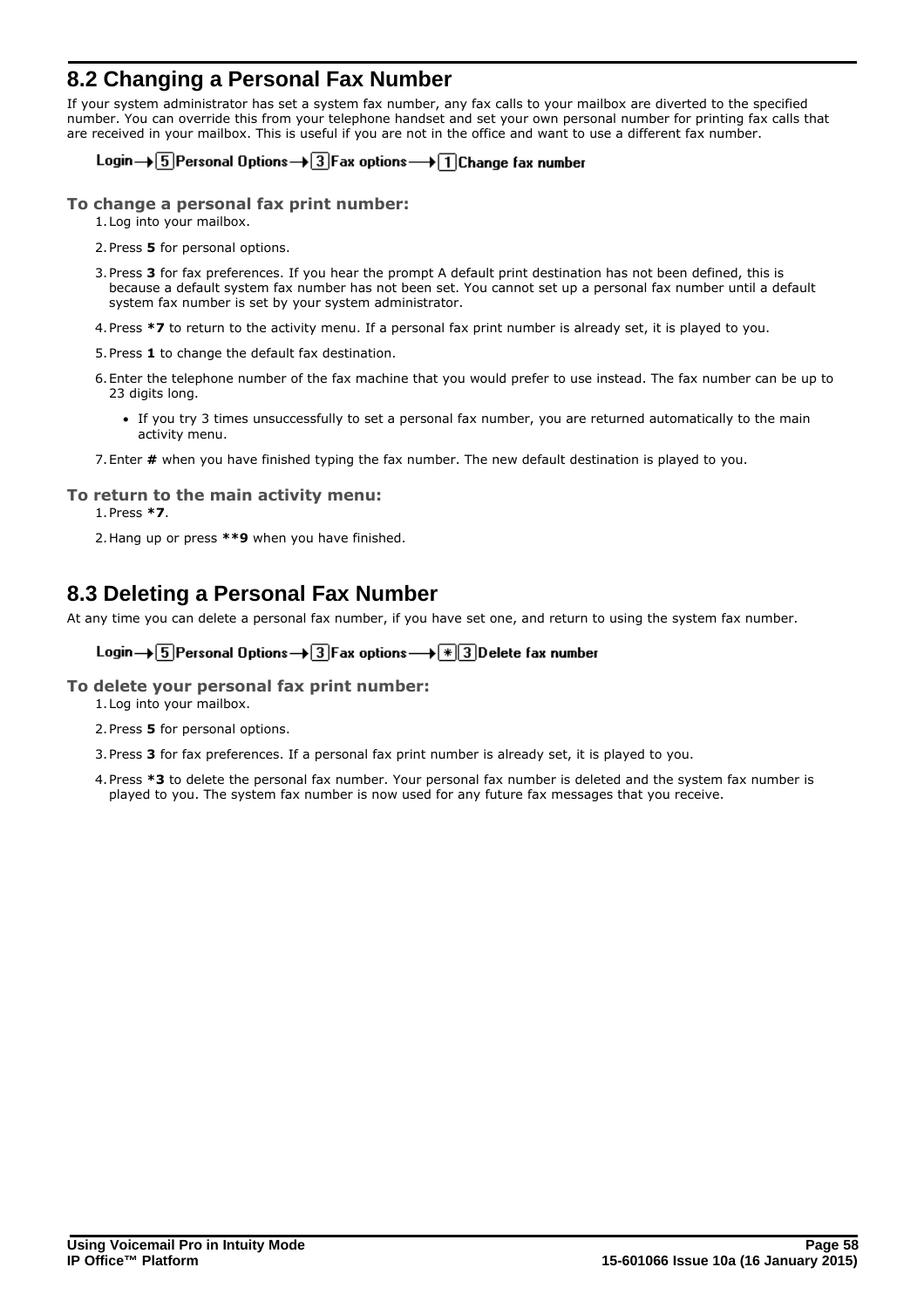# <span id="page-57-0"></span>**8.2 Changing a Personal Fax Number**

If your system administrator has set a system fax number, any fax calls to your mailbox are diverted to the specified number. You can override this from your telephone handset and set your own personal number for printing fax calls that are received in your mailbox. This is useful if you are not in the office and want to use a different fax number.

### Login  $\rightarrow$  5 Personal Options  $\rightarrow$  3 Fax options  $\rightarrow$  1 Change fax number

### **To change a personal fax print number:**

- 1.Log into your mailbox.
- 2.Press **5** for personal options.
- 3.Press **3** for fax preferences. If you hear the prompt A default print destination has not been defined, this is because a default system fax number has not been set. You cannot set up a personal fax number until a default system fax number is set by your system administrator.
- 4.Press **\*7** to return to the activity menu. If a personal fax print number is already set, it is played to you.
- 5.Press **1** to change the default fax destination.
- 6.Enter the telephone number of the fax machine that you would prefer to use instead. The fax number can be up to 23 digits long.
	- · If you try 3 times unsuccessfully to set a personal fax number, you are returned automatically to the main activity menu.
- 7.Enter **#** when you have finished typing the fax number. The new default destination is played to you.

### **To return to the main activity menu:**

1.Press **\*7**.

2.Hang up or press **\*\*9** when you have finished.

# <span id="page-57-1"></span>**8.3 Deleting a Personal Fax Number**

At any time you can delete a personal fax number, if you have set one, and return to using the system fax number.

### Login  $\rightarrow$  5 Personal Options  $\rightarrow$  3 Fax options  $\rightarrow$   $\mid \cdot \mid$  3 Delete fax number

### **To delete your personal fax print number:**

- 1.Log into your mailbox. 2.Press **5** for personal options.
- 3.Press **3** for fax preferences. If a personal fax print number is already set, it is played to you.
- 4.Press **\*3** to delete the personal fax number. Your personal fax number is deleted and the system fax number is played to you. The system fax number is now used for any future fax messages that you receive.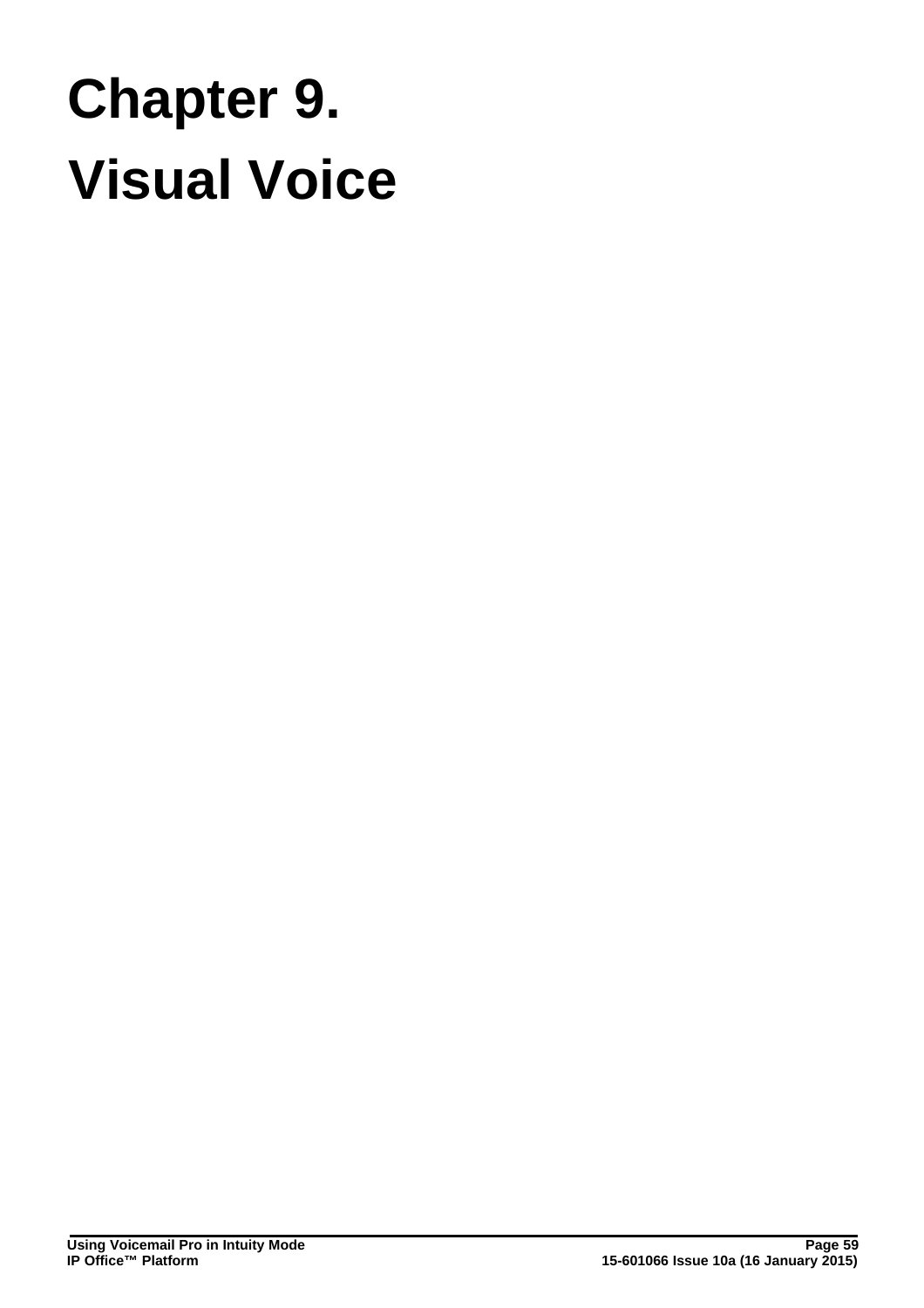# **Visual Voice Chapter 9.**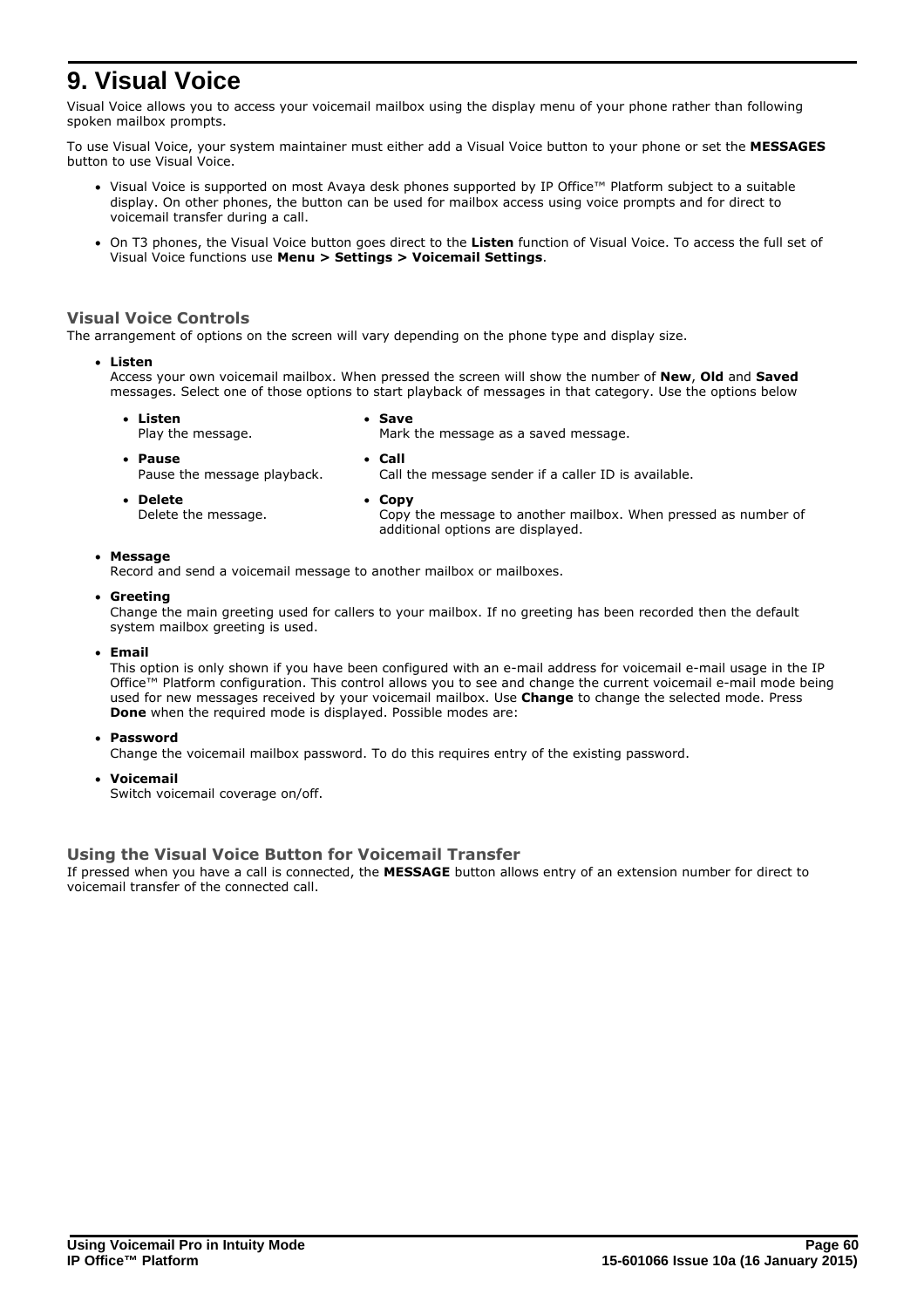# <span id="page-59-0"></span>**9. Visual Voice**

Visual Voice allows you to access your voicemail mailbox using the display menu of your phone rather than following spoken mailbox prompts.

To use Visual Voice, your system maintainer must either add a Visual Voice button to your phone or set the **MESSAGES** button to use Visual Voice.

- · Visual Voice is supported on most Avaya desk phones supported by IP Office™ Platform subject to a suitable display. On other phones, the button can be used for mailbox access using voice prompts and for direct to voicemail transfer during a call.
- · On T3 phones, the Visual Voice button goes direct to the **Listen** function of Visual Voice. To access the full set of Visual Voice functions use **Menu > Settings > Voicemail Settings**.

### **Visual Voice Controls**

The arrangement of options on the screen will vary depending on the phone type and display size.

### · **Listen**

Access your own voicemail mailbox. When pressed the screen will show the number of **New**, **Old** and **Saved** messages. Select one of those options to start playback of messages in that category. Use the options below

- · **Listen** Play the message. · **Save** Mark the message as a saved message.
- · **Pause**
- 
- Pause the message playback.
- · **Call**
	- Call the message sender if a caller ID is available.

additional options are displayed.

· **Delete**

· **Copy**

Delete the message.

Copy the message to another mailbox. When pressed as number of

### · **Message**

Record and send a voicemail message to another mailbox or mailboxes.

· **Greeting**

Change the main greeting used for callers to your mailbox. If no greeting has been recorded then the default system mailbox greeting is used.

· **Email**

This option is only shown if you have been configured with an e-mail address for voicemail e-mail usage in the IP Office™ Platform configuration. This control allows you to see and change the current voicemail e-mail mode being used for new messages received by your voicemail mailbox. Use **Change** to change the selected mode. Press **Done** when the required mode is displayed. Possible modes are:

· **Password**

Change the voicemail mailbox password. To do this requires entry of the existing password.

· **Voicemail**

Switch voicemail coverage on/off.

### **Using the Visual Voice Button for Voicemail Transfer**

If pressed when you have a call is connected, the **MESSAGE** button allows entry of an extension number for direct to voicemail transfer of the connected call.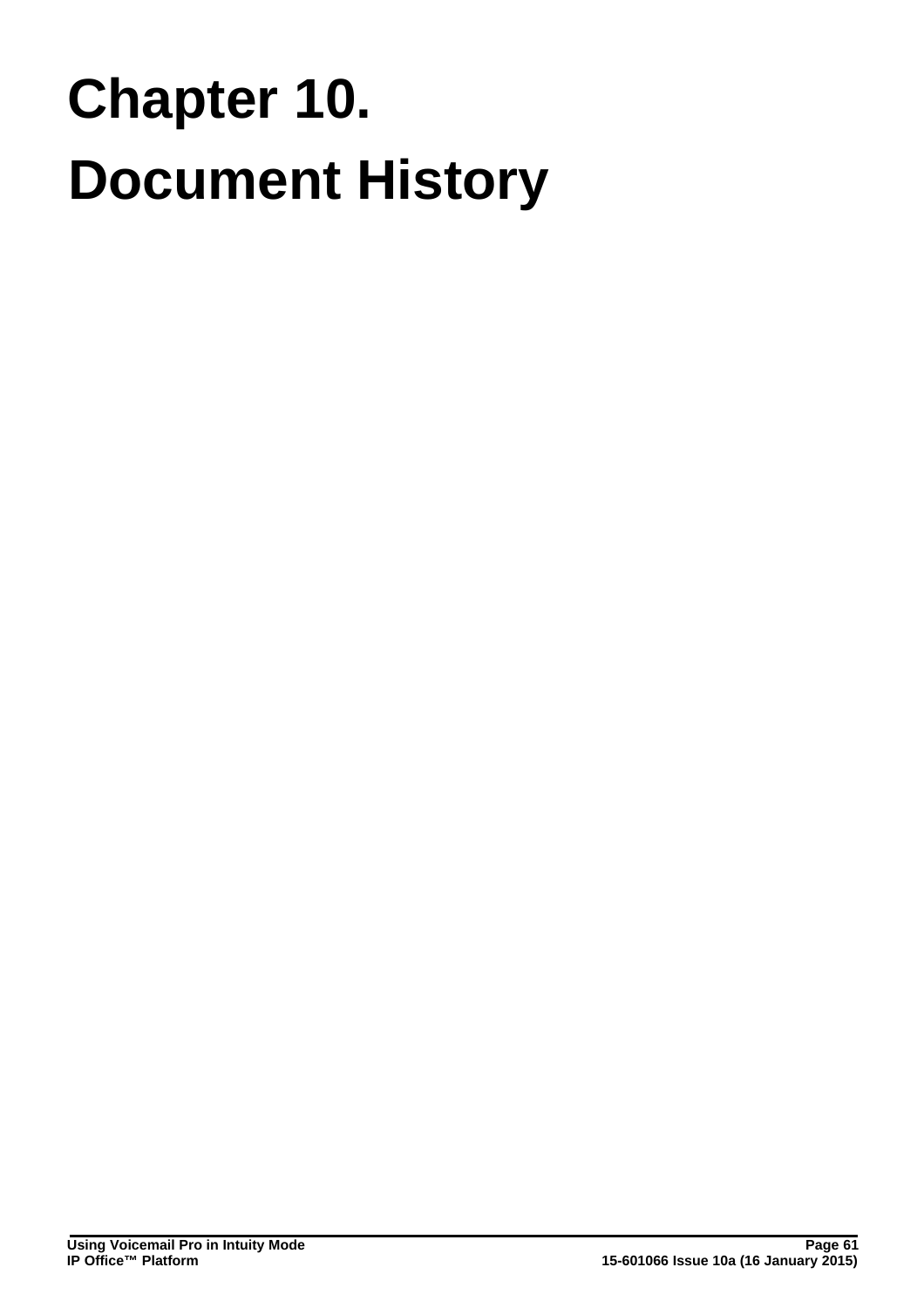# **Document History Chapter 10.**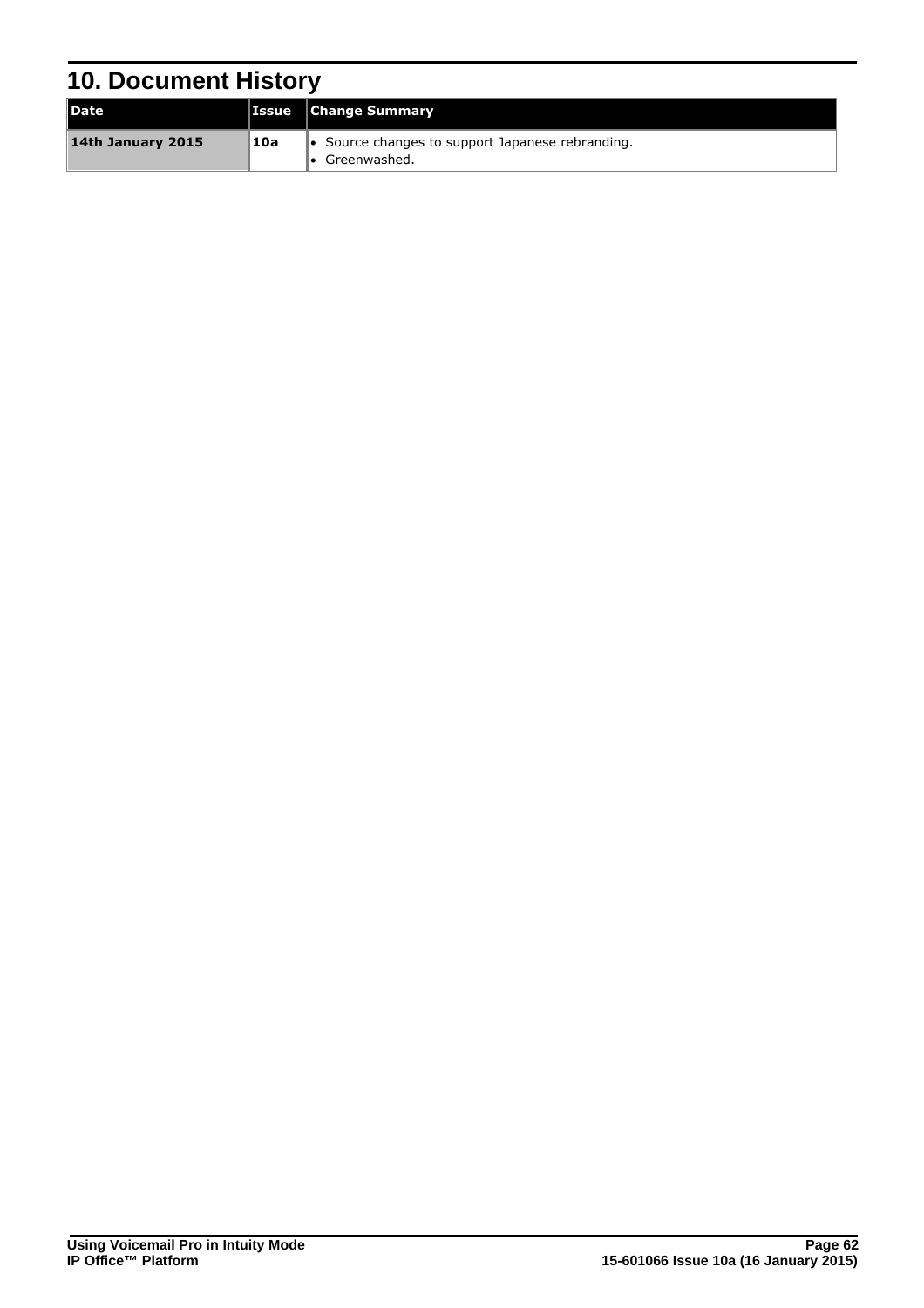# <span id="page-61-0"></span>**10. Document History**

| Date              |     | <b>Issue Change Summary</b>                                              |
|-------------------|-----|--------------------------------------------------------------------------|
| 14th January 2015 | 10a | $\bullet$ Source changes to support Japanese rebranding.<br>Greenwashed. |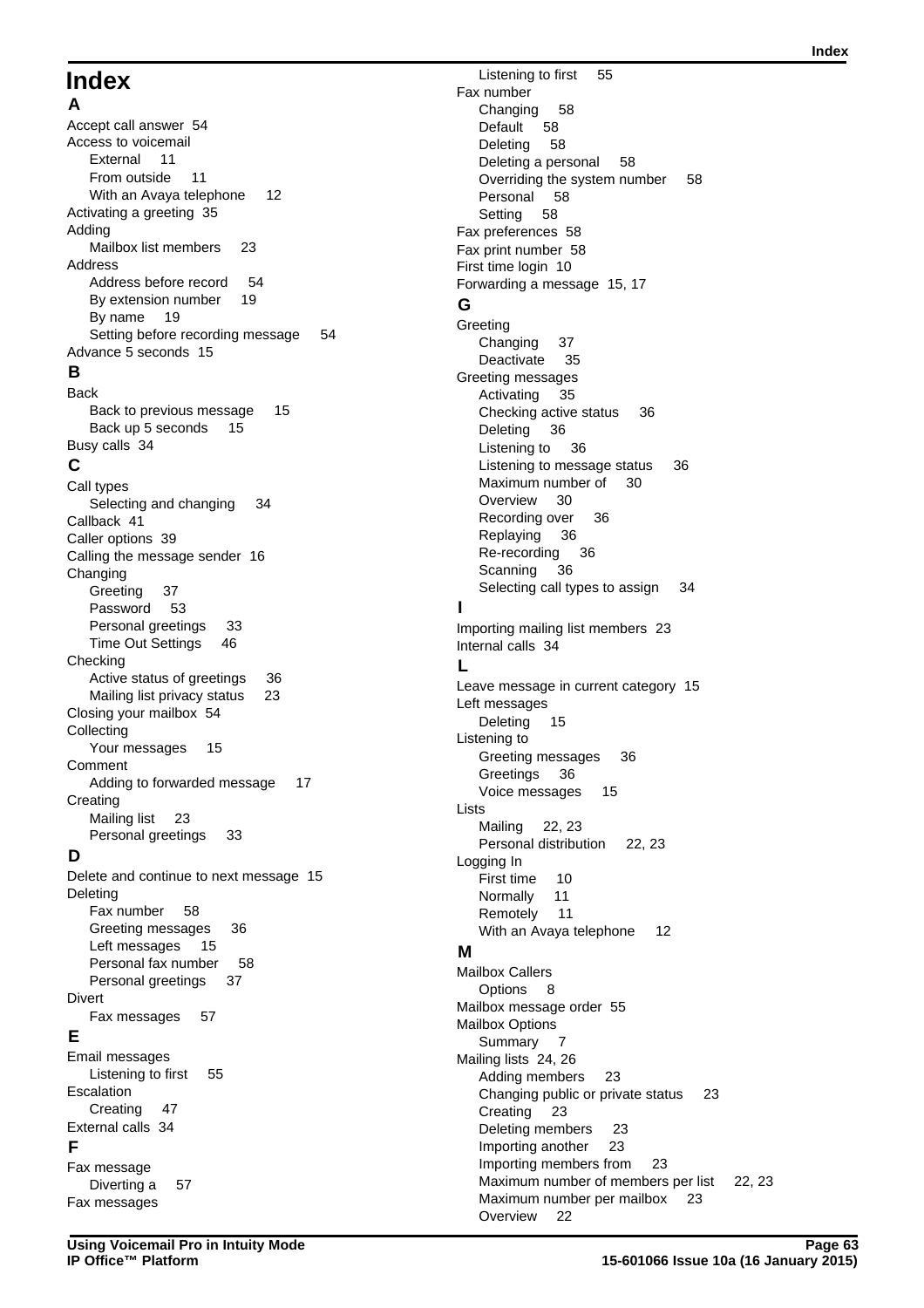# **Index**

**A** Accept call answer 54 Access to voicemail External 11 From outside 11 With an Avaya telephone 12 Activating a greeting 35 Adding Mailbox list members 23 Address Address before record 54 By extension number 19 By name 19 Setting before recording message 54 Advance 5 seconds 15 **B** Back Back to previous message 15 Back up 5 seconds 15 Busy calls 34 **C** Call types Selecting and changing 34 Callback 41 Caller options 39 Calling the message sender 16 Changing Greeting 37 Password 53 Personal greetings 33 Time Out Settings 46 Checking Active status of greetings 36 Mailing list privacy status 23 Closing your mailbox 54 Collecting Your messages 15 Comment Adding to forwarded message 17 **Creating** Mailing list 23 Personal greetings 33 **D** Delete and continue to next message 15 Deleting Fax number 58 Greeting messages 36 Left messages 15

Personal fax number 58 Personal greetings 37 Divert Fax messages 57 **E** Email messages Listening to first 55 Escalation Creating 47

# External calls 34

**F** Fax message Diverting a 57 Fax messages

Listening to first 55 Fax number Changing 58 Default 58 Deleting 58 Deleting a personal 58 Overriding the system number 58 Personal 58 Setting 58 Fax preferences 58 Fax print number 58 First time login 10 Forwarding a message 15, 17 **G** Greeting Changing 37 Deactivate 35 Greeting messages Activating 35 Checking active status 36 Deleting 36 Listening to 36 Listening to message status 36 Maximum number of 30 Overview 30 Recording over 36 Replaying 36 Re-recording 36 Scanning 36 Selecting call types to assign 34 **I** Importing mailing list members 23 Internal calls 34 **L** Leave message in current category 15 Left messages Deleting 15 Listening to Greeting messages 36 Greetings 36 Voice messages 15 Lists Mailing 22, 23 Personal distribution 22, 23 Logging In First time 10 Normally 11 Remotely 11 With an Avaya telephone 12 **M** Mailbox Callers Options 8 Mailbox message order 55 Mailbox Options Summary 7 Mailing lists 24, 26 Adding members 23 Changing public or private status 23 Creating 23 Deleting members 23 Importing another 23 Importing members from 23 Maximum number of members per list 22, 23 Maximum number per mailbox 23 Overview 22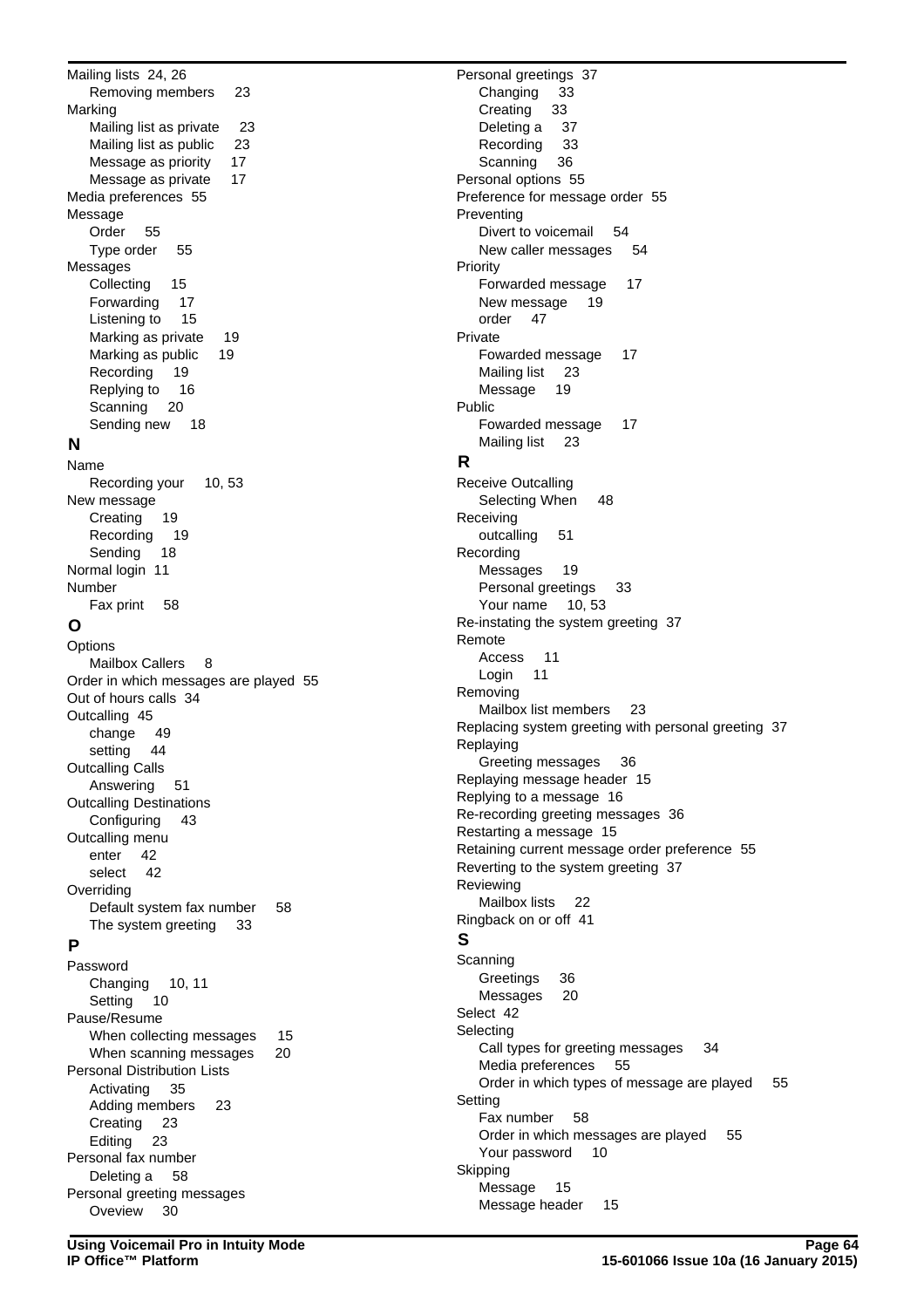Removing members 23 Marking Mailing list as private 23 Mailing list as public 23 Message as priority 17 Message as private 17 Media preferences 55 Message Order 55 Type order 55 Messages Collecting 15 Forwarding 17 Listening to 15 Marking as private 19 Marking as public 19 Recording 19 Replying to 16 Scanning 20 Sending new 18 **N** Name Recording your 10, 53 New message Creating 19 Recording 19 Sending 18 Normal login 11 Number Fax print 58 **O Options** Mailbox Callers 8 Order in which messages are played 55 Out of hours calls 34 Outcalling 45 change 49 setting 44 Outcalling Calls Answering 51 Outcalling Destinations Configuring 43 Outcalling menu enter 42 select 42 **Overriding** Default system fax number 58 The system greeting 33 **P** Password Changing 10, 11 Setting 10 Pause/Resume When collecting messages 15 When scanning messages 20 Personal Distribution Lists Activating 35 Adding members 23 Creating 23 Editing 23 Personal fax number Deleting a 58 Personal greeting messages Oveview 30

Mailing lists 24, 26

Personal greetings 37 Changing 33 Creating 33 Deleting a 37 Recording 33 Scanning 36 Personal options 55 Preference for message order 55 **Preventing** Divert to voicemail 54 New caller messages 54 Priority Forwarded message 17 New message 19 order 47 Private Fowarded message 17 Mailing list 23 Message 19 Public Fowarded message 17 Mailing list 23 **R** Receive Outcalling Selecting When 48 Receiving outcalling 51 Recording Messages 19 Personal greetings 33 Your name 10, 53 Re-instating the system greeting 37 Remote Access 11 Login 11 Removing Mailbox list members 23 Replacing system greeting with personal greeting 37 Replaying Greeting messages 36 Replaying message header 15 Replying to a message 16 Re-recording greeting messages 36 Restarting a message 15 Retaining current message order preference 55 Reverting to the system greeting 37 Reviewing Mailbox lists 22 Ringback on or off 41 **S Scanning** Greetings 36 Messages 20 Select 42 **Selecting** Call types for greeting messages 34 Media preferences 55 Order in which types of message are played 55 **Setting** Fax number 58 Order in which messages are played 55 Your password 10 Skipping Message 15 Message header 15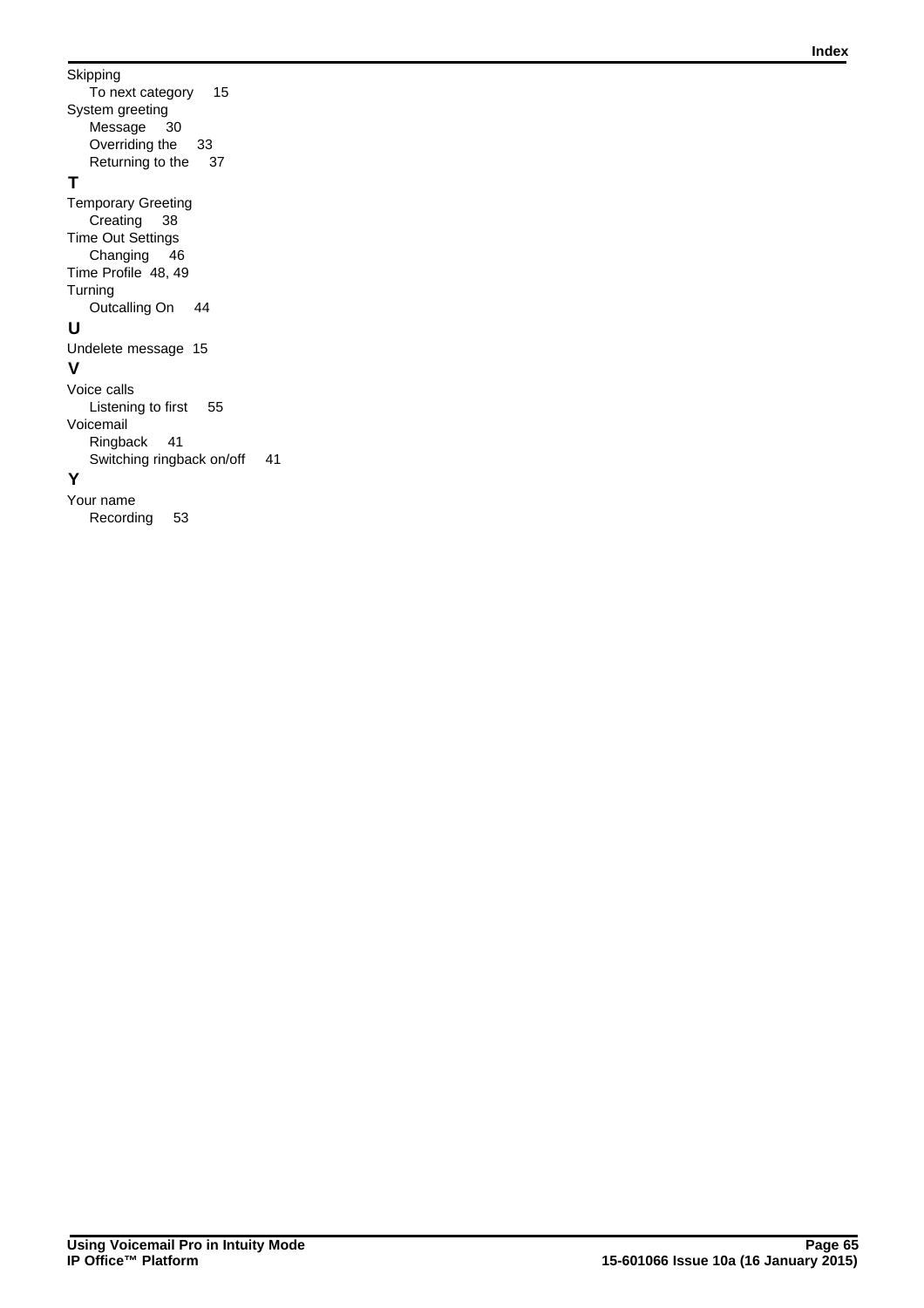Skipping To next category 15 System greeting Message 30 Overriding the 33 Returning to the 37 **T** Temporary Greeting Creating 38 Time Out Settings Changing 46 Time Profile 48, 49 **Turning** Outcalling On 44 **U** Undelete message 15 **V** Voice calls Listening to first 55 Voicemail Ringback 41 Switching ringback on/off 41 **Y**

Your name Recording 53